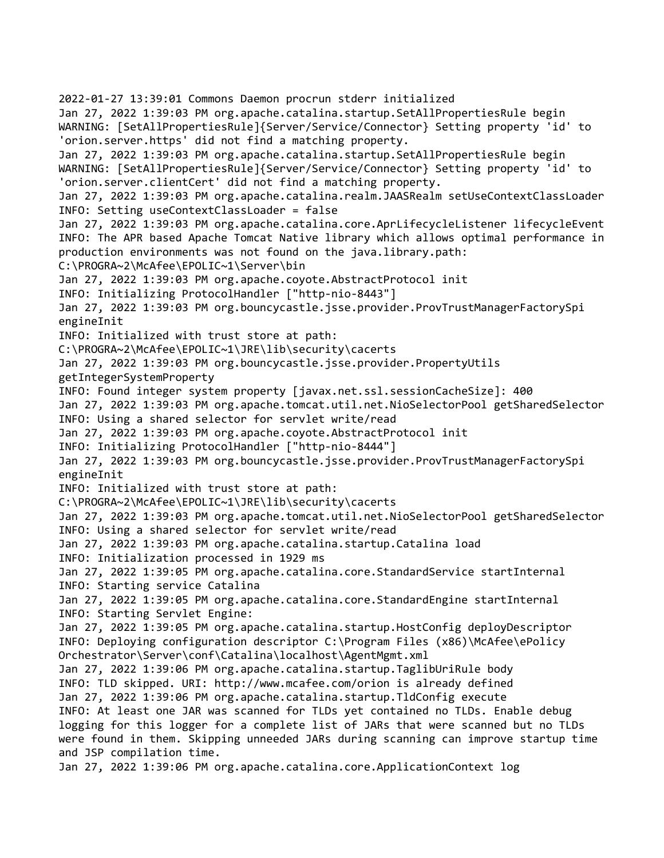2022-01-27 13:39:01 Commons Daemon procrun stderr initialized Jan 27, 2022 1:39:03 PM org.apache.catalina.startup.SetAllPropertiesRule begin WARNING: [SetAllPropertiesRule]{Server/Service/Connector} Setting property 'id' to 'orion.server.https' did not find a matching property. Jan 27, 2022 1:39:03 PM org.apache.catalina.startup.SetAllPropertiesRule begin WARNING: [SetAllPropertiesRule]{Server/Service/Connector} Setting property 'id' to 'orion.server.clientCert' did not find a matching property. Jan 27, 2022 1:39:03 PM org.apache.catalina.realm.JAASRealm setUseContextClassLoader INFO: Setting useContextClassLoader = false Jan 27, 2022 1:39:03 PM org.apache.catalina.core.AprLifecycleListener lifecycleEvent INFO: The APR based Apache Tomcat Native library which allows optimal performance in production environments was not found on the java.library.path: C:\PROGRA~2\McAfee\EPOLIC~1\Server\bin Jan 27, 2022 1:39:03 PM org.apache.coyote.AbstractProtocol init INFO: Initializing ProtocolHandler ["http-nio-8443"] Jan 27, 2022 1:39:03 PM org.bouncycastle.jsse.provider.ProvTrustManagerFactorySpi engineInit INFO: Initialized with trust store at path: C:\PROGRA~2\McAfee\EPOLIC~1\JRE\lib\security\cacerts Jan 27, 2022 1:39:03 PM org.bouncycastle.jsse.provider.PropertyUtils getIntegerSystemProperty INFO: Found integer system property [javax.net.ssl.sessionCacheSize]: 400 Jan 27, 2022 1:39:03 PM org.apache.tomcat.util.net.NioSelectorPool getSharedSelector INFO: Using a shared selector for servlet write/read Jan 27, 2022 1:39:03 PM org.apache.coyote.AbstractProtocol init INFO: Initializing ProtocolHandler ["http-nio-8444"] Jan 27, 2022 1:39:03 PM org.bouncycastle.jsse.provider.ProvTrustManagerFactorySpi engineInit INFO: Initialized with trust store at path: C:\PROGRA~2\McAfee\EPOLIC~1\JRE\lib\security\cacerts Jan 27, 2022 1:39:03 PM org.apache.tomcat.util.net.NioSelectorPool getSharedSelector INFO: Using a shared selector for servlet write/read Jan 27, 2022 1:39:03 PM org.apache.catalina.startup.Catalina load INFO: Initialization processed in 1929 ms Jan 27, 2022 1:39:05 PM org.apache.catalina.core.StandardService startInternal INFO: Starting service Catalina Jan 27, 2022 1:39:05 PM org.apache.catalina.core.StandardEngine startInternal INFO: Starting Servlet Engine: Jan 27, 2022 1:39:05 PM org.apache.catalina.startup.HostConfig deployDescriptor INFO: Deploying configuration descriptor C:\Program Files (x86)\McAfee\ePolicy Orchestrator\Server\conf\Catalina\localhost\AgentMgmt.xml Jan 27, 2022 1:39:06 PM org.apache.catalina.startup.TaglibUriRule body INFO: TLD skipped. URI: http://www.mcafee.com/orion is already defined Jan 27, 2022 1:39:06 PM org.apache.catalina.startup.TldConfig execute INFO: At least one JAR was scanned for TLDs yet contained no TLDs. Enable debug logging for this logger for a complete list of JARs that were scanned but no TLDs were found in them. Skipping unneeded JARs during scanning can improve startup time and JSP compilation time. Jan 27, 2022 1:39:06 PM org.apache.catalina.core.ApplicationContext log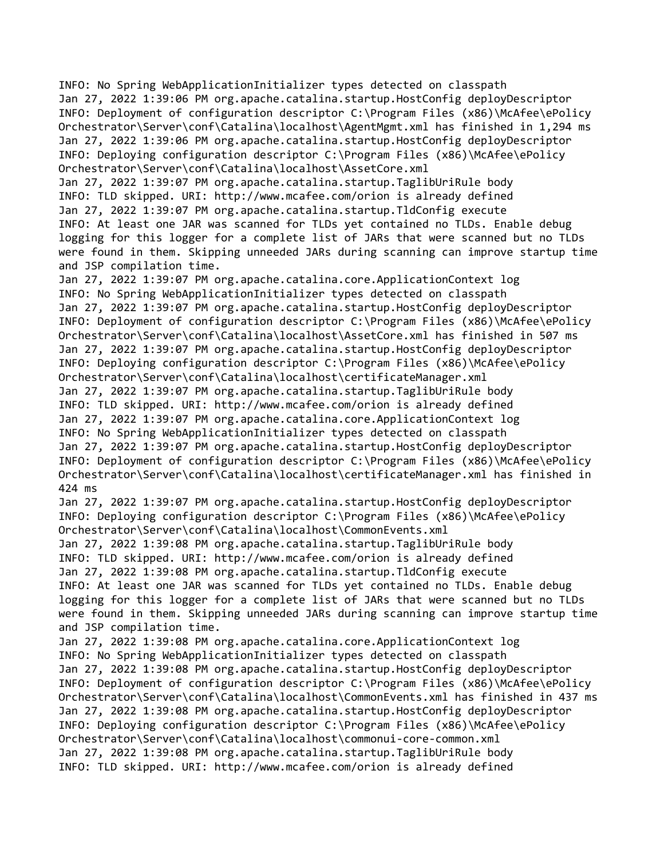INFO: No Spring WebApplicationInitializer types detected on classpath Jan 27, 2022 1:39:06 PM org.apache.catalina.startup.HostConfig deployDescriptor INFO: Deployment of configuration descriptor C:\Program Files (x86)\McAfee\ePolicy Orchestrator\Server\conf\Catalina\localhost\AgentMgmt.xml has finished in 1,294 ms Jan 27, 2022 1:39:06 PM org.apache.catalina.startup.HostConfig deployDescriptor INFO: Deploying configuration descriptor C:\Program Files (x86)\McAfee\ePolicy Orchestrator\Server\conf\Catalina\localhost\AssetCore.xml

Jan 27, 2022 1:39:07 PM org.apache.catalina.startup.TaglibUriRule body INFO: TLD skipped. URI: http://www.mcafee.com/orion is already defined Jan 27, 2022 1:39:07 PM org.apache.catalina.startup.TldConfig execute INFO: At least one JAR was scanned for TLDs yet contained no TLDs. Enable debug logging for this logger for a complete list of JARs that were scanned but no TLDs were found in them. Skipping unneeded JARs during scanning can improve startup time and JSP compilation time.

Jan 27, 2022 1:39:07 PM org.apache.catalina.core.ApplicationContext log INFO: No Spring WebApplicationInitializer types detected on classpath Jan 27, 2022 1:39:07 PM org.apache.catalina.startup.HostConfig deployDescriptor INFO: Deployment of configuration descriptor C:\Program Files (x86)\McAfee\ePolicy Orchestrator\Server\conf\Catalina\localhost\AssetCore.xml has finished in 507 ms Jan 27, 2022 1:39:07 PM org.apache.catalina.startup.HostConfig deployDescriptor INFO: Deploying configuration descriptor C:\Program Files (x86)\McAfee\ePolicy Orchestrator\Server\conf\Catalina\localhost\certificateManager.xml Jan 27, 2022 1:39:07 PM org.apache.catalina.startup.TaglibUriRule body INFO: TLD skipped. URI: http://www.mcafee.com/orion is already defined Jan 27, 2022 1:39:07 PM org.apache.catalina.core.ApplicationContext log INFO: No Spring WebApplicationInitializer types detected on classpath Jan 27, 2022 1:39:07 PM org.apache.catalina.startup.HostConfig deployDescriptor INFO: Deployment of configuration descriptor C:\Program Files (x86)\McAfee\ePolicy Orchestrator\Server\conf\Catalina\localhost\certificateManager.xml has finished in 424 ms

Jan 27, 2022 1:39:07 PM org.apache.catalina.startup.HostConfig deployDescriptor INFO: Deploying configuration descriptor C:\Program Files (x86)\McAfee\ePolicy Orchestrator\Server\conf\Catalina\localhost\CommonEvents.xml

Jan 27, 2022 1:39:08 PM org.apache.catalina.startup.TaglibUriRule body INFO: TLD skipped. URI: http://www.mcafee.com/orion is already defined Jan 27, 2022 1:39:08 PM org.apache.catalina.startup.TldConfig execute INFO: At least one JAR was scanned for TLDs yet contained no TLDs. Enable debug logging for this logger for a complete list of JARs that were scanned but no TLDs were found in them. Skipping unneeded JARs during scanning can improve startup time and JSP compilation time.

Jan 27, 2022 1:39:08 PM org.apache.catalina.core.ApplicationContext log INFO: No Spring WebApplicationInitializer types detected on classpath Jan 27, 2022 1:39:08 PM org.apache.catalina.startup.HostConfig deployDescriptor INFO: Deployment of configuration descriptor C:\Program Files (x86)\McAfee\ePolicy Orchestrator\Server\conf\Catalina\localhost\CommonEvents.xml has finished in 437 ms Jan 27, 2022 1:39:08 PM org.apache.catalina.startup.HostConfig deployDescriptor INFO: Deploying configuration descriptor C:\Program Files (x86)\McAfee\ePolicy Orchestrator\Server\conf\Catalina\localhost\commonui-core-common.xml Jan 27, 2022 1:39:08 PM org.apache.catalina.startup.TaglibUriRule body INFO: TLD skipped. URI: http://www.mcafee.com/orion is already defined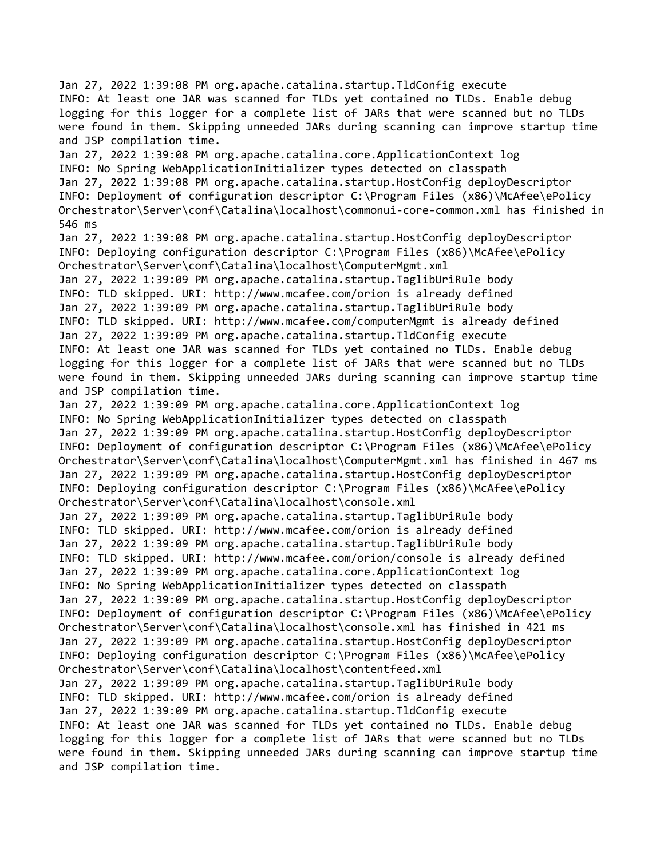Jan 27, 2022 1:39:08 PM org.apache.catalina.startup.TldConfig execute INFO: At least one JAR was scanned for TLDs yet contained no TLDs. Enable debug logging for this logger for a complete list of JARs that were scanned but no TLDs were found in them. Skipping unneeded JARs during scanning can improve startup time and JSP compilation time. Jan 27, 2022 1:39:08 PM org.apache.catalina.core.ApplicationContext log INFO: No Spring WebApplicationInitializer types detected on classpath Jan 27, 2022 1:39:08 PM org.apache.catalina.startup.HostConfig deployDescriptor INFO: Deployment of configuration descriptor C:\Program Files (x86)\McAfee\ePolicy Orchestrator\Server\conf\Catalina\localhost\commonui-core-common.xml has finished in 546 ms Jan 27, 2022 1:39:08 PM org.apache.catalina.startup.HostConfig deployDescriptor INFO: Deploying configuration descriptor C:\Program Files (x86)\McAfee\ePolicy Orchestrator\Server\conf\Catalina\localhost\ComputerMgmt.xml Jan 27, 2022 1:39:09 PM org.apache.catalina.startup.TaglibUriRule body INFO: TLD skipped. URI: http://www.mcafee.com/orion is already defined Jan 27, 2022 1:39:09 PM org.apache.catalina.startup.TaglibUriRule body INFO: TLD skipped. URI: http://www.mcafee.com/computerMgmt is already defined Jan 27, 2022 1:39:09 PM org.apache.catalina.startup.TldConfig execute INFO: At least one JAR was scanned for TLDs yet contained no TLDs. Enable debug logging for this logger for a complete list of JARs that were scanned but no TLDs were found in them. Skipping unneeded JARs during scanning can improve startup time and JSP compilation time. Jan 27, 2022 1:39:09 PM org.apache.catalina.core.ApplicationContext log INFO: No Spring WebApplicationInitializer types detected on classpath Jan 27, 2022 1:39:09 PM org.apache.catalina.startup.HostConfig deployDescriptor INFO: Deployment of configuration descriptor C:\Program Files (x86)\McAfee\ePolicy Orchestrator\Server\conf\Catalina\localhost\ComputerMgmt.xml has finished in 467 ms Jan 27, 2022 1:39:09 PM org.apache.catalina.startup.HostConfig deployDescriptor INFO: Deploying configuration descriptor C:\Program Files (x86)\McAfee\ePolicy Orchestrator\Server\conf\Catalina\localhost\console.xml Jan 27, 2022 1:39:09 PM org.apache.catalina.startup.TaglibUriRule body INFO: TLD skipped. URI: http://www.mcafee.com/orion is already defined Jan 27, 2022 1:39:09 PM org.apache.catalina.startup.TaglibUriRule body INFO: TLD skipped. URI: http://www.mcafee.com/orion/console is already defined Jan 27, 2022 1:39:09 PM org.apache.catalina.core.ApplicationContext log INFO: No Spring WebApplicationInitializer types detected on classpath Jan 27, 2022 1:39:09 PM org.apache.catalina.startup.HostConfig deployDescriptor INFO: Deployment of configuration descriptor C:\Program Files (x86)\McAfee\ePolicy Orchestrator\Server\conf\Catalina\localhost\console.xml has finished in 421 ms Jan 27, 2022 1:39:09 PM org.apache.catalina.startup.HostConfig deployDescriptor INFO: Deploying configuration descriptor C:\Program Files (x86)\McAfee\ePolicy Orchestrator\Server\conf\Catalina\localhost\contentfeed.xml Jan 27, 2022 1:39:09 PM org.apache.catalina.startup.TaglibUriRule body INFO: TLD skipped. URI: http://www.mcafee.com/orion is already defined Jan 27, 2022 1:39:09 PM org.apache.catalina.startup.TldConfig execute INFO: At least one JAR was scanned for TLDs yet contained no TLDs. Enable debug logging for this logger for a complete list of JARs that were scanned but no TLDs were found in them. Skipping unneeded JARs during scanning can improve startup time and JSP compilation time.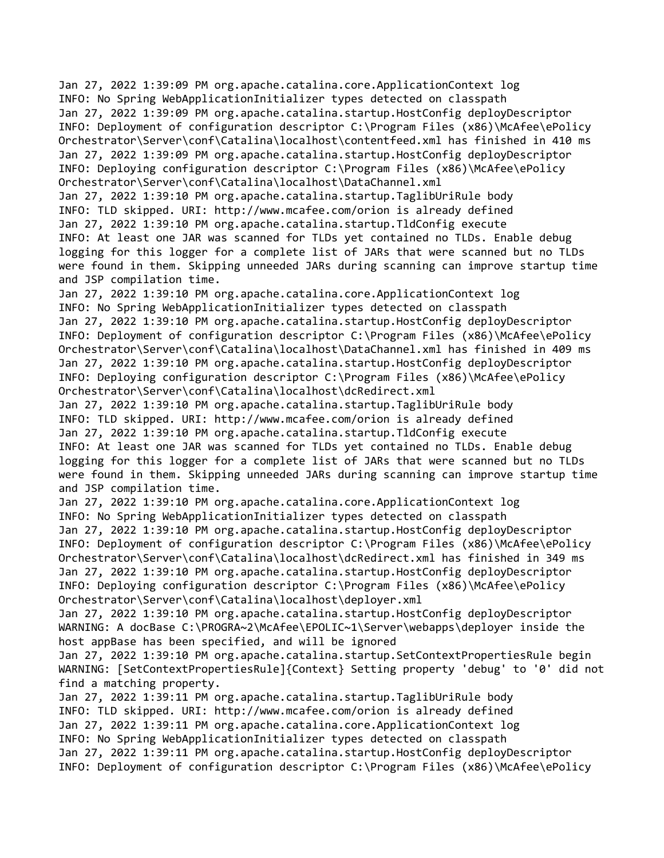Jan 27, 2022 1:39:09 PM org.apache.catalina.core.ApplicationContext log INFO: No Spring WebApplicationInitializer types detected on classpath Jan 27, 2022 1:39:09 PM org.apache.catalina.startup.HostConfig deployDescriptor INFO: Deployment of configuration descriptor C:\Program Files (x86)\McAfee\ePolicy Orchestrator\Server\conf\Catalina\localhost\contentfeed.xml has finished in 410 ms Jan 27, 2022 1:39:09 PM org.apache.catalina.startup.HostConfig deployDescriptor INFO: Deploying configuration descriptor C:\Program Files (x86)\McAfee\ePolicy Orchestrator\Server\conf\Catalina\localhost\DataChannel.xml Jan 27, 2022 1:39:10 PM org.apache.catalina.startup.TaglibUriRule body

INFO: TLD skipped. URI: http://www.mcafee.com/orion is already defined Jan 27, 2022 1:39:10 PM org.apache.catalina.startup.TldConfig execute INFO: At least one JAR was scanned for TLDs yet contained no TLDs. Enable debug logging for this logger for a complete list of JARs that were scanned but no TLDs were found in them. Skipping unneeded JARs during scanning can improve startup time and JSP compilation time.

Jan 27, 2022 1:39:10 PM org.apache.catalina.core.ApplicationContext log INFO: No Spring WebApplicationInitializer types detected on classpath Jan 27, 2022 1:39:10 PM org.apache.catalina.startup.HostConfig deployDescriptor INFO: Deployment of configuration descriptor C:\Program Files (x86)\McAfee\ePolicy Orchestrator\Server\conf\Catalina\localhost\DataChannel.xml has finished in 409 ms Jan 27, 2022 1:39:10 PM org.apache.catalina.startup.HostConfig deployDescriptor INFO: Deploying configuration descriptor C:\Program Files (x86)\McAfee\ePolicy Orchestrator\Server\conf\Catalina\localhost\dcRedirect.xml

Jan 27, 2022 1:39:10 PM org.apache.catalina.startup.TaglibUriRule body INFO: TLD skipped. URI: http://www.mcafee.com/orion is already defined Jan 27, 2022 1:39:10 PM org.apache.catalina.startup.TldConfig execute INFO: At least one JAR was scanned for TLDs yet contained no TLDs. Enable debug logging for this logger for a complete list of JARs that were scanned but no TLDs were found in them. Skipping unneeded JARs during scanning can improve startup time and JSP compilation time.

Jan 27, 2022 1:39:10 PM org.apache.catalina.core.ApplicationContext log INFO: No Spring WebApplicationInitializer types detected on classpath Jan 27, 2022 1:39:10 PM org.apache.catalina.startup.HostConfig deployDescriptor INFO: Deployment of configuration descriptor C:\Program Files (x86)\McAfee\ePolicy Orchestrator\Server\conf\Catalina\localhost\dcRedirect.xml has finished in 349 ms Jan 27, 2022 1:39:10 PM org.apache.catalina.startup.HostConfig deployDescriptor INFO: Deploying configuration descriptor C:\Program Files (x86)\McAfee\ePolicy Orchestrator\Server\conf\Catalina\localhost\deployer.xml

Jan 27, 2022 1:39:10 PM org.apache.catalina.startup.HostConfig deployDescriptor WARNING: A docBase C:\PROGRA~2\McAfee\EPOLIC~1\Server\webapps\deployer inside the host appBase has been specified, and will be ignored

Jan 27, 2022 1:39:10 PM org.apache.catalina.startup.SetContextPropertiesRule begin WARNING: [SetContextPropertiesRule]{Context} Setting property 'debug' to '0' did not find a matching property.

Jan 27, 2022 1:39:11 PM org.apache.catalina.startup.TaglibUriRule body INFO: TLD skipped. URI: http://www.mcafee.com/orion is already defined Jan 27, 2022 1:39:11 PM org.apache.catalina.core.ApplicationContext log INFO: No Spring WebApplicationInitializer types detected on classpath Jan 27, 2022 1:39:11 PM org.apache.catalina.startup.HostConfig deployDescriptor INFO: Deployment of configuration descriptor C:\Program Files (x86)\McAfee\ePolicy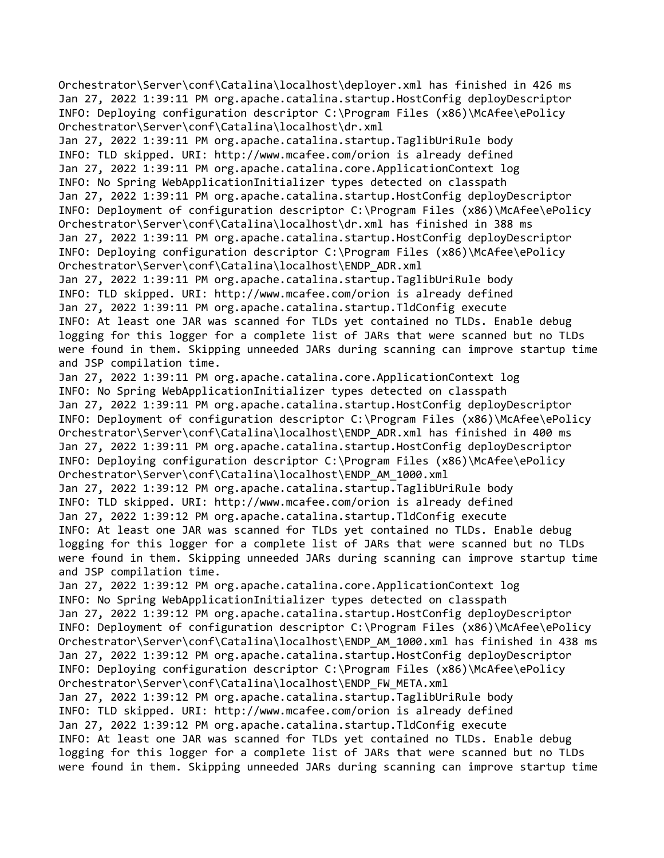Orchestrator\Server\conf\Catalina\localhost\deployer.xml has finished in 426 ms Jan 27, 2022 1:39:11 PM org.apache.catalina.startup.HostConfig deployDescriptor INFO: Deploying configuration descriptor C:\Program Files (x86)\McAfee\ePolicy Orchestrator\Server\conf\Catalina\localhost\dr.xml

Jan 27, 2022 1:39:11 PM org.apache.catalina.startup.TaglibUriRule body INFO: TLD skipped. URI: http://www.mcafee.com/orion is already defined Jan 27, 2022 1:39:11 PM org.apache.catalina.core.ApplicationContext log INFO: No Spring WebApplicationInitializer types detected on classpath Jan 27, 2022 1:39:11 PM org.apache.catalina.startup.HostConfig deployDescriptor INFO: Deployment of configuration descriptor C:\Program Files (x86)\McAfee\ePolicy Orchestrator\Server\conf\Catalina\localhost\dr.xml has finished in 388 ms Jan 27, 2022 1:39:11 PM org.apache.catalina.startup.HostConfig deployDescriptor INFO: Deploying configuration descriptor C:\Program Files (x86)\McAfee\ePolicy Orchestrator\Server\conf\Catalina\localhost\ENDP\_ADR.xml

Jan 27, 2022 1:39:11 PM org.apache.catalina.startup.TaglibUriRule body INFO: TLD skipped. URI: http://www.mcafee.com/orion is already defined Jan 27, 2022 1:39:11 PM org.apache.catalina.startup.TldConfig execute INFO: At least one JAR was scanned for TLDs yet contained no TLDs. Enable debug logging for this logger for a complete list of JARs that were scanned but no TLDs were found in them. Skipping unneeded JARs during scanning can improve startup time and JSP compilation time.

Jan 27, 2022 1:39:11 PM org.apache.catalina.core.ApplicationContext log INFO: No Spring WebApplicationInitializer types detected on classpath Jan 27, 2022 1:39:11 PM org.apache.catalina.startup.HostConfig deployDescriptor INFO: Deployment of configuration descriptor C:\Program Files (x86)\McAfee\ePolicy Orchestrator\Server\conf\Catalina\localhost\ENDP\_ADR.xml has finished in 400 ms Jan 27, 2022 1:39:11 PM org.apache.catalina.startup.HostConfig deployDescriptor INFO: Deploying configuration descriptor C:\Program Files (x86)\McAfee\ePolicy Orchestrator\Server\conf\Catalina\localhost\ENDP\_AM\_1000.xml Jan 27, 2022 1:39:12 PM org.apache.catalina.startup.TaglibUriRule body INFO: TLD skipped. URI: http://www.mcafee.com/orion is already defined Jan 27, 2022 1:39:12 PM org.apache.catalina.startup.TldConfig execute INFO: At least one JAR was scanned for TLDs yet contained no TLDs. Enable debug logging for this logger for a complete list of JARs that were scanned but no TLDs were found in them. Skipping unneeded JARs during scanning can improve startup time and JSP compilation time.

Jan 27, 2022 1:39:12 PM org.apache.catalina.core.ApplicationContext log INFO: No Spring WebApplicationInitializer types detected on classpath Jan 27, 2022 1:39:12 PM org.apache.catalina.startup.HostConfig deployDescriptor INFO: Deployment of configuration descriptor C:\Program Files (x86)\McAfee\ePolicy Orchestrator\Server\conf\Catalina\localhost\ENDP\_AM\_1000.xml has finished in 438 ms Jan 27, 2022 1:39:12 PM org.apache.catalina.startup.HostConfig deployDescriptor INFO: Deploying configuration descriptor C:\Program Files (x86)\McAfee\ePolicy Orchestrator\Server\conf\Catalina\localhost\ENDP\_FW\_META.xml

Jan 27, 2022 1:39:12 PM org.apache.catalina.startup.TaglibUriRule body INFO: TLD skipped. URI: http://www.mcafee.com/orion is already defined Jan 27, 2022 1:39:12 PM org.apache.catalina.startup.TldConfig execute INFO: At least one JAR was scanned for TLDs yet contained no TLDs. Enable debug logging for this logger for a complete list of JARs that were scanned but no TLDs were found in them. Skipping unneeded JARs during scanning can improve startup time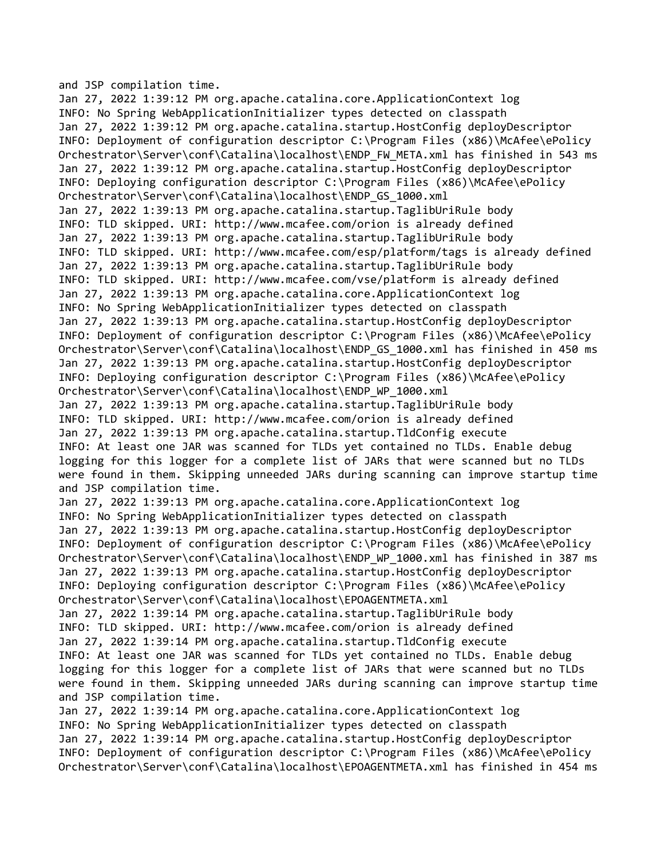and JSP compilation time.

Jan 27, 2022 1:39:12 PM org.apache.catalina.core.ApplicationContext log INFO: No Spring WebApplicationInitializer types detected on classpath Jan 27, 2022 1:39:12 PM org.apache.catalina.startup.HostConfig deployDescriptor INFO: Deployment of configuration descriptor C:\Program Files (x86)\McAfee\ePolicy Orchestrator\Server\conf\Catalina\localhost\ENDP\_FW\_META.xml has finished in 543 ms Jan 27, 2022 1:39:12 PM org.apache.catalina.startup.HostConfig deployDescriptor INFO: Deploying configuration descriptor C:\Program Files (x86)\McAfee\ePolicy Orchestrator\Server\conf\Catalina\localhost\ENDP\_GS\_1000.xml Jan 27, 2022 1:39:13 PM org.apache.catalina.startup.TaglibUriRule body INFO: TLD skipped. URI: http://www.mcafee.com/orion is already defined Jan 27, 2022 1:39:13 PM org.apache.catalina.startup.TaglibUriRule body INFO: TLD skipped. URI: http://www.mcafee.com/esp/platform/tags is already defined Jan 27, 2022 1:39:13 PM org.apache.catalina.startup.TaglibUriRule body INFO: TLD skipped. URI: http://www.mcafee.com/vse/platform is already defined Jan 27, 2022 1:39:13 PM org.apache.catalina.core.ApplicationContext log INFO: No Spring WebApplicationInitializer types detected on classpath Jan 27, 2022 1:39:13 PM org.apache.catalina.startup.HostConfig deployDescriptor INFO: Deployment of configuration descriptor C:\Program Files (x86)\McAfee\ePolicy Orchestrator\Server\conf\Catalina\localhost\ENDP\_GS\_1000.xml has finished in 450 ms Jan 27, 2022 1:39:13 PM org.apache.catalina.startup.HostConfig deployDescriptor INFO: Deploying configuration descriptor C:\Program Files (x86)\McAfee\ePolicy Orchestrator\Server\conf\Catalina\localhost\ENDP\_WP\_1000.xml Jan 27, 2022 1:39:13 PM org.apache.catalina.startup.TaglibUriRule body INFO: TLD skipped. URI: http://www.mcafee.com/orion is already defined Jan 27, 2022 1:39:13 PM org.apache.catalina.startup.TldConfig execute INFO: At least one JAR was scanned for TLDs yet contained no TLDs. Enable debug logging for this logger for a complete list of JARs that were scanned but no TLDs were found in them. Skipping unneeded JARs during scanning can improve startup time and JSP compilation time. Jan 27, 2022 1:39:13 PM org.apache.catalina.core.ApplicationContext log INFO: No Spring WebApplicationInitializer types detected on classpath Jan 27, 2022 1:39:13 PM org.apache.catalina.startup.HostConfig deployDescriptor INFO: Deployment of configuration descriptor C:\Program Files (x86)\McAfee\ePolicy Orchestrator\Server\conf\Catalina\localhost\ENDP\_WP\_1000.xml has finished in 387 ms Jan 27, 2022 1:39:13 PM org.apache.catalina.startup.HostConfig deployDescriptor INFO: Deploying configuration descriptor C:\Program Files (x86)\McAfee\ePolicy Orchestrator\Server\conf\Catalina\localhost\EPOAGENTMETA.xml Jan 27, 2022 1:39:14 PM org.apache.catalina.startup.TaglibUriRule body INFO: TLD skipped. URI: http://www.mcafee.com/orion is already defined Jan 27, 2022 1:39:14 PM org.apache.catalina.startup.TldConfig execute INFO: At least one JAR was scanned for TLDs yet contained no TLDs. Enable debug logging for this logger for a complete list of JARs that were scanned but no TLDs were found in them. Skipping unneeded JARs during scanning can improve startup time and JSP compilation time. Jan 27, 2022 1:39:14 PM org.apache.catalina.core.ApplicationContext log INFO: No Spring WebApplicationInitializer types detected on classpath Jan 27, 2022 1:39:14 PM org.apache.catalina.startup.HostConfig deployDescriptor INFO: Deployment of configuration descriptor C:\Program Files (x86)\McAfee\ePolicy

Orchestrator\Server\conf\Catalina\localhost\EPOAGENTMETA.xml has finished in 454 ms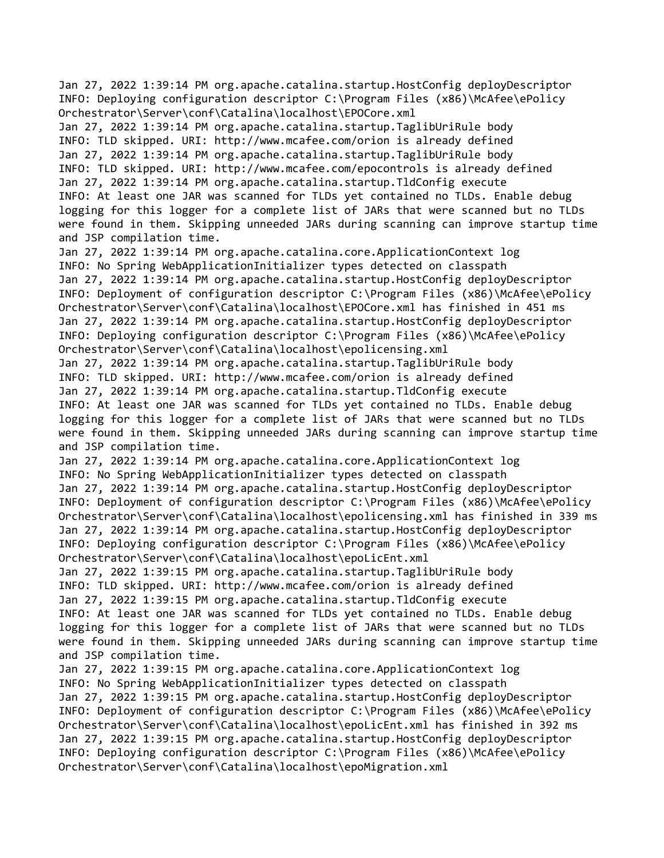Jan 27, 2022 1:39:14 PM org.apache.catalina.startup.HostConfig deployDescriptor INFO: Deploying configuration descriptor C:\Program Files (x86)\McAfee\ePolicy Orchestrator\Server\conf\Catalina\localhost\EPOCore.xml

Jan 27, 2022 1:39:14 PM org.apache.catalina.startup.TaglibUriRule body INFO: TLD skipped. URI: http://www.mcafee.com/orion is already defined Jan 27, 2022 1:39:14 PM org.apache.catalina.startup.TaglibUriRule body INFO: TLD skipped. URI: http://www.mcafee.com/epocontrols is already defined Jan 27, 2022 1:39:14 PM org.apache.catalina.startup.TldConfig execute INFO: At least one JAR was scanned for TLDs yet contained no TLDs. Enable debug logging for this logger for a complete list of JARs that were scanned but no TLDs were found in them. Skipping unneeded JARs during scanning can improve startup time and JSP compilation time.

Jan 27, 2022 1:39:14 PM org.apache.catalina.core.ApplicationContext log INFO: No Spring WebApplicationInitializer types detected on classpath Jan 27, 2022 1:39:14 PM org.apache.catalina.startup.HostConfig deployDescriptor INFO: Deployment of configuration descriptor C:\Program Files (x86)\McAfee\ePolicy Orchestrator\Server\conf\Catalina\localhost\EPOCore.xml has finished in 451 ms Jan 27, 2022 1:39:14 PM org.apache.catalina.startup.HostConfig deployDescriptor INFO: Deploying configuration descriptor C:\Program Files (x86)\McAfee\ePolicy Orchestrator\Server\conf\Catalina\localhost\epolicensing.xml Jan 27, 2022 1:39:14 PM org.apache.catalina.startup.TaglibUriRule body INFO: TLD skipped. URI: http://www.mcafee.com/orion is already defined Jan 27, 2022 1:39:14 PM org.apache.catalina.startup.TldConfig execute INFO: At least one JAR was scanned for TLDs yet contained no TLDs. Enable debug logging for this logger for a complete list of JARs that were scanned but no TLDs

were found in them. Skipping unneeded JARs during scanning can improve startup time and JSP compilation time.

Jan 27, 2022 1:39:14 PM org.apache.catalina.core.ApplicationContext log INFO: No Spring WebApplicationInitializer types detected on classpath Jan 27, 2022 1:39:14 PM org.apache.catalina.startup.HostConfig deployDescriptor INFO: Deployment of configuration descriptor C:\Program Files (x86)\McAfee\ePolicy Orchestrator\Server\conf\Catalina\localhost\epolicensing.xml has finished in 339 ms Jan 27, 2022 1:39:14 PM org.apache.catalina.startup.HostConfig deployDescriptor INFO: Deploying configuration descriptor C:\Program Files (x86)\McAfee\ePolicy Orchestrator\Server\conf\Catalina\localhost\epoLicEnt.xml

Jan 27, 2022 1:39:15 PM org.apache.catalina.startup.TaglibUriRule body INFO: TLD skipped. URI: http://www.mcafee.com/orion is already defined Jan 27, 2022 1:39:15 PM org.apache.catalina.startup.TldConfig execute INFO: At least one JAR was scanned for TLDs yet contained no TLDs. Enable debug logging for this logger for a complete list of JARs that were scanned but no TLDs were found in them. Skipping unneeded JARs during scanning can improve startup time and JSP compilation time.

Jan 27, 2022 1:39:15 PM org.apache.catalina.core.ApplicationContext log INFO: No Spring WebApplicationInitializer types detected on classpath Jan 27, 2022 1:39:15 PM org.apache.catalina.startup.HostConfig deployDescriptor INFO: Deployment of configuration descriptor C:\Program Files (x86)\McAfee\ePolicy Orchestrator\Server\conf\Catalina\localhost\epoLicEnt.xml has finished in 392 ms Jan 27, 2022 1:39:15 PM org.apache.catalina.startup.HostConfig deployDescriptor INFO: Deploying configuration descriptor C:\Program Files (x86)\McAfee\ePolicy Orchestrator\Server\conf\Catalina\localhost\epoMigration.xml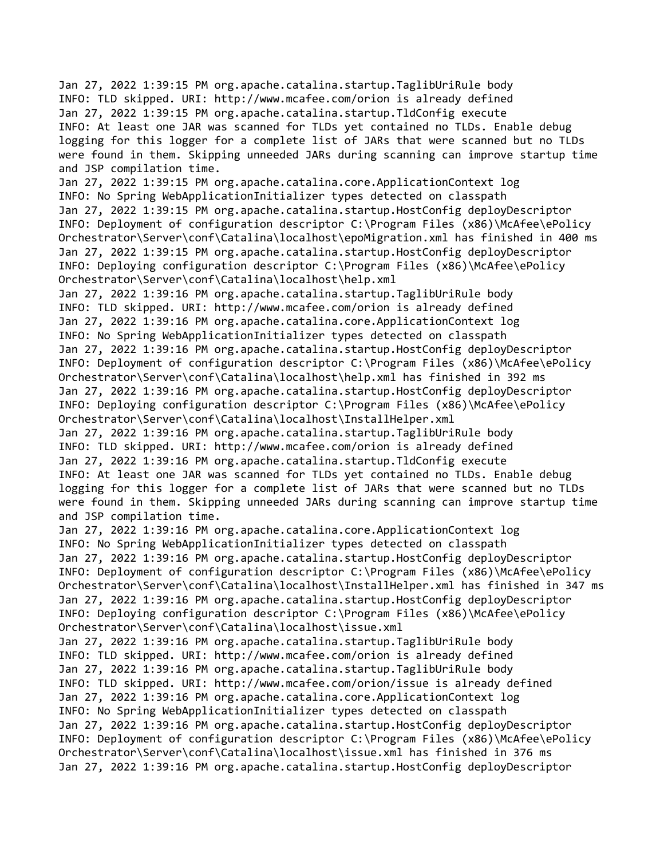Jan 27, 2022 1:39:15 PM org.apache.catalina.startup.TaglibUriRule body INFO: TLD skipped. URI: http://www.mcafee.com/orion is already defined Jan 27, 2022 1:39:15 PM org.apache.catalina.startup.TldConfig execute INFO: At least one JAR was scanned for TLDs yet contained no TLDs. Enable debug logging for this logger for a complete list of JARs that were scanned but no TLDs were found in them. Skipping unneeded JARs during scanning can improve startup time and JSP compilation time.

Jan 27, 2022 1:39:15 PM org.apache.catalina.core.ApplicationContext log INFO: No Spring WebApplicationInitializer types detected on classpath Jan 27, 2022 1:39:15 PM org.apache.catalina.startup.HostConfig deployDescriptor INFO: Deployment of configuration descriptor C:\Program Files (x86)\McAfee\ePolicy Orchestrator\Server\conf\Catalina\localhost\epoMigration.xml has finished in 400 ms Jan 27, 2022 1:39:15 PM org.apache.catalina.startup.HostConfig deployDescriptor INFO: Deploying configuration descriptor C:\Program Files (x86)\McAfee\ePolicy Orchestrator\Server\conf\Catalina\localhost\help.xml

Jan 27, 2022 1:39:16 PM org.apache.catalina.startup.TaglibUriRule body INFO: TLD skipped. URI: http://www.mcafee.com/orion is already defined Jan 27, 2022 1:39:16 PM org.apache.catalina.core.ApplicationContext log INFO: No Spring WebApplicationInitializer types detected on classpath Jan 27, 2022 1:39:16 PM org.apache.catalina.startup.HostConfig deployDescriptor INFO: Deployment of configuration descriptor C:\Program Files (x86)\McAfee\ePolicy Orchestrator\Server\conf\Catalina\localhost\help.xml has finished in 392 ms Jan 27, 2022 1:39:16 PM org.apache.catalina.startup.HostConfig deployDescriptor INFO: Deploying configuration descriptor C:\Program Files (x86)\McAfee\ePolicy Orchestrator\Server\conf\Catalina\localhost\InstallHelper.xml Jan 27, 2022 1:39:16 PM org.apache.catalina.startup.TaglibUriRule body INFO: TLD skipped. URI: http://www.mcafee.com/orion is already defined Jan 27, 2022 1:39:16 PM org.apache.catalina.startup.TldConfig execute INFO: At least one JAR was scanned for TLDs yet contained no TLDs. Enable debug logging for this logger for a complete list of JARs that were scanned but no TLDs were found in them. Skipping unneeded JARs during scanning can improve startup time and JSP compilation time.

Jan 27, 2022 1:39:16 PM org.apache.catalina.core.ApplicationContext log INFO: No Spring WebApplicationInitializer types detected on classpath Jan 27, 2022 1:39:16 PM org.apache.catalina.startup.HostConfig deployDescriptor INFO: Deployment of configuration descriptor C:\Program Files (x86)\McAfee\ePolicy Orchestrator\Server\conf\Catalina\localhost\InstallHelper.xml has finished in 347 ms Jan 27, 2022 1:39:16 PM org.apache.catalina.startup.HostConfig deployDescriptor INFO: Deploying configuration descriptor C:\Program Files (x86)\McAfee\ePolicy Orchestrator\Server\conf\Catalina\localhost\issue.xml

Jan 27, 2022 1:39:16 PM org.apache.catalina.startup.TaglibUriRule body INFO: TLD skipped. URI: http://www.mcafee.com/orion is already defined Jan 27, 2022 1:39:16 PM org.apache.catalina.startup.TaglibUriRule body INFO: TLD skipped. URI: http://www.mcafee.com/orion/issue is already defined Jan 27, 2022 1:39:16 PM org.apache.catalina.core.ApplicationContext log INFO: No Spring WebApplicationInitializer types detected on classpath Jan 27, 2022 1:39:16 PM org.apache.catalina.startup.HostConfig deployDescriptor INFO: Deployment of configuration descriptor C:\Program Files (x86)\McAfee\ePolicy Orchestrator\Server\conf\Catalina\localhost\issue.xml has finished in 376 ms Jan 27, 2022 1:39:16 PM org.apache.catalina.startup.HostConfig deployDescriptor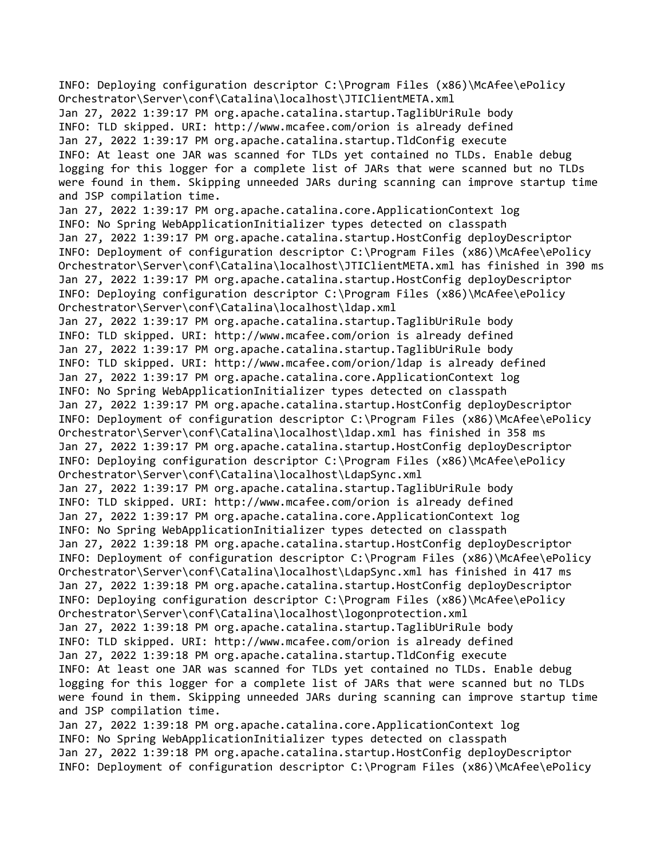INFO: Deploying configuration descriptor C:\Program Files (x86)\McAfee\ePolicy Orchestrator\Server\conf\Catalina\localhost\JTIClientMETA.xml Jan 27, 2022 1:39:17 PM org.apache.catalina.startup.TaglibUriRule body INFO: TLD skipped. URI: http://www.mcafee.com/orion is already defined Jan 27, 2022 1:39:17 PM org.apache.catalina.startup.TldConfig execute INFO: At least one JAR was scanned for TLDs yet contained no TLDs. Enable debug logging for this logger for a complete list of JARs that were scanned but no TLDs were found in them. Skipping unneeded JARs during scanning can improve startup time and JSP compilation time. Jan 27, 2022 1:39:17 PM org.apache.catalina.core.ApplicationContext log INFO: No Spring WebApplicationInitializer types detected on classpath Jan 27, 2022 1:39:17 PM org.apache.catalina.startup.HostConfig deployDescriptor INFO: Deployment of configuration descriptor C:\Program Files (x86)\McAfee\ePolicy Orchestrator\Server\conf\Catalina\localhost\JTIClientMETA.xml has finished in 390 ms Jan 27, 2022 1:39:17 PM org.apache.catalina.startup.HostConfig deployDescriptor INFO: Deploying configuration descriptor C:\Program Files (x86)\McAfee\ePolicy Orchestrator\Server\conf\Catalina\localhost\ldap.xml Jan 27, 2022 1:39:17 PM org.apache.catalina.startup.TaglibUriRule body INFO: TLD skipped. URI: http://www.mcafee.com/orion is already defined Jan 27, 2022 1:39:17 PM org.apache.catalina.startup.TaglibUriRule body INFO: TLD skipped. URI: http://www.mcafee.com/orion/ldap is already defined Jan 27, 2022 1:39:17 PM org.apache.catalina.core.ApplicationContext log INFO: No Spring WebApplicationInitializer types detected on classpath Jan 27, 2022 1:39:17 PM org.apache.catalina.startup.HostConfig deployDescriptor INFO: Deployment of configuration descriptor C:\Program Files (x86)\McAfee\ePolicy Orchestrator\Server\conf\Catalina\localhost\ldap.xml has finished in 358 ms Jan 27, 2022 1:39:17 PM org.apache.catalina.startup.HostConfig deployDescriptor INFO: Deploying configuration descriptor C:\Program Files (x86)\McAfee\ePolicy Orchestrator\Server\conf\Catalina\localhost\LdapSync.xml Jan 27, 2022 1:39:17 PM org.apache.catalina.startup.TaglibUriRule body INFO: TLD skipped. URI: http://www.mcafee.com/orion is already defined Jan 27, 2022 1:39:17 PM org.apache.catalina.core.ApplicationContext log INFO: No Spring WebApplicationInitializer types detected on classpath Jan 27, 2022 1:39:18 PM org.apache.catalina.startup.HostConfig deployDescriptor INFO: Deployment of configuration descriptor C:\Program Files (x86)\McAfee\ePolicy Orchestrator\Server\conf\Catalina\localhost\LdapSync.xml has finished in 417 ms Jan 27, 2022 1:39:18 PM org.apache.catalina.startup.HostConfig deployDescriptor INFO: Deploying configuration descriptor C:\Program Files (x86)\McAfee\ePolicy Orchestrator\Server\conf\Catalina\localhost\logonprotection.xml Jan 27, 2022 1:39:18 PM org.apache.catalina.startup.TaglibUriRule body INFO: TLD skipped. URI: http://www.mcafee.com/orion is already defined Jan 27, 2022 1:39:18 PM org.apache.catalina.startup.TldConfig execute INFO: At least one JAR was scanned for TLDs yet contained no TLDs. Enable debug logging for this logger for a complete list of JARs that were scanned but no TLDs were found in them. Skipping unneeded JARs during scanning can improve startup time and JSP compilation time. Jan 27, 2022 1:39:18 PM org.apache.catalina.core.ApplicationContext log INFO: No Spring WebApplicationInitializer types detected on classpath Jan 27, 2022 1:39:18 PM org.apache.catalina.startup.HostConfig deployDescriptor INFO: Deployment of configuration descriptor C:\Program Files (x86)\McAfee\ePolicy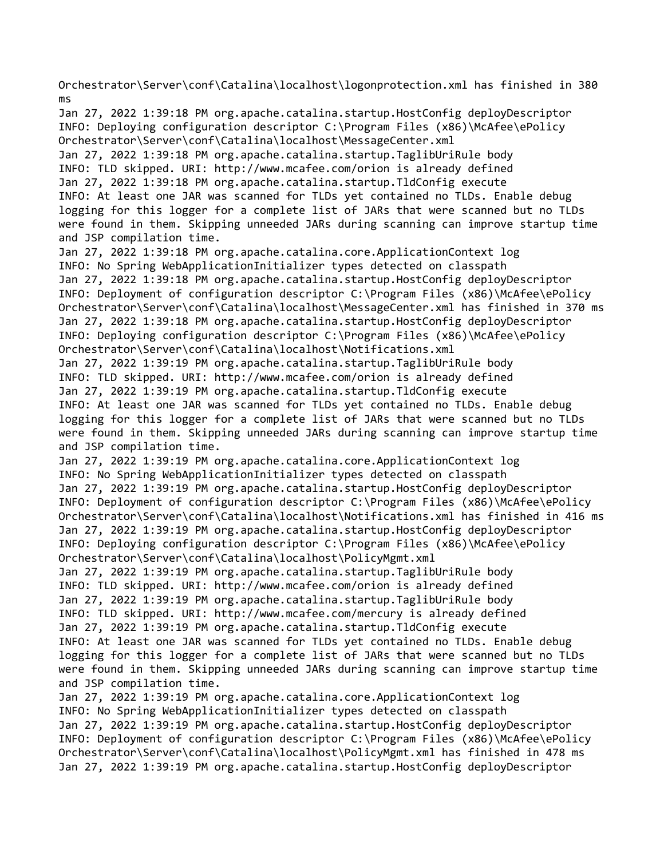Orchestrator\Server\conf\Catalina\localhost\logonprotection.xml has finished in 380 ms

Jan 27, 2022 1:39:18 PM org.apache.catalina.startup.HostConfig deployDescriptor INFO: Deploying configuration descriptor C:\Program Files (x86)\McAfee\ePolicy Orchestrator\Server\conf\Catalina\localhost\MessageCenter.xml Jan 27, 2022 1:39:18 PM org.apache.catalina.startup.TaglibUriRule body INFO: TLD skipped. URI: http://www.mcafee.com/orion is already defined Jan 27, 2022 1:39:18 PM org.apache.catalina.startup.TldConfig execute INFO: At least one JAR was scanned for TLDs yet contained no TLDs. Enable debug logging for this logger for a complete list of JARs that were scanned but no TLDs were found in them. Skipping unneeded JARs during scanning can improve startup time and JSP compilation time. Jan 27, 2022 1:39:18 PM org.apache.catalina.core.ApplicationContext log INFO: No Spring WebApplicationInitializer types detected on classpath Jan 27, 2022 1:39:18 PM org.apache.catalina.startup.HostConfig deployDescriptor INFO: Deployment of configuration descriptor C:\Program Files (x86)\McAfee\ePolicy Orchestrator\Server\conf\Catalina\localhost\MessageCenter.xml has finished in 370 ms Jan 27, 2022 1:39:18 PM org.apache.catalina.startup.HostConfig deployDescriptor INFO: Deploying configuration descriptor C:\Program Files (x86)\McAfee\ePolicy Orchestrator\Server\conf\Catalina\localhost\Notifications.xml Jan 27, 2022 1:39:19 PM org.apache.catalina.startup.TaglibUriRule body INFO: TLD skipped. URI: http://www.mcafee.com/orion is already defined Jan 27, 2022 1:39:19 PM org.apache.catalina.startup.TldConfig execute INFO: At least one JAR was scanned for TLDs yet contained no TLDs. Enable debug logging for this logger for a complete list of JARs that were scanned but no TLDs were found in them. Skipping unneeded JARs during scanning can improve startup time and JSP compilation time. Jan 27, 2022 1:39:19 PM org.apache.catalina.core.ApplicationContext log INFO: No Spring WebApplicationInitializer types detected on classpath Jan 27, 2022 1:39:19 PM org.apache.catalina.startup.HostConfig deployDescriptor INFO: Deployment of configuration descriptor C:\Program Files (x86)\McAfee\ePolicy Orchestrator\Server\conf\Catalina\localhost\Notifications.xml has finished in 416 ms Jan 27, 2022 1:39:19 PM org.apache.catalina.startup.HostConfig deployDescriptor INFO: Deploying configuration descriptor C:\Program Files (x86)\McAfee\ePolicy Orchestrator\Server\conf\Catalina\localhost\PolicyMgmt.xml Jan 27, 2022 1:39:19 PM org.apache.catalina.startup.TaglibUriRule body INFO: TLD skipped. URI: http://www.mcafee.com/orion is already defined Jan 27, 2022 1:39:19 PM org.apache.catalina.startup.TaglibUriRule body INFO: TLD skipped. URI: http://www.mcafee.com/mercury is already defined Jan 27, 2022 1:39:19 PM org.apache.catalina.startup.TldConfig execute INFO: At least one JAR was scanned for TLDs yet contained no TLDs. Enable debug logging for this logger for a complete list of JARs that were scanned but no TLDs were found in them. Skipping unneeded JARs during scanning can improve startup time and JSP compilation time. Jan 27, 2022 1:39:19 PM org.apache.catalina.core.ApplicationContext log INFO: No Spring WebApplicationInitializer types detected on classpath

Jan 27, 2022 1:39:19 PM org.apache.catalina.startup.HostConfig deployDescriptor INFO: Deployment of configuration descriptor C:\Program Files (x86)\McAfee\ePolicy Orchestrator\Server\conf\Catalina\localhost\PolicyMgmt.xml has finished in 478 ms Jan 27, 2022 1:39:19 PM org.apache.catalina.startup.HostConfig deployDescriptor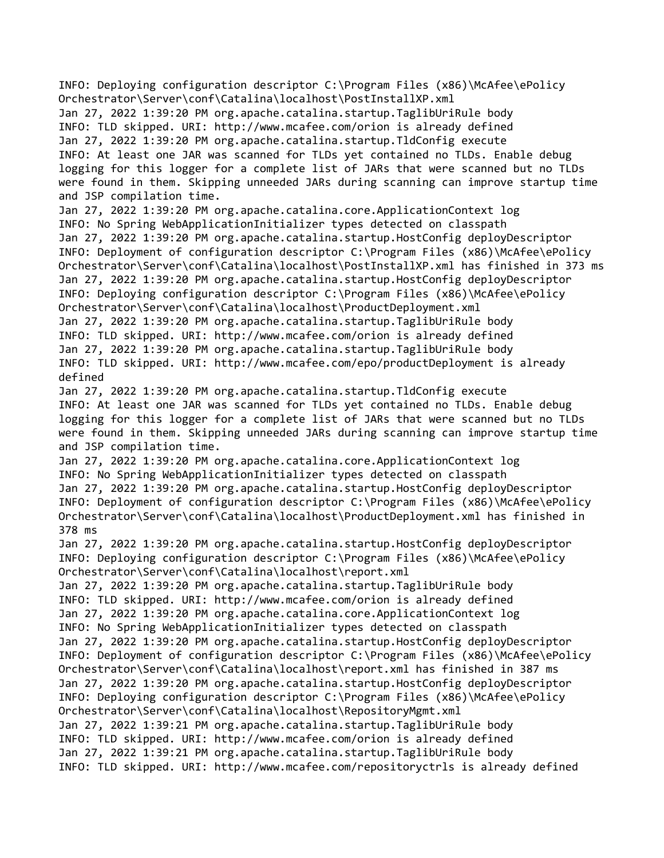INFO: Deploying configuration descriptor C:\Program Files (x86)\McAfee\ePolicy Orchestrator\Server\conf\Catalina\localhost\PostInstallXP.xml Jan 27, 2022 1:39:20 PM org.apache.catalina.startup.TaglibUriRule body INFO: TLD skipped. URI: http://www.mcafee.com/orion is already defined Jan 27, 2022 1:39:20 PM org.apache.catalina.startup.TldConfig execute INFO: At least one JAR was scanned for TLDs yet contained no TLDs. Enable debug logging for this logger for a complete list of JARs that were scanned but no TLDs were found in them. Skipping unneeded JARs during scanning can improve startup time and JSP compilation time. Jan 27, 2022 1:39:20 PM org.apache.catalina.core.ApplicationContext log INFO: No Spring WebApplicationInitializer types detected on classpath Jan 27, 2022 1:39:20 PM org.apache.catalina.startup.HostConfig deployDescriptor INFO: Deployment of configuration descriptor C:\Program Files (x86)\McAfee\ePolicy Orchestrator\Server\conf\Catalina\localhost\PostInstallXP.xml has finished in 373 ms Jan 27, 2022 1:39:20 PM org.apache.catalina.startup.HostConfig deployDescriptor INFO: Deploying configuration descriptor C:\Program Files (x86)\McAfee\ePolicy Orchestrator\Server\conf\Catalina\localhost\ProductDeployment.xml Jan 27, 2022 1:39:20 PM org.apache.catalina.startup.TaglibUriRule body INFO: TLD skipped. URI: http://www.mcafee.com/orion is already defined Jan 27, 2022 1:39:20 PM org.apache.catalina.startup.TaglibUriRule body INFO: TLD skipped. URI: http://www.mcafee.com/epo/productDeployment is already defined Jan 27, 2022 1:39:20 PM org.apache.catalina.startup.TldConfig execute INFO: At least one JAR was scanned for TLDs yet contained no TLDs. Enable debug logging for this logger for a complete list of JARs that were scanned but no TLDs were found in them. Skipping unneeded JARs during scanning can improve startup time and JSP compilation time. Jan 27, 2022 1:39:20 PM org.apache.catalina.core.ApplicationContext log INFO: No Spring WebApplicationInitializer types detected on classpath Jan 27, 2022 1:39:20 PM org.apache.catalina.startup.HostConfig deployDescriptor INFO: Deployment of configuration descriptor C:\Program Files (x86)\McAfee\ePolicy Orchestrator\Server\conf\Catalina\localhost\ProductDeployment.xml has finished in 378 ms Jan 27, 2022 1:39:20 PM org.apache.catalina.startup.HostConfig deployDescriptor INFO: Deploying configuration descriptor C:\Program Files (x86)\McAfee\ePolicy Orchestrator\Server\conf\Catalina\localhost\report.xml Jan 27, 2022 1:39:20 PM org.apache.catalina.startup.TaglibUriRule body INFO: TLD skipped. URI: http://www.mcafee.com/orion is already defined Jan 27, 2022 1:39:20 PM org.apache.catalina.core.ApplicationContext log INFO: No Spring WebApplicationInitializer types detected on classpath Jan 27, 2022 1:39:20 PM org.apache.catalina.startup.HostConfig deployDescriptor INFO: Deployment of configuration descriptor C:\Program Files (x86)\McAfee\ePolicy Orchestrator\Server\conf\Catalina\localhost\report.xml has finished in 387 ms Jan 27, 2022 1:39:20 PM org.apache.catalina.startup.HostConfig deployDescriptor INFO: Deploying configuration descriptor C:\Program Files (x86)\McAfee\ePolicy Orchestrator\Server\conf\Catalina\localhost\RepositoryMgmt.xml Jan 27, 2022 1:39:21 PM org.apache.catalina.startup.TaglibUriRule body INFO: TLD skipped. URI: http://www.mcafee.com/orion is already defined Jan 27, 2022 1:39:21 PM org.apache.catalina.startup.TaglibUriRule body INFO: TLD skipped. URI: http://www.mcafee.com/repositoryctrls is already defined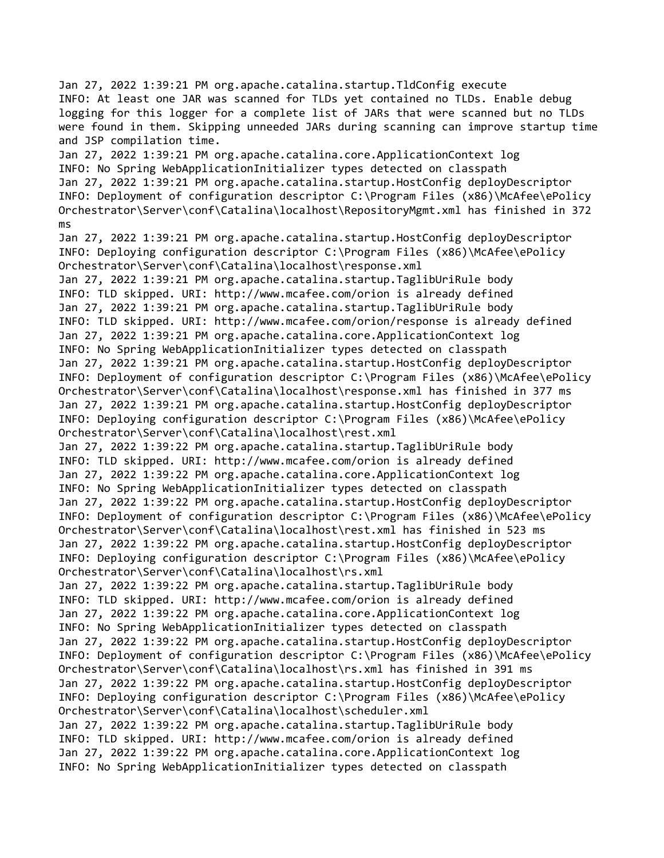Jan 27, 2022 1:39:21 PM org.apache.catalina.startup.TldConfig execute INFO: At least one JAR was scanned for TLDs yet contained no TLDs. Enable debug logging for this logger for a complete list of JARs that were scanned but no TLDs were found in them. Skipping unneeded JARs during scanning can improve startup time and JSP compilation time. Jan 27, 2022 1:39:21 PM org.apache.catalina.core.ApplicationContext log INFO: No Spring WebApplicationInitializer types detected on classpath Jan 27, 2022 1:39:21 PM org.apache.catalina.startup.HostConfig deployDescriptor INFO: Deployment of configuration descriptor C:\Program Files (x86)\McAfee\ePolicy Orchestrator\Server\conf\Catalina\localhost\RepositoryMgmt.xml has finished in 372 ms Jan 27, 2022 1:39:21 PM org.apache.catalina.startup.HostConfig deployDescriptor INFO: Deploying configuration descriptor C:\Program Files (x86)\McAfee\ePolicy Orchestrator\Server\conf\Catalina\localhost\response.xml Jan 27, 2022 1:39:21 PM org.apache.catalina.startup.TaglibUriRule body INFO: TLD skipped. URI: http://www.mcafee.com/orion is already defined Jan 27, 2022 1:39:21 PM org.apache.catalina.startup.TaglibUriRule body INFO: TLD skipped. URI: http://www.mcafee.com/orion/response is already defined Jan 27, 2022 1:39:21 PM org.apache.catalina.core.ApplicationContext log INFO: No Spring WebApplicationInitializer types detected on classpath Jan 27, 2022 1:39:21 PM org.apache.catalina.startup.HostConfig deployDescriptor INFO: Deployment of configuration descriptor C:\Program Files (x86)\McAfee\ePolicy Orchestrator\Server\conf\Catalina\localhost\response.xml has finished in 377 ms Jan 27, 2022 1:39:21 PM org.apache.catalina.startup.HostConfig deployDescriptor INFO: Deploying configuration descriptor C:\Program Files (x86)\McAfee\ePolicy Orchestrator\Server\conf\Catalina\localhost\rest.xml Jan 27, 2022 1:39:22 PM org.apache.catalina.startup.TaglibUriRule body INFO: TLD skipped. URI: http://www.mcafee.com/orion is already defined Jan 27, 2022 1:39:22 PM org.apache.catalina.core.ApplicationContext log INFO: No Spring WebApplicationInitializer types detected on classpath Jan 27, 2022 1:39:22 PM org.apache.catalina.startup.HostConfig deployDescriptor INFO: Deployment of configuration descriptor C:\Program Files (x86)\McAfee\ePolicy Orchestrator\Server\conf\Catalina\localhost\rest.xml has finished in 523 ms Jan 27, 2022 1:39:22 PM org.apache.catalina.startup.HostConfig deployDescriptor INFO: Deploying configuration descriptor C:\Program Files (x86)\McAfee\ePolicy Orchestrator\Server\conf\Catalina\localhost\rs.xml Jan 27, 2022 1:39:22 PM org.apache.catalina.startup.TaglibUriRule body INFO: TLD skipped. URI: http://www.mcafee.com/orion is already defined Jan 27, 2022 1:39:22 PM org.apache.catalina.core.ApplicationContext log INFO: No Spring WebApplicationInitializer types detected on classpath Jan 27, 2022 1:39:22 PM org.apache.catalina.startup.HostConfig deployDescriptor INFO: Deployment of configuration descriptor C:\Program Files (x86)\McAfee\ePolicy Orchestrator\Server\conf\Catalina\localhost\rs.xml has finished in 391 ms Jan 27, 2022 1:39:22 PM org.apache.catalina.startup.HostConfig deployDescriptor INFO: Deploying configuration descriptor C:\Program Files (x86)\McAfee\ePolicy Orchestrator\Server\conf\Catalina\localhost\scheduler.xml Jan 27, 2022 1:39:22 PM org.apache.catalina.startup.TaglibUriRule body INFO: TLD skipped. URI: http://www.mcafee.com/orion is already defined Jan 27, 2022 1:39:22 PM org.apache.catalina.core.ApplicationContext log INFO: No Spring WebApplicationInitializer types detected on classpath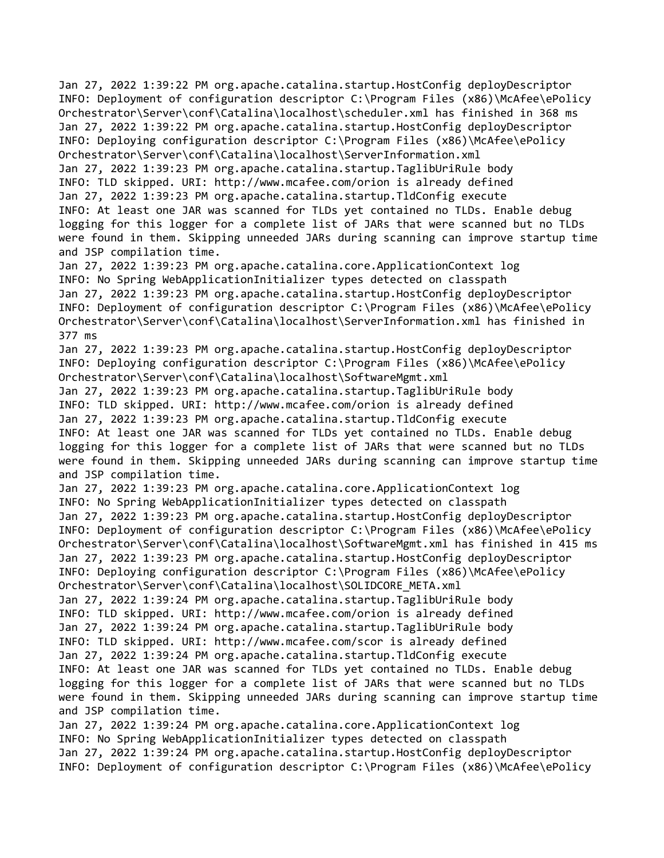Jan 27, 2022 1:39:22 PM org.apache.catalina.startup.HostConfig deployDescriptor INFO: Deployment of configuration descriptor C:\Program Files (x86)\McAfee\ePolicy Orchestrator\Server\conf\Catalina\localhost\scheduler.xml has finished in 368 ms Jan 27, 2022 1:39:22 PM org.apache.catalina.startup.HostConfig deployDescriptor INFO: Deploying configuration descriptor C:\Program Files (x86)\McAfee\ePolicy Orchestrator\Server\conf\Catalina\localhost\ServerInformation.xml Jan 27, 2022 1:39:23 PM org.apache.catalina.startup.TaglibUriRule body INFO: TLD skipped. URI: http://www.mcafee.com/orion is already defined

Jan 27, 2022 1:39:23 PM org.apache.catalina.startup.TldConfig execute INFO: At least one JAR was scanned for TLDs yet contained no TLDs. Enable debug logging for this logger for a complete list of JARs that were scanned but no TLDs were found in them. Skipping unneeded JARs during scanning can improve startup time and JSP compilation time.

Jan 27, 2022 1:39:23 PM org.apache.catalina.core.ApplicationContext log INFO: No Spring WebApplicationInitializer types detected on classpath Jan 27, 2022 1:39:23 PM org.apache.catalina.startup.HostConfig deployDescriptor INFO: Deployment of configuration descriptor C:\Program Files (x86)\McAfee\ePolicy Orchestrator\Server\conf\Catalina\localhost\ServerInformation.xml has finished in 377 ms

Jan 27, 2022 1:39:23 PM org.apache.catalina.startup.HostConfig deployDescriptor INFO: Deploying configuration descriptor C:\Program Files (x86)\McAfee\ePolicy Orchestrator\Server\conf\Catalina\localhost\SoftwareMgmt.xml

Jan 27, 2022 1:39:23 PM org.apache.catalina.startup.TaglibUriRule body INFO: TLD skipped. URI: http://www.mcafee.com/orion is already defined Jan 27, 2022 1:39:23 PM org.apache.catalina.startup.TldConfig execute INFO: At least one JAR was scanned for TLDs yet contained no TLDs. Enable debug logging for this logger for a complete list of JARs that were scanned but no TLDs were found in them. Skipping unneeded JARs during scanning can improve startup time and JSP compilation time.

Jan 27, 2022 1:39:23 PM org.apache.catalina.core.ApplicationContext log INFO: No Spring WebApplicationInitializer types detected on classpath Jan 27, 2022 1:39:23 PM org.apache.catalina.startup.HostConfig deployDescriptor INFO: Deployment of configuration descriptor C:\Program Files (x86)\McAfee\ePolicy Orchestrator\Server\conf\Catalina\localhost\SoftwareMgmt.xml has finished in 415 ms Jan 27, 2022 1:39:23 PM org.apache.catalina.startup.HostConfig deployDescriptor INFO: Deploying configuration descriptor C:\Program Files (x86)\McAfee\ePolicy Orchestrator\Server\conf\Catalina\localhost\SOLIDCORE\_META.xml Jan 27, 2022 1:39:24 PM org.apache.catalina.startup.TaglibUriRule body INFO: TLD skipped. URI: http://www.mcafee.com/orion is already defined Jan 27, 2022 1:39:24 PM org.apache.catalina.startup.TaglibUriRule body INFO: TLD skipped. URI: http://www.mcafee.com/scor is already defined Jan 27, 2022 1:39:24 PM org.apache.catalina.startup.TldConfig execute INFO: At least one JAR was scanned for TLDs yet contained no TLDs. Enable debug logging for this logger for a complete list of JARs that were scanned but no TLDs were found in them. Skipping unneeded JARs during scanning can improve startup time

and JSP compilation time. Jan 27, 2022 1:39:24 PM org.apache.catalina.core.ApplicationContext log INFO: No Spring WebApplicationInitializer types detected on classpath Jan 27, 2022 1:39:24 PM org.apache.catalina.startup.HostConfig deployDescriptor INFO: Deployment of configuration descriptor C:\Program Files (x86)\McAfee\ePolicy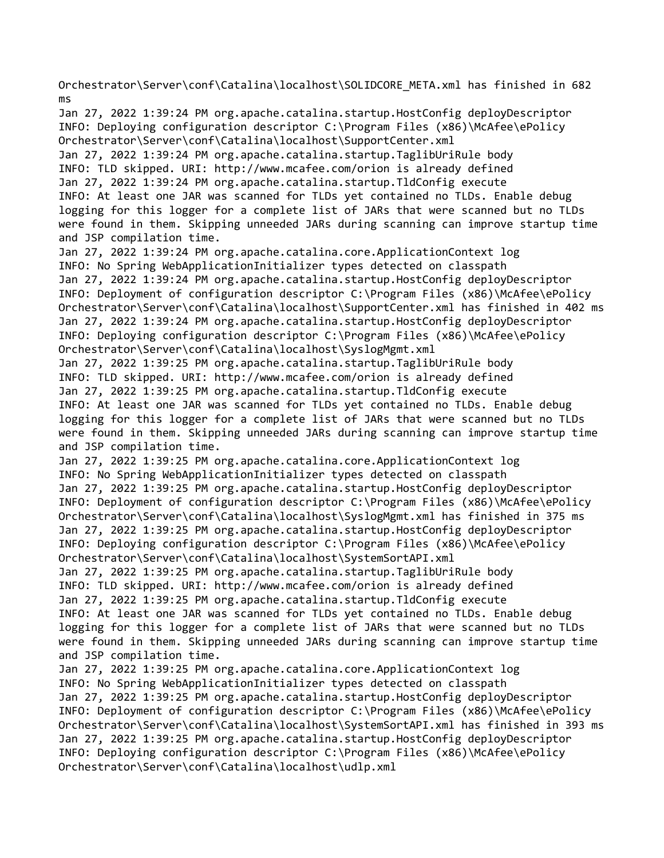Orchestrator\Server\conf\Catalina\localhost\SOLIDCORE\_META.xml has finished in 682 ms

Jan 27, 2022 1:39:24 PM org.apache.catalina.startup.HostConfig deployDescriptor INFO: Deploying configuration descriptor C:\Program Files (x86)\McAfee\ePolicy Orchestrator\Server\conf\Catalina\localhost\SupportCenter.xml Jan 27, 2022 1:39:24 PM org.apache.catalina.startup.TaglibUriRule body INFO: TLD skipped. URI: http://www.mcafee.com/orion is already defined Jan 27, 2022 1:39:24 PM org.apache.catalina.startup.TldConfig execute INFO: At least one JAR was scanned for TLDs yet contained no TLDs. Enable debug logging for this logger for a complete list of JARs that were scanned but no TLDs were found in them. Skipping unneeded JARs during scanning can improve startup time and JSP compilation time. Jan 27, 2022 1:39:24 PM org.apache.catalina.core.ApplicationContext log INFO: No Spring WebApplicationInitializer types detected on classpath Jan 27, 2022 1:39:24 PM org.apache.catalina.startup.HostConfig deployDescriptor INFO: Deployment of configuration descriptor C:\Program Files (x86)\McAfee\ePolicy Orchestrator\Server\conf\Catalina\localhost\SupportCenter.xml has finished in 402 ms Jan 27, 2022 1:39:24 PM org.apache.catalina.startup.HostConfig deployDescriptor INFO: Deploying configuration descriptor C:\Program Files (x86)\McAfee\ePolicy Orchestrator\Server\conf\Catalina\localhost\SyslogMgmt.xml Jan 27, 2022 1:39:25 PM org.apache.catalina.startup.TaglibUriRule body INFO: TLD skipped. URI: http://www.mcafee.com/orion is already defined Jan 27, 2022 1:39:25 PM org.apache.catalina.startup.TldConfig execute INFO: At least one JAR was scanned for TLDs yet contained no TLDs. Enable debug logging for this logger for a complete list of JARs that were scanned but no TLDs were found in them. Skipping unneeded JARs during scanning can improve startup time and JSP compilation time. Jan 27, 2022 1:39:25 PM org.apache.catalina.core.ApplicationContext log INFO: No Spring WebApplicationInitializer types detected on classpath Jan 27, 2022 1:39:25 PM org.apache.catalina.startup.HostConfig deployDescriptor INFO: Deployment of configuration descriptor C:\Program Files (x86)\McAfee\ePolicy Orchestrator\Server\conf\Catalina\localhost\SyslogMgmt.xml has finished in 375 ms Jan 27, 2022 1:39:25 PM org.apache.catalina.startup.HostConfig deployDescriptor INFO: Deploying configuration descriptor C:\Program Files (x86)\McAfee\ePolicy Orchestrator\Server\conf\Catalina\localhost\SystemSortAPI.xml Jan 27, 2022 1:39:25 PM org.apache.catalina.startup.TaglibUriRule body INFO: TLD skipped. URI: http://www.mcafee.com/orion is already defined Jan 27, 2022 1:39:25 PM org.apache.catalina.startup.TldConfig execute INFO: At least one JAR was scanned for TLDs yet contained no TLDs. Enable debug logging for this logger for a complete list of JARs that were scanned but no TLDs were found in them. Skipping unneeded JARs during scanning can improve startup time and JSP compilation time. Jan 27, 2022 1:39:25 PM org.apache.catalina.core.ApplicationContext log INFO: No Spring WebApplicationInitializer types detected on classpath Jan 27, 2022 1:39:25 PM org.apache.catalina.startup.HostConfig deployDescriptor INFO: Deployment of configuration descriptor C:\Program Files (x86)\McAfee\ePolicy Orchestrator\Server\conf\Catalina\localhost\SystemSortAPI.xml has finished in 393 ms Jan 27, 2022 1:39:25 PM org.apache.catalina.startup.HostConfig deployDescriptor INFO: Deploying configuration descriptor C:\Program Files (x86)\McAfee\ePolicy

Orchestrator\Server\conf\Catalina\localhost\udlp.xml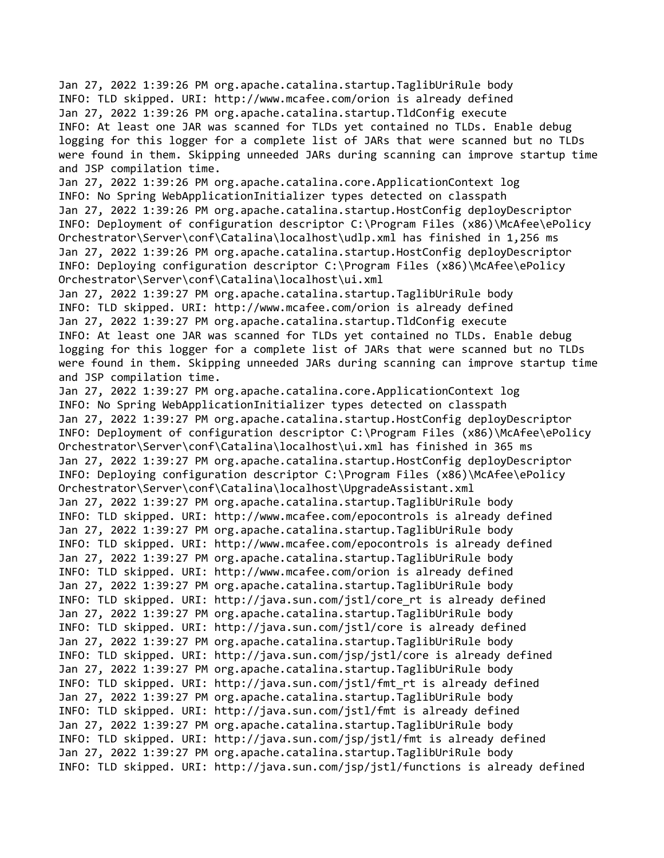Jan 27, 2022 1:39:26 PM org.apache.catalina.startup.TaglibUriRule body INFO: TLD skipped. URI: http://www.mcafee.com/orion is already defined Jan 27, 2022 1:39:26 PM org.apache.catalina.startup.TldConfig execute INFO: At least one JAR was scanned for TLDs yet contained no TLDs. Enable debug logging for this logger for a complete list of JARs that were scanned but no TLDs were found in them. Skipping unneeded JARs during scanning can improve startup time and JSP compilation time.

Jan 27, 2022 1:39:26 PM org.apache.catalina.core.ApplicationContext log INFO: No Spring WebApplicationInitializer types detected on classpath Jan 27, 2022 1:39:26 PM org.apache.catalina.startup.HostConfig deployDescriptor INFO: Deployment of configuration descriptor C:\Program Files (x86)\McAfee\ePolicy Orchestrator\Server\conf\Catalina\localhost\udlp.xml has finished in 1,256 ms Jan 27, 2022 1:39:26 PM org.apache.catalina.startup.HostConfig deployDescriptor INFO: Deploying configuration descriptor C:\Program Files (x86)\McAfee\ePolicy Orchestrator\Server\conf\Catalina\localhost\ui.xml

Jan 27, 2022 1:39:27 PM org.apache.catalina.startup.TaglibUriRule body INFO: TLD skipped. URI: http://www.mcafee.com/orion is already defined Jan 27, 2022 1:39:27 PM org.apache.catalina.startup.TldConfig execute INFO: At least one JAR was scanned for TLDs yet contained no TLDs. Enable debug logging for this logger for a complete list of JARs that were scanned but no TLDs were found in them. Skipping unneeded JARs during scanning can improve startup time and JSP compilation time.

Jan 27, 2022 1:39:27 PM org.apache.catalina.core.ApplicationContext log INFO: No Spring WebApplicationInitializer types detected on classpath Jan 27, 2022 1:39:27 PM org.apache.catalina.startup.HostConfig deployDescriptor INFO: Deployment of configuration descriptor C:\Program Files (x86)\McAfee\ePolicy Orchestrator\Server\conf\Catalina\localhost\ui.xml has finished in 365 ms Jan 27, 2022 1:39:27 PM org.apache.catalina.startup.HostConfig deployDescriptor INFO: Deploying configuration descriptor C:\Program Files (x86)\McAfee\ePolicy Orchestrator\Server\conf\Catalina\localhost\UpgradeAssistant.xml Jan 27, 2022 1:39:27 PM org.apache.catalina.startup.TaglibUriRule body INFO: TLD skipped. URI: http://www.mcafee.com/epocontrols is already defined Jan 27, 2022 1:39:27 PM org.apache.catalina.startup.TaglibUriRule body INFO: TLD skipped. URI: http://www.mcafee.com/epocontrols is already defined Jan 27, 2022 1:39:27 PM org.apache.catalina.startup.TaglibUriRule body INFO: TLD skipped. URI: http://www.mcafee.com/orion is already defined Jan 27, 2022 1:39:27 PM org.apache.catalina.startup.TaglibUriRule body INFO: TLD skipped. URI: http://java.sun.com/jstl/core\_rt is already defined Jan 27, 2022 1:39:27 PM org.apache.catalina.startup.TaglibUriRule body INFO: TLD skipped. URI: http://java.sun.com/jstl/core is already defined Jan 27, 2022 1:39:27 PM org.apache.catalina.startup.TaglibUriRule body INFO: TLD skipped. URI: http://java.sun.com/jsp/jstl/core is already defined Jan 27, 2022 1:39:27 PM org.apache.catalina.startup.TaglibUriRule body INFO: TLD skipped. URI: http://java.sun.com/jstl/fmt\_rt is already defined Jan 27, 2022 1:39:27 PM org.apache.catalina.startup.TaglibUriRule body INFO: TLD skipped. URI: http://java.sun.com/jstl/fmt is already defined Jan 27, 2022 1:39:27 PM org.apache.catalina.startup.TaglibUriRule body INFO: TLD skipped. URI: http://java.sun.com/jsp/jstl/fmt is already defined Jan 27, 2022 1:39:27 PM org.apache.catalina.startup.TaglibUriRule body INFO: TLD skipped. URI: http://java.sun.com/jsp/jstl/functions is already defined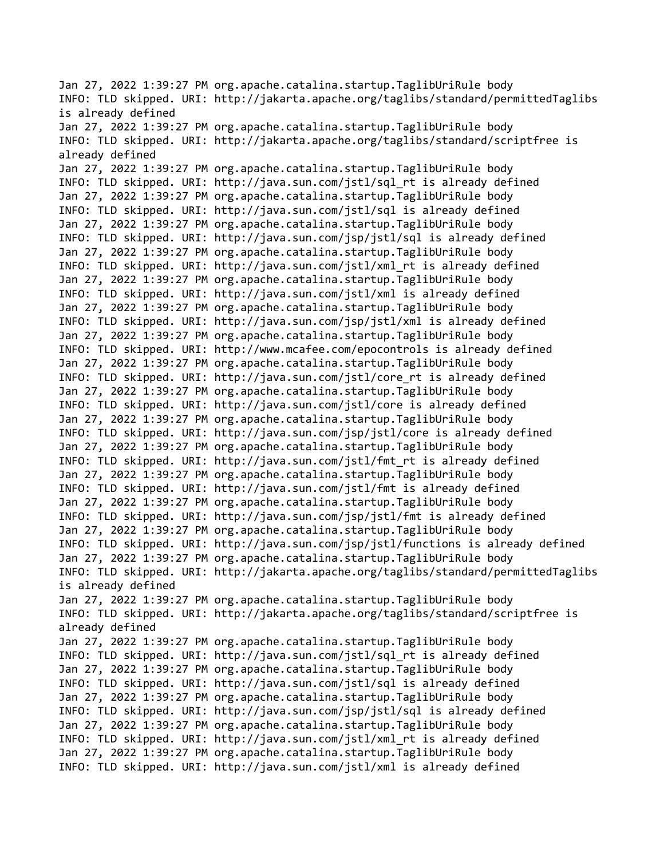Jan 27, 2022 1:39:27 PM org.apache.catalina.startup.TaglibUriRule body INFO: TLD skipped. URI: http://jakarta.apache.org/taglibs/standard/permittedTaglibs is already defined Jan 27, 2022 1:39:27 PM org.apache.catalina.startup.TaglibUriRule body INFO: TLD skipped. URI: http://jakarta.apache.org/taglibs/standard/scriptfree is already defined Jan 27, 2022 1:39:27 PM org.apache.catalina.startup.TaglibUriRule body INFO: TLD skipped. URI: http://java.sun.com/jstl/sql\_rt is already defined Jan 27, 2022 1:39:27 PM org.apache.catalina.startup.TaglibUriRule body INFO: TLD skipped. URI: http://java.sun.com/jstl/sql is already defined Jan 27, 2022 1:39:27 PM org.apache.catalina.startup.TaglibUriRule body INFO: TLD skipped. URI: http://java.sun.com/jsp/jstl/sql is already defined Jan 27, 2022 1:39:27 PM org.apache.catalina.startup.TaglibUriRule body INFO: TLD skipped. URI: http://java.sun.com/jstl/xml\_rt is already defined Jan 27, 2022 1:39:27 PM org.apache.catalina.startup.TaglibUriRule body INFO: TLD skipped. URI: http://java.sun.com/jstl/xml is already defined Jan 27, 2022 1:39:27 PM org.apache.catalina.startup.TaglibUriRule body INFO: TLD skipped. URI: http://java.sun.com/jsp/jstl/xml is already defined Jan 27, 2022 1:39:27 PM org.apache.catalina.startup.TaglibUriRule body INFO: TLD skipped. URI: http://www.mcafee.com/epocontrols is already defined Jan 27, 2022 1:39:27 PM org.apache.catalina.startup.TaglibUriRule body INFO: TLD skipped. URI: http://java.sun.com/jstl/core\_rt is already defined Jan 27, 2022 1:39:27 PM org.apache.catalina.startup.TaglibUriRule body INFO: TLD skipped. URI: http://java.sun.com/jstl/core is already defined Jan 27, 2022 1:39:27 PM org.apache.catalina.startup.TaglibUriRule body INFO: TLD skipped. URI: http://java.sun.com/jsp/jstl/core is already defined Jan 27, 2022 1:39:27 PM org.apache.catalina.startup.TaglibUriRule body INFO: TLD skipped. URI: http://java.sun.com/jstl/fmt\_rt is already defined Jan 27, 2022 1:39:27 PM org.apache.catalina.startup.TaglibUriRule body INFO: TLD skipped. URI: http://java.sun.com/jstl/fmt is already defined Jan 27, 2022 1:39:27 PM org.apache.catalina.startup.TaglibUriRule body INFO: TLD skipped. URI: http://java.sun.com/jsp/jstl/fmt is already defined Jan 27, 2022 1:39:27 PM org.apache.catalina.startup.TaglibUriRule body INFO: TLD skipped. URI: http://java.sun.com/jsp/jstl/functions is already defined Jan 27, 2022 1:39:27 PM org.apache.catalina.startup.TaglibUriRule body INFO: TLD skipped. URI: http://jakarta.apache.org/taglibs/standard/permittedTaglibs is already defined Jan 27, 2022 1:39:27 PM org.apache.catalina.startup.TaglibUriRule body INFO: TLD skipped. URI: http://jakarta.apache.org/taglibs/standard/scriptfree is already defined Jan 27, 2022 1:39:27 PM org.apache.catalina.startup.TaglibUriRule body INFO: TLD skipped. URI: http://java.sun.com/jstl/sql\_rt is already defined Jan 27, 2022 1:39:27 PM org.apache.catalina.startup.TaglibUriRule body INFO: TLD skipped. URI: http://java.sun.com/jstl/sql is already defined Jan 27, 2022 1:39:27 PM org.apache.catalina.startup.TaglibUriRule body INFO: TLD skipped. URI: http://java.sun.com/jsp/jstl/sql is already defined Jan 27, 2022 1:39:27 PM org.apache.catalina.startup.TaglibUriRule body INFO: TLD skipped. URI: http://java.sun.com/jstl/xml\_rt is already defined Jan 27, 2022 1:39:27 PM org.apache.catalina.startup.TaglibUriRule body INFO: TLD skipped. URI: http://java.sun.com/jstl/xml is already defined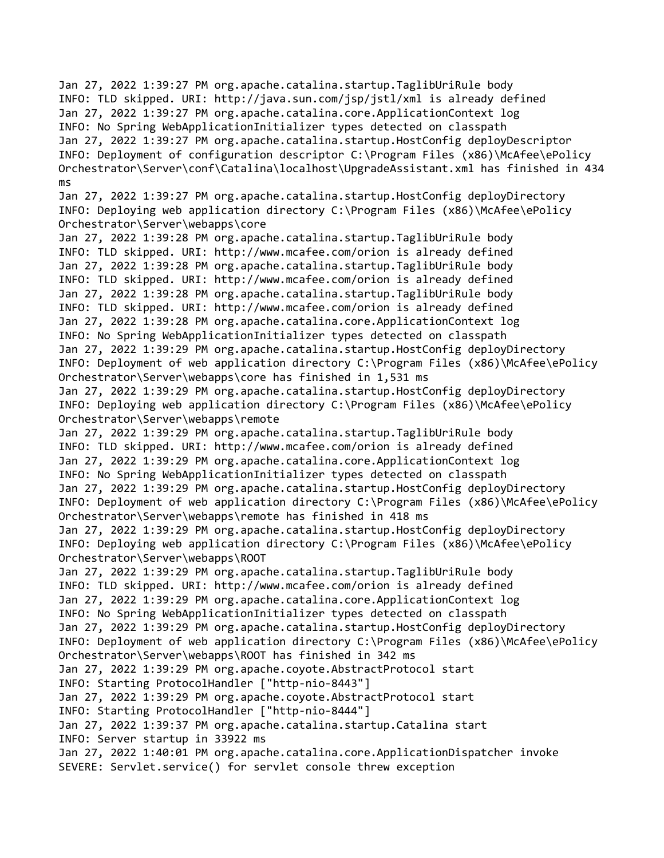Jan 27, 2022 1:39:27 PM org.apache.catalina.startup.TaglibUriRule body INFO: TLD skipped. URI: http://java.sun.com/jsp/jstl/xml is already defined Jan 27, 2022 1:39:27 PM org.apache.catalina.core.ApplicationContext log INFO: No Spring WebApplicationInitializer types detected on classpath Jan 27, 2022 1:39:27 PM org.apache.catalina.startup.HostConfig deployDescriptor INFO: Deployment of configuration descriptor C:\Program Files (x86)\McAfee\ePolicy Orchestrator\Server\conf\Catalina\localhost\UpgradeAssistant.xml has finished in 434 ms Jan 27, 2022 1:39:27 PM org.apache.catalina.startup.HostConfig deployDirectory INFO: Deploying web application directory C:\Program Files (x86)\McAfee\ePolicy Orchestrator\Server\webapps\core Jan 27, 2022 1:39:28 PM org.apache.catalina.startup.TaglibUriRule body INFO: TLD skipped. URI: http://www.mcafee.com/orion is already defined Jan 27, 2022 1:39:28 PM org.apache.catalina.startup.TaglibUriRule body INFO: TLD skipped. URI: http://www.mcafee.com/orion is already defined Jan 27, 2022 1:39:28 PM org.apache.catalina.startup.TaglibUriRule body INFO: TLD skipped. URI: http://www.mcafee.com/orion is already defined Jan 27, 2022 1:39:28 PM org.apache.catalina.core.ApplicationContext log INFO: No Spring WebApplicationInitializer types detected on classpath Jan 27, 2022 1:39:29 PM org.apache.catalina.startup.HostConfig deployDirectory INFO: Deployment of web application directory C:\Program Files (x86)\McAfee\ePolicy Orchestrator\Server\webapps\core has finished in 1,531 ms Jan 27, 2022 1:39:29 PM org.apache.catalina.startup.HostConfig deployDirectory INFO: Deploying web application directory C:\Program Files (x86)\McAfee\ePolicy Orchestrator\Server\webapps\remote Jan 27, 2022 1:39:29 PM org.apache.catalina.startup.TaglibUriRule body INFO: TLD skipped. URI: http://www.mcafee.com/orion is already defined Jan 27, 2022 1:39:29 PM org.apache.catalina.core.ApplicationContext log INFO: No Spring WebApplicationInitializer types detected on classpath Jan 27, 2022 1:39:29 PM org.apache.catalina.startup.HostConfig deployDirectory INFO: Deployment of web application directory C:\Program Files (x86)\McAfee\ePolicy Orchestrator\Server\webapps\remote has finished in 418 ms Jan 27, 2022 1:39:29 PM org.apache.catalina.startup.HostConfig deployDirectory INFO: Deploying web application directory C:\Program Files (x86)\McAfee\ePolicy Orchestrator\Server\webapps\ROOT Jan 27, 2022 1:39:29 PM org.apache.catalina.startup.TaglibUriRule body INFO: TLD skipped. URI: http://www.mcafee.com/orion is already defined Jan 27, 2022 1:39:29 PM org.apache.catalina.core.ApplicationContext log INFO: No Spring WebApplicationInitializer types detected on classpath Jan 27, 2022 1:39:29 PM org.apache.catalina.startup.HostConfig deployDirectory INFO: Deployment of web application directory C:\Program Files (x86)\McAfee\ePolicy Orchestrator\Server\webapps\ROOT has finished in 342 ms Jan 27, 2022 1:39:29 PM org.apache.coyote.AbstractProtocol start INFO: Starting ProtocolHandler ["http-nio-8443"] Jan 27, 2022 1:39:29 PM org.apache.coyote.AbstractProtocol start INFO: Starting ProtocolHandler ["http-nio-8444"] Jan 27, 2022 1:39:37 PM org.apache.catalina.startup.Catalina start INFO: Server startup in 33922 ms Jan 27, 2022 1:40:01 PM org.apache.catalina.core.ApplicationDispatcher invoke SEVERE: Servlet.service() for servlet console threw exception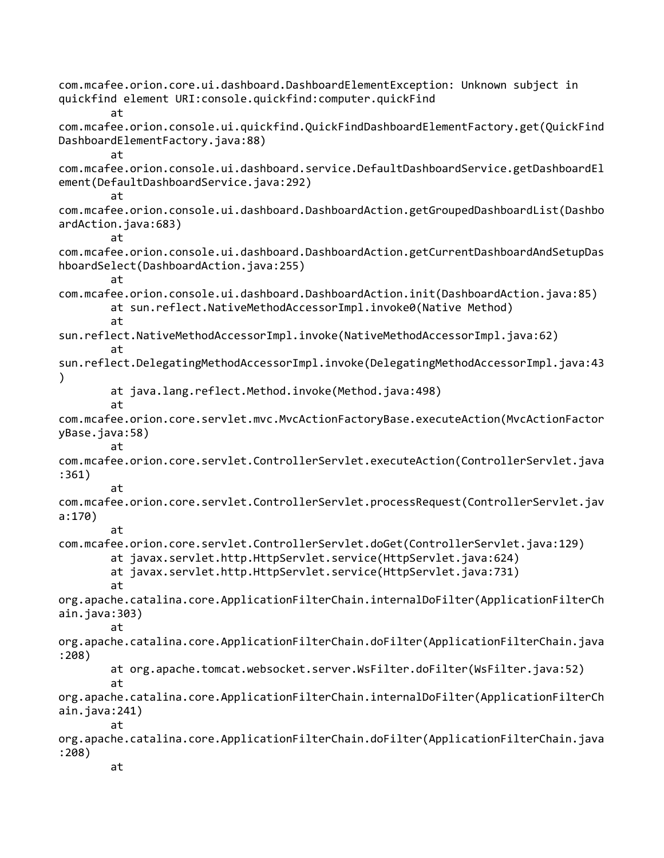com.mcafee.orion.core.ui.dashboard.DashboardElementException: Unknown subject in quickfind element URI:console.quickfind:computer.quickFind at com.mcafee.orion.console.ui.quickfind.QuickFindDashboardElementFactory.get(QuickFind DashboardElementFactory.java:88) at com.mcafee.orion.console.ui.dashboard.service.DefaultDashboardService.getDashboardEl ement(DefaultDashboardService.java:292) at com.mcafee.orion.console.ui.dashboard.DashboardAction.getGroupedDashboardList(Dashbo ardAction.java:683) at com.mcafee.orion.console.ui.dashboard.DashboardAction.getCurrentDashboardAndSetupDas hboardSelect(DashboardAction.java:255) at com.mcafee.orion.console.ui.dashboard.DashboardAction.init(DashboardAction.java:85) at sun.reflect.NativeMethodAccessorImpl.invoke0(Native Method) at sun.reflect.NativeMethodAccessorImpl.invoke(NativeMethodAccessorImpl.java:62) at sun.reflect.DelegatingMethodAccessorImpl.invoke(DelegatingMethodAccessorImpl.java:43 ) at java.lang.reflect.Method.invoke(Method.java:498) at com.mcafee.orion.core.servlet.mvc.MvcActionFactoryBase.executeAction(MvcActionFactor yBase.java:58) at com.mcafee.orion.core.servlet.ControllerServlet.executeAction(ControllerServlet.java :361) at com.mcafee.orion.core.servlet.ControllerServlet.processRequest(ControllerServlet.jav a:170) at com.mcafee.orion.core.servlet.ControllerServlet.doGet(ControllerServlet.java:129) at javax.servlet.http.HttpServlet.service(HttpServlet.java:624) at javax.servlet.http.HttpServlet.service(HttpServlet.java:731) at org.apache.catalina.core.ApplicationFilterChain.internalDoFilter(ApplicationFilterCh ain.java:303) at org.apache.catalina.core.ApplicationFilterChain.doFilter(ApplicationFilterChain.java :208) at org.apache.tomcat.websocket.server.WsFilter.doFilter(WsFilter.java:52) at org.apache.catalina.core.ApplicationFilterChain.internalDoFilter(ApplicationFilterCh ain.java:241) at org.apache.catalina.core.ApplicationFilterChain.doFilter(ApplicationFilterChain.java :208) at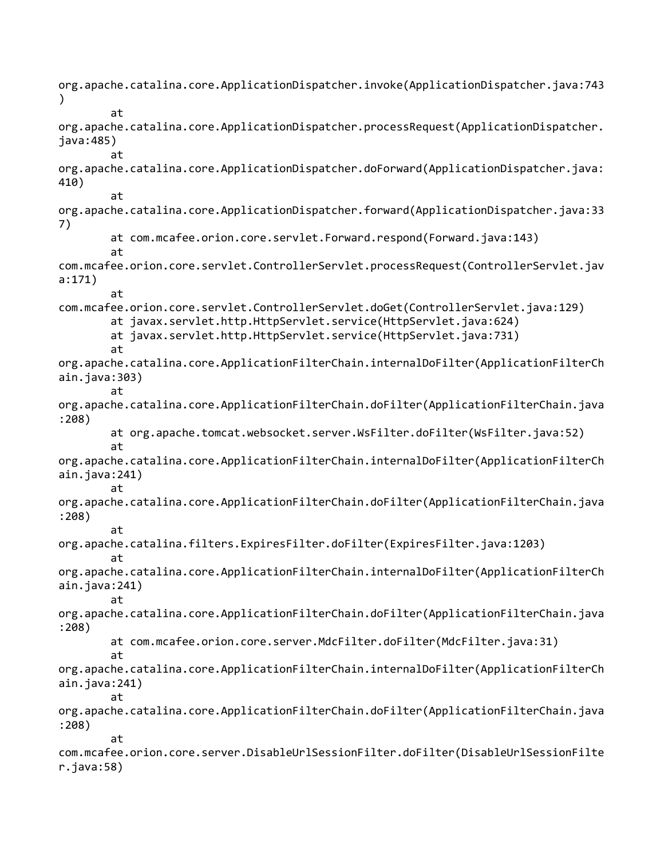org.apache.catalina.core.ApplicationDispatcher.invoke(ApplicationDispatcher.java:743 ) at org.apache.catalina.core.ApplicationDispatcher.processRequest(ApplicationDispatcher. java:485) at org.apache.catalina.core.ApplicationDispatcher.doForward(ApplicationDispatcher.java: 410) at org.apache.catalina.core.ApplicationDispatcher.forward(ApplicationDispatcher.java:33 7) at com.mcafee.orion.core.servlet.Forward.respond(Forward.java:143) at com.mcafee.orion.core.servlet.ControllerServlet.processRequest(ControllerServlet.jav a:171) at com.mcafee.orion.core.servlet.ControllerServlet.doGet(ControllerServlet.java:129) at javax.servlet.http.HttpServlet.service(HttpServlet.java:624) at javax.servlet.http.HttpServlet.service(HttpServlet.java:731) at org.apache.catalina.core.ApplicationFilterChain.internalDoFilter(ApplicationFilterCh ain.java:303) at org.apache.catalina.core.ApplicationFilterChain.doFilter(ApplicationFilterChain.java :208) at org.apache.tomcat.websocket.server.WsFilter.doFilter(WsFilter.java:52) at org.apache.catalina.core.ApplicationFilterChain.internalDoFilter(ApplicationFilterCh ain.java:241) at org.apache.catalina.core.ApplicationFilterChain.doFilter(ApplicationFilterChain.java :208) at org.apache.catalina.filters.ExpiresFilter.doFilter(ExpiresFilter.java:1203) at org.apache.catalina.core.ApplicationFilterChain.internalDoFilter(ApplicationFilterCh ain.java:241) at org.apache.catalina.core.ApplicationFilterChain.doFilter(ApplicationFilterChain.java :208) at com.mcafee.orion.core.server.MdcFilter.doFilter(MdcFilter.java:31) at org.apache.catalina.core.ApplicationFilterChain.internalDoFilter(ApplicationFilterCh ain.java:241) at org.apache.catalina.core.ApplicationFilterChain.doFilter(ApplicationFilterChain.java :208) at com.mcafee.orion.core.server.DisableUrlSessionFilter.doFilter(DisableUrlSessionFilte r.java:58)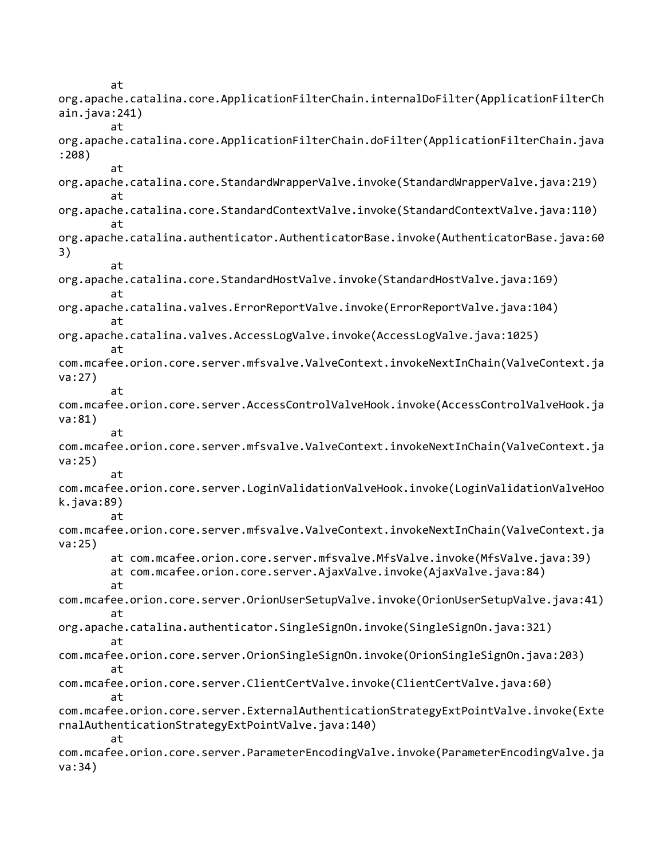at org.apache.catalina.core.ApplicationFilterChain.internalDoFilter(ApplicationFilterCh ain.java:241) at org.apache.catalina.core.ApplicationFilterChain.doFilter(ApplicationFilterChain.java :208) at org.apache.catalina.core.StandardWrapperValve.invoke(StandardWrapperValve.java:219) at org.apache.catalina.core.StandardContextValve.invoke(StandardContextValve.java:110) at org.apache.catalina.authenticator.AuthenticatorBase.invoke(AuthenticatorBase.java:60 3) at org.apache.catalina.core.StandardHostValve.invoke(StandardHostValve.java:169) at org.apache.catalina.valves.ErrorReportValve.invoke(ErrorReportValve.java:104) at org.apache.catalina.valves.AccessLogValve.invoke(AccessLogValve.java:1025) at com.mcafee.orion.core.server.mfsvalve.ValveContext.invokeNextInChain(ValveContext.ja va:27) at com.mcafee.orion.core.server.AccessControlValveHook.invoke(AccessControlValveHook.ja va:81) at com.mcafee.orion.core.server.mfsvalve.ValveContext.invokeNextInChain(ValveContext.ja va:25) at com.mcafee.orion.core.server.LoginValidationValveHook.invoke(LoginValidationValveHoo k.java:89) at com.mcafee.orion.core.server.mfsvalve.ValveContext.invokeNextInChain(ValveContext.ja va:25) at com.mcafee.orion.core.server.mfsvalve.MfsValve.invoke(MfsValve.java:39) at com.mcafee.orion.core.server.AjaxValve.invoke(AjaxValve.java:84) at com.mcafee.orion.core.server.OrionUserSetupValve.invoke(OrionUserSetupValve.java:41) at org.apache.catalina.authenticator.SingleSignOn.invoke(SingleSignOn.java:321) at com.mcafee.orion.core.server.OrionSingleSignOn.invoke(OrionSingleSignOn.java:203) at com.mcafee.orion.core.server.ClientCertValve.invoke(ClientCertValve.java:60) at com.mcafee.orion.core.server.ExternalAuthenticationStrategyExtPointValve.invoke(Exte rnalAuthenticationStrategyExtPointValve.java:140) at com.mcafee.orion.core.server.ParameterEncodingValve.invoke(ParameterEncodingValve.ja va:34)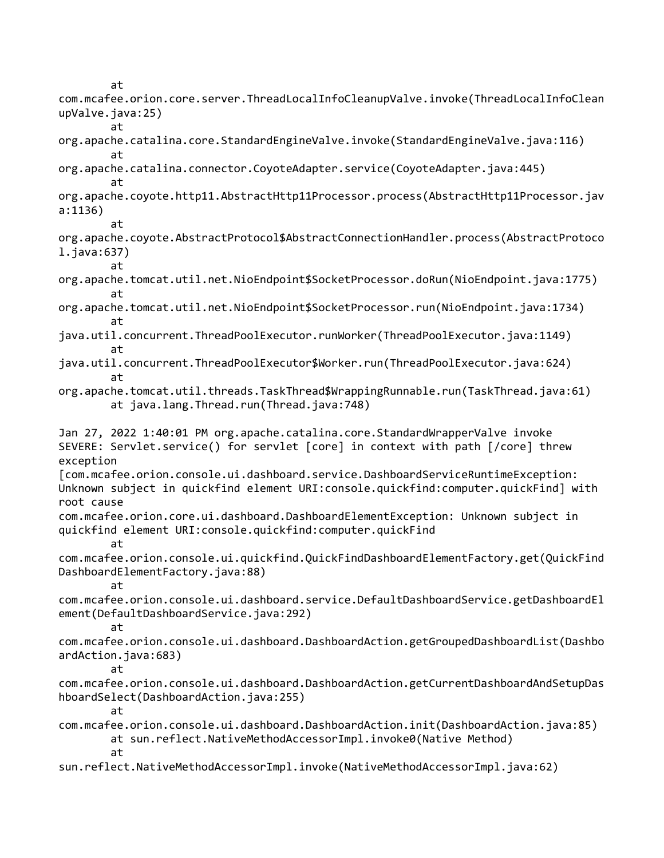at

com.mcafee.orion.core.server.ThreadLocalInfoCleanupValve.invoke(ThreadLocalInfoClean upValve.java:25) at org.apache.catalina.core.StandardEngineValve.invoke(StandardEngineValve.java:116) at org.apache.catalina.connector.CoyoteAdapter.service(CoyoteAdapter.java:445) at org.apache.coyote.http11.AbstractHttp11Processor.process(AbstractHttp11Processor.jav a:1136) at org.apache.coyote.AbstractProtocol\$AbstractConnectionHandler.process(AbstractProtoco l.java:637) at org.apache.tomcat.util.net.NioEndpoint\$SocketProcessor.doRun(NioEndpoint.java:1775) at org.apache.tomcat.util.net.NioEndpoint\$SocketProcessor.run(NioEndpoint.java:1734) at java.util.concurrent.ThreadPoolExecutor.runWorker(ThreadPoolExecutor.java:1149) at java.util.concurrent.ThreadPoolExecutor\$Worker.run(ThreadPoolExecutor.java:624) at org.apache.tomcat.util.threads.TaskThread\$WrappingRunnable.run(TaskThread.java:61) at java.lang.Thread.run(Thread.java:748) Jan 27, 2022 1:40:01 PM org.apache.catalina.core.StandardWrapperValve invoke SEVERE: Servlet.service() for servlet [core] in context with path [/core] threw exception [com.mcafee.orion.console.ui.dashboard.service.DashboardServiceRuntimeException: Unknown subject in quickfind element URI:console.quickfind:computer.quickFind] with root cause com.mcafee.orion.core.ui.dashboard.DashboardElementException: Unknown subject in quickfind element URI:console.quickfind:computer.quickFind at com.mcafee.orion.console.ui.quickfind.QuickFindDashboardElementFactory.get(QuickFind DashboardElementFactory.java:88) at com.mcafee.orion.console.ui.dashboard.service.DefaultDashboardService.getDashboardEl ement(DefaultDashboardService.java:292) at com.mcafee.orion.console.ui.dashboard.DashboardAction.getGroupedDashboardList(Dashbo ardAction.java:683) at com.mcafee.orion.console.ui.dashboard.DashboardAction.getCurrentDashboardAndSetupDas hboardSelect(DashboardAction.java:255) at com.mcafee.orion.console.ui.dashboard.DashboardAction.init(DashboardAction.java:85) at sun.reflect.NativeMethodAccessorImpl.invoke0(Native Method) at sun.reflect.NativeMethodAccessorImpl.invoke(NativeMethodAccessorImpl.java:62)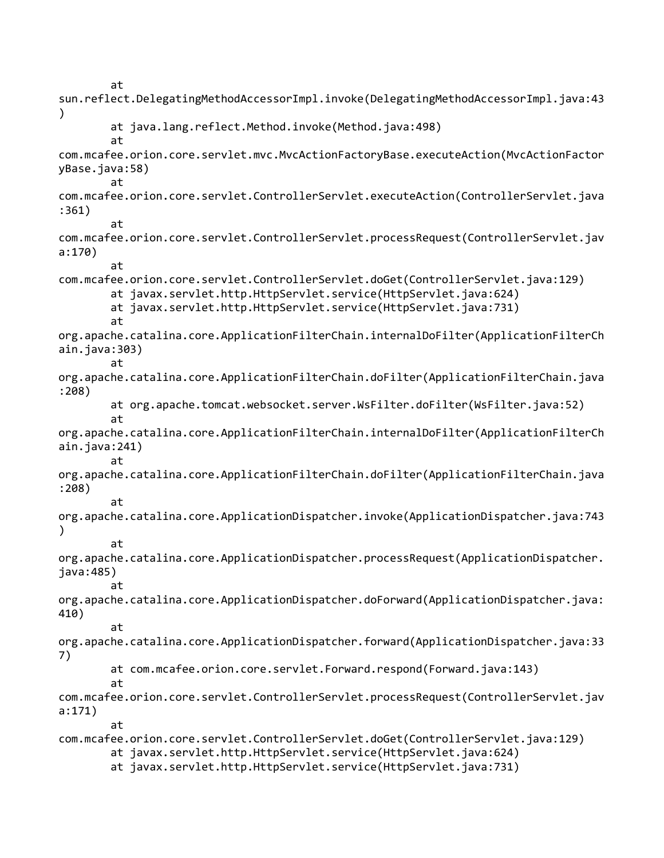at sun.reflect.DelegatingMethodAccessorImpl.invoke(DelegatingMethodAccessorImpl.java:43  $\mathcal{C}$ at java.lang.reflect.Method.invoke(Method.java:498) at com.mcafee.orion.core.servlet.mvc.MvcActionFactoryBase.executeAction(MvcActionFactor yBase.java:58) at com.mcafee.orion.core.servlet.ControllerServlet.executeAction(ControllerServlet.java :361) at com.mcafee.orion.core.servlet.ControllerServlet.processRequest(ControllerServlet.jav a:170) at com.mcafee.orion.core.servlet.ControllerServlet.doGet(ControllerServlet.java:129) at javax.servlet.http.HttpServlet.service(HttpServlet.java:624) at javax.servlet.http.HttpServlet.service(HttpServlet.java:731) at org.apache.catalina.core.ApplicationFilterChain.internalDoFilter(ApplicationFilterCh ain.java:303) at org.apache.catalina.core.ApplicationFilterChain.doFilter(ApplicationFilterChain.java :208) at org.apache.tomcat.websocket.server.WsFilter.doFilter(WsFilter.java:52) at org.apache.catalina.core.ApplicationFilterChain.internalDoFilter(ApplicationFilterCh ain.java:241) at org.apache.catalina.core.ApplicationFilterChain.doFilter(ApplicationFilterChain.java :208) at org.apache.catalina.core.ApplicationDispatcher.invoke(ApplicationDispatcher.java:743 ) at org.apache.catalina.core.ApplicationDispatcher.processRequest(ApplicationDispatcher. java:485) at org.apache.catalina.core.ApplicationDispatcher.doForward(ApplicationDispatcher.java: 410) at org.apache.catalina.core.ApplicationDispatcher.forward(ApplicationDispatcher.java:33 7) at com.mcafee.orion.core.servlet.Forward.respond(Forward.java:143) at com.mcafee.orion.core.servlet.ControllerServlet.processRequest(ControllerServlet.jav a:171) at com.mcafee.orion.core.servlet.ControllerServlet.doGet(ControllerServlet.java:129) at javax.servlet.http.HttpServlet.service(HttpServlet.java:624) at javax.servlet.http.HttpServlet.service(HttpServlet.java:731)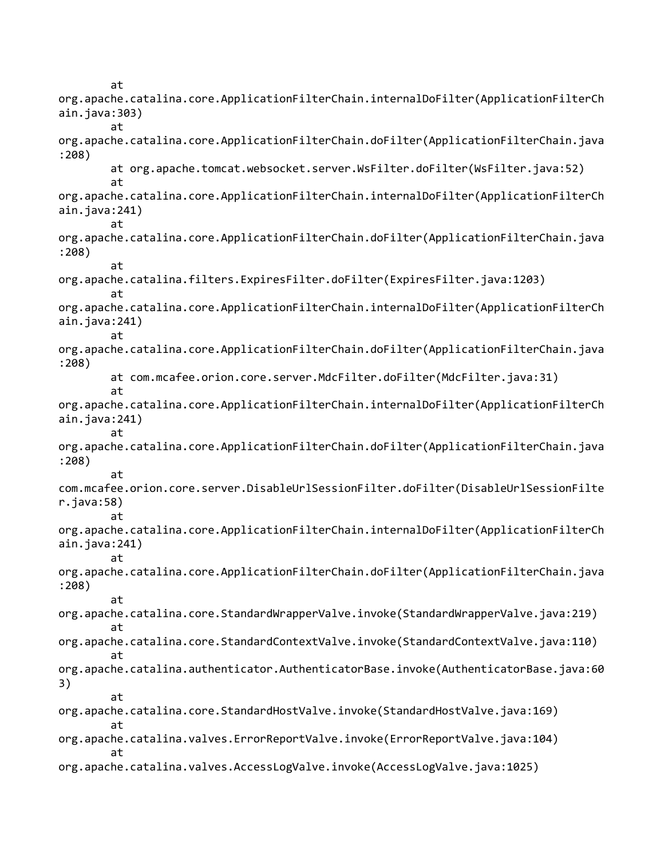at org.apache.catalina.core.ApplicationFilterChain.internalDoFilter(ApplicationFilterCh ain.java:303) at org.apache.catalina.core.ApplicationFilterChain.doFilter(ApplicationFilterChain.java :208) at org.apache.tomcat.websocket.server.WsFilter.doFilter(WsFilter.java:52) at org.apache.catalina.core.ApplicationFilterChain.internalDoFilter(ApplicationFilterCh ain.java:241) at org.apache.catalina.core.ApplicationFilterChain.doFilter(ApplicationFilterChain.java :208) at org.apache.catalina.filters.ExpiresFilter.doFilter(ExpiresFilter.java:1203) at org.apache.catalina.core.ApplicationFilterChain.internalDoFilter(ApplicationFilterCh ain.java:241) at org.apache.catalina.core.ApplicationFilterChain.doFilter(ApplicationFilterChain.java :208) at com.mcafee.orion.core.server.MdcFilter.doFilter(MdcFilter.java:31) at org.apache.catalina.core.ApplicationFilterChain.internalDoFilter(ApplicationFilterCh ain.java:241) at org.apache.catalina.core.ApplicationFilterChain.doFilter(ApplicationFilterChain.java :208) at com.mcafee.orion.core.server.DisableUrlSessionFilter.doFilter(DisableUrlSessionFilte r.java:58) at org.apache.catalina.core.ApplicationFilterChain.internalDoFilter(ApplicationFilterCh ain.java:241) at org.apache.catalina.core.ApplicationFilterChain.doFilter(ApplicationFilterChain.java :208) at org.apache.catalina.core.StandardWrapperValve.invoke(StandardWrapperValve.java:219) at org.apache.catalina.core.StandardContextValve.invoke(StandardContextValve.java:110) at org.apache.catalina.authenticator.AuthenticatorBase.invoke(AuthenticatorBase.java:60 3) at org.apache.catalina.core.StandardHostValve.invoke(StandardHostValve.java:169) at org.apache.catalina.valves.ErrorReportValve.invoke(ErrorReportValve.java:104) at org.apache.catalina.valves.AccessLogValve.invoke(AccessLogValve.java:1025)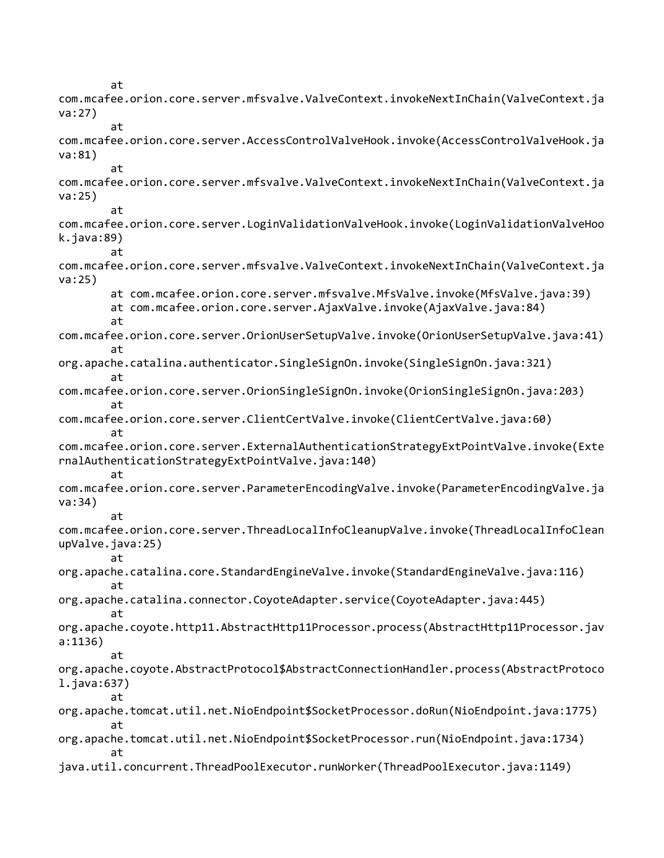at com.mcafee.orion.core.server.mfsvalve.ValveContext.invokeNextInChain(ValveContext.ja va:27) at com.mcafee.orion.core.server.AccessControlValveHook.invoke(AccessControlValveHook.ja va:81) at com.mcafee.orion.core.server.mfsvalve.ValveContext.invokeNextInChain(ValveContext.ja va:25) at com.mcafee.orion.core.server.LoginValidationValveHook.invoke(LoginValidationValveHoo k.java:89) at com.mcafee.orion.core.server.mfsvalve.ValveContext.invokeNextInChain(ValveContext.ja va:25) at com.mcafee.orion.core.server.mfsvalve.MfsValve.invoke(MfsValve.java:39) at com.mcafee.orion.core.server.AjaxValve.invoke(AjaxValve.java:84) at com.mcafee.orion.core.server.OrionUserSetupValve.invoke(OrionUserSetupValve.java:41) at org.apache.catalina.authenticator.SingleSignOn.invoke(SingleSignOn.java:321) at com.mcafee.orion.core.server.OrionSingleSignOn.invoke(OrionSingleSignOn.java:203) at com.mcafee.orion.core.server.ClientCertValve.invoke(ClientCertValve.java:60) at com.mcafee.orion.core.server.ExternalAuthenticationStrategyExtPointValve.invoke(Exte rnalAuthenticationStrategyExtPointValve.java:140) at com.mcafee.orion.core.server.ParameterEncodingValve.invoke(ParameterEncodingValve.ja va:34) at com.mcafee.orion.core.server.ThreadLocalInfoCleanupValve.invoke(ThreadLocalInfoClean upValve.java:25) at org.apache.catalina.core.StandardEngineValve.invoke(StandardEngineValve.java:116) at org.apache.catalina.connector.CoyoteAdapter.service(CoyoteAdapter.java:445) at org.apache.coyote.http11.AbstractHttp11Processor.process(AbstractHttp11Processor.jav a:1136) at org.apache.coyote.AbstractProtocol\$AbstractConnectionHandler.process(AbstractProtoco l.java:637) at org.apache.tomcat.util.net.NioEndpoint\$SocketProcessor.doRun(NioEndpoint.java:1775) at org.apache.tomcat.util.net.NioEndpoint\$SocketProcessor.run(NioEndpoint.java:1734) at java.util.concurrent.ThreadPoolExecutor.runWorker(ThreadPoolExecutor.java:1149)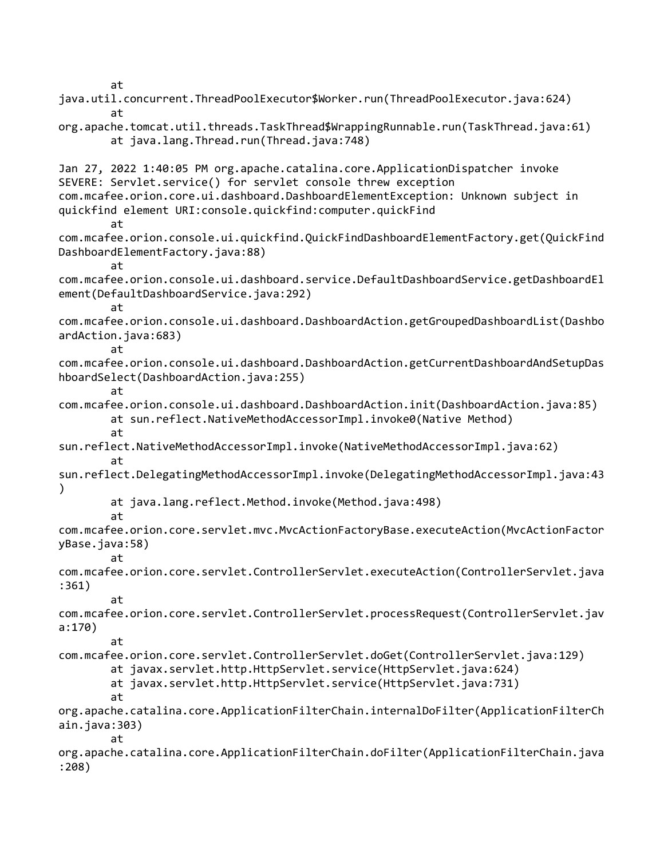at

java.util.concurrent.ThreadPoolExecutor\$Worker.run(ThreadPoolExecutor.java:624) at org.apache.tomcat.util.threads.TaskThread\$WrappingRunnable.run(TaskThread.java:61) at java.lang.Thread.run(Thread.java:748) Jan 27, 2022 1:40:05 PM org.apache.catalina.core.ApplicationDispatcher invoke SEVERE: Servlet.service() for servlet console threw exception com.mcafee.orion.core.ui.dashboard.DashboardElementException: Unknown subject in quickfind element URI:console.quickfind:computer.quickFind at com.mcafee.orion.console.ui.quickfind.QuickFindDashboardElementFactory.get(QuickFind DashboardElementFactory.java:88) at com.mcafee.orion.console.ui.dashboard.service.DefaultDashboardService.getDashboardEl ement(DefaultDashboardService.java:292) at com.mcafee.orion.console.ui.dashboard.DashboardAction.getGroupedDashboardList(Dashbo ardAction.java:683) at com.mcafee.orion.console.ui.dashboard.DashboardAction.getCurrentDashboardAndSetupDas hboardSelect(DashboardAction.java:255) at com.mcafee.orion.console.ui.dashboard.DashboardAction.init(DashboardAction.java:85) at sun.reflect.NativeMethodAccessorImpl.invoke0(Native Method) at sun.reflect.NativeMethodAccessorImpl.invoke(NativeMethodAccessorImpl.java:62) at sun.reflect.DelegatingMethodAccessorImpl.invoke(DelegatingMethodAccessorImpl.java:43 ) at java.lang.reflect.Method.invoke(Method.java:498) at com.mcafee.orion.core.servlet.mvc.MvcActionFactoryBase.executeAction(MvcActionFactor yBase.java:58) at com.mcafee.orion.core.servlet.ControllerServlet.executeAction(ControllerServlet.java :361) at com.mcafee.orion.core.servlet.ControllerServlet.processRequest(ControllerServlet.jav a:170) at com.mcafee.orion.core.servlet.ControllerServlet.doGet(ControllerServlet.java:129) at javax.servlet.http.HttpServlet.service(HttpServlet.java:624) at javax.servlet.http.HttpServlet.service(HttpServlet.java:731) at org.apache.catalina.core.ApplicationFilterChain.internalDoFilter(ApplicationFilterCh ain.java:303) at org.apache.catalina.core.ApplicationFilterChain.doFilter(ApplicationFilterChain.java :208)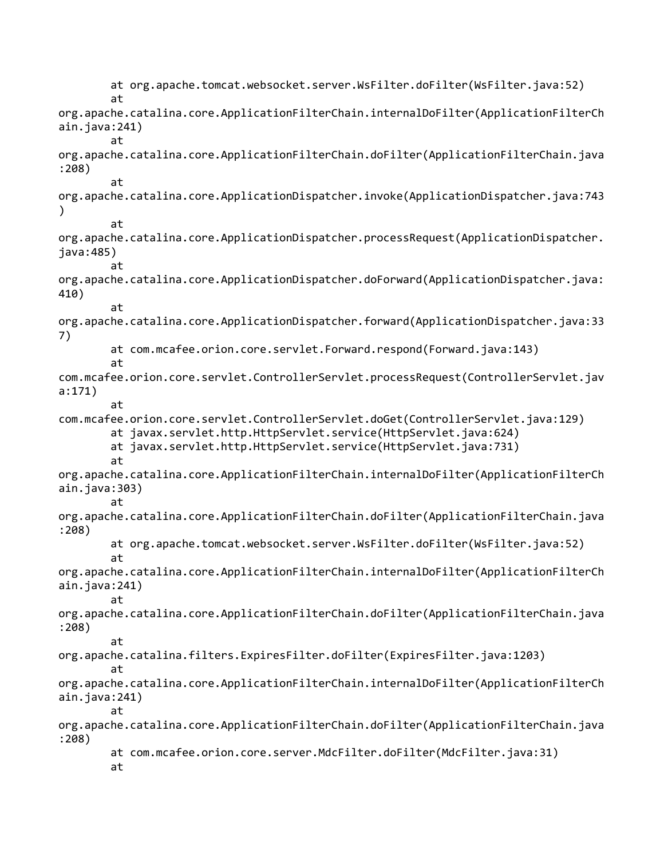at org.apache.tomcat.websocket.server.WsFilter.doFilter(WsFilter.java:52) at org.apache.catalina.core.ApplicationFilterChain.internalDoFilter(ApplicationFilterCh ain.java:241) at org.apache.catalina.core.ApplicationFilterChain.doFilter(ApplicationFilterChain.java :208) at org.apache.catalina.core.ApplicationDispatcher.invoke(ApplicationDispatcher.java:743 ) at org.apache.catalina.core.ApplicationDispatcher.processRequest(ApplicationDispatcher. java:485) at org.apache.catalina.core.ApplicationDispatcher.doForward(ApplicationDispatcher.java: 410) at org.apache.catalina.core.ApplicationDispatcher.forward(ApplicationDispatcher.java:33 7) at com.mcafee.orion.core.servlet.Forward.respond(Forward.java:143) at com.mcafee.orion.core.servlet.ControllerServlet.processRequest(ControllerServlet.jav a:171) at com.mcafee.orion.core.servlet.ControllerServlet.doGet(ControllerServlet.java:129) at javax.servlet.http.HttpServlet.service(HttpServlet.java:624) at javax.servlet.http.HttpServlet.service(HttpServlet.java:731) at org.apache.catalina.core.ApplicationFilterChain.internalDoFilter(ApplicationFilterCh ain.java:303) at org.apache.catalina.core.ApplicationFilterChain.doFilter(ApplicationFilterChain.java :208) at org.apache.tomcat.websocket.server.WsFilter.doFilter(WsFilter.java:52) at org.apache.catalina.core.ApplicationFilterChain.internalDoFilter(ApplicationFilterCh ain.java:241) at org.apache.catalina.core.ApplicationFilterChain.doFilter(ApplicationFilterChain.java :208) at org.apache.catalina.filters.ExpiresFilter.doFilter(ExpiresFilter.java:1203) at org.apache.catalina.core.ApplicationFilterChain.internalDoFilter(ApplicationFilterCh ain.java:241) at org.apache.catalina.core.ApplicationFilterChain.doFilter(ApplicationFilterChain.java :208) at com.mcafee.orion.core.server.MdcFilter.doFilter(MdcFilter.java:31) at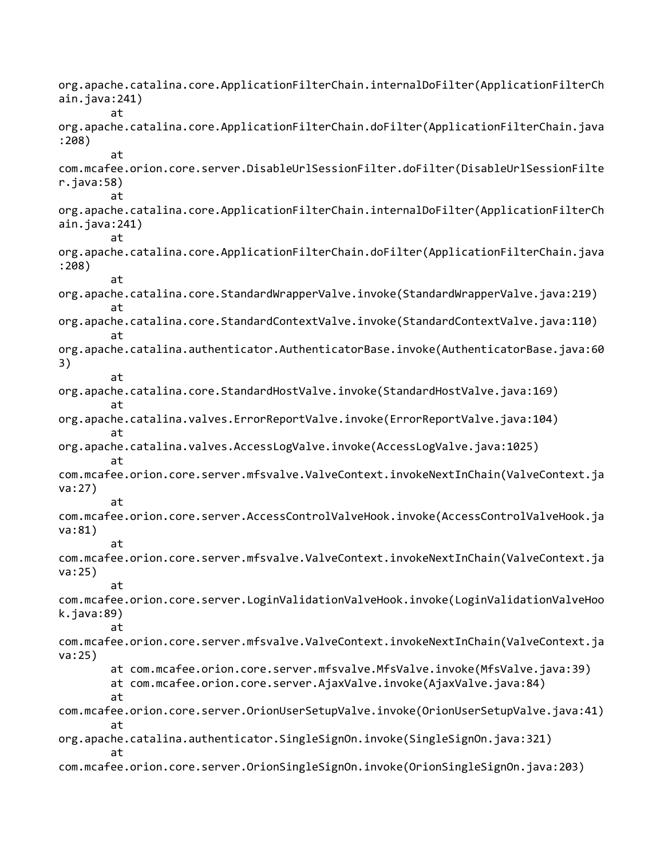org.apache.catalina.core.ApplicationFilterChain.internalDoFilter(ApplicationFilterCh ain.java:241) at org.apache.catalina.core.ApplicationFilterChain.doFilter(ApplicationFilterChain.java :208) at com.mcafee.orion.core.server.DisableUrlSessionFilter.doFilter(DisableUrlSessionFilte r.java:58) at org.apache.catalina.core.ApplicationFilterChain.internalDoFilter(ApplicationFilterCh ain.java:241) at org.apache.catalina.core.ApplicationFilterChain.doFilter(ApplicationFilterChain.java :208) at org.apache.catalina.core.StandardWrapperValve.invoke(StandardWrapperValve.java:219) at org.apache.catalina.core.StandardContextValve.invoke(StandardContextValve.java:110) at org.apache.catalina.authenticator.AuthenticatorBase.invoke(AuthenticatorBase.java:60 3) at org.apache.catalina.core.StandardHostValve.invoke(StandardHostValve.java:169) at org.apache.catalina.valves.ErrorReportValve.invoke(ErrorReportValve.java:104) at org.apache.catalina.valves.AccessLogValve.invoke(AccessLogValve.java:1025) at com.mcafee.orion.core.server.mfsvalve.ValveContext.invokeNextInChain(ValveContext.ja va:27) at com.mcafee.orion.core.server.AccessControlValveHook.invoke(AccessControlValveHook.ja va:81) at com.mcafee.orion.core.server.mfsvalve.ValveContext.invokeNextInChain(ValveContext.ja va:25) at com.mcafee.orion.core.server.LoginValidationValveHook.invoke(LoginValidationValveHoo k.java:89) at com.mcafee.orion.core.server.mfsvalve.ValveContext.invokeNextInChain(ValveContext.ja va:25) at com.mcafee.orion.core.server.mfsvalve.MfsValve.invoke(MfsValve.java:39) at com.mcafee.orion.core.server.AjaxValve.invoke(AjaxValve.java:84) at com.mcafee.orion.core.server.OrionUserSetupValve.invoke(OrionUserSetupValve.java:41) at org.apache.catalina.authenticator.SingleSignOn.invoke(SingleSignOn.java:321) at com.mcafee.orion.core.server.OrionSingleSignOn.invoke(OrionSingleSignOn.java:203)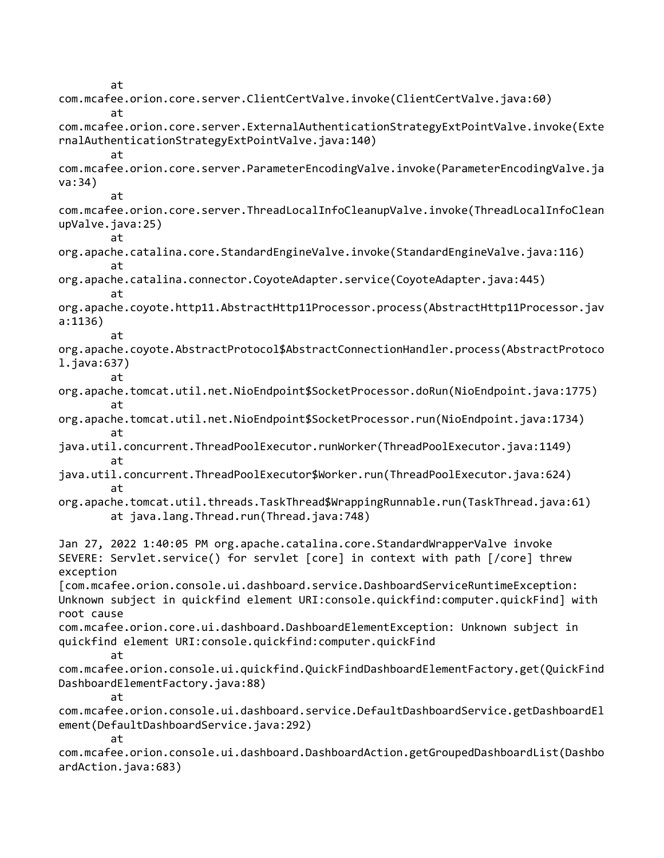at com.mcafee.orion.core.server.ClientCertValve.invoke(ClientCertValve.java:60) at com.mcafee.orion.core.server.ExternalAuthenticationStrategyExtPointValve.invoke(Exte rnalAuthenticationStrategyExtPointValve.java:140) at com.mcafee.orion.core.server.ParameterEncodingValve.invoke(ParameterEncodingValve.ja va:34) at com.mcafee.orion.core.server.ThreadLocalInfoCleanupValve.invoke(ThreadLocalInfoClean upValve.java:25) at org.apache.catalina.core.StandardEngineValve.invoke(StandardEngineValve.java:116) at org.apache.catalina.connector.CoyoteAdapter.service(CoyoteAdapter.java:445) at org.apache.coyote.http11.AbstractHttp11Processor.process(AbstractHttp11Processor.jav a:1136) at org.apache.coyote.AbstractProtocol\$AbstractConnectionHandler.process(AbstractProtoco l.java:637) at org.apache.tomcat.util.net.NioEndpoint\$SocketProcessor.doRun(NioEndpoint.java:1775) at org.apache.tomcat.util.net.NioEndpoint\$SocketProcessor.run(NioEndpoint.java:1734) at java.util.concurrent.ThreadPoolExecutor.runWorker(ThreadPoolExecutor.java:1149) at java.util.concurrent.ThreadPoolExecutor\$Worker.run(ThreadPoolExecutor.java:624) at org.apache.tomcat.util.threads.TaskThread\$WrappingRunnable.run(TaskThread.java:61) at java.lang.Thread.run(Thread.java:748) Jan 27, 2022 1:40:05 PM org.apache.catalina.core.StandardWrapperValve invoke SEVERE: Servlet.service() for servlet [core] in context with path [/core] threw exception [com.mcafee.orion.console.ui.dashboard.service.DashboardServiceRuntimeException: Unknown subject in quickfind element URI:console.quickfind:computer.quickFind] with root cause com.mcafee.orion.core.ui.dashboard.DashboardElementException: Unknown subject in quickfind element URI:console.quickfind:computer.quickFind at com.mcafee.orion.console.ui.quickfind.QuickFindDashboardElementFactory.get(QuickFind DashboardElementFactory.java:88) at com.mcafee.orion.console.ui.dashboard.service.DefaultDashboardService.getDashboardEl ement(DefaultDashboardService.java:292) at com.mcafee.orion.console.ui.dashboard.DashboardAction.getGroupedDashboardList(Dashbo ardAction.java:683)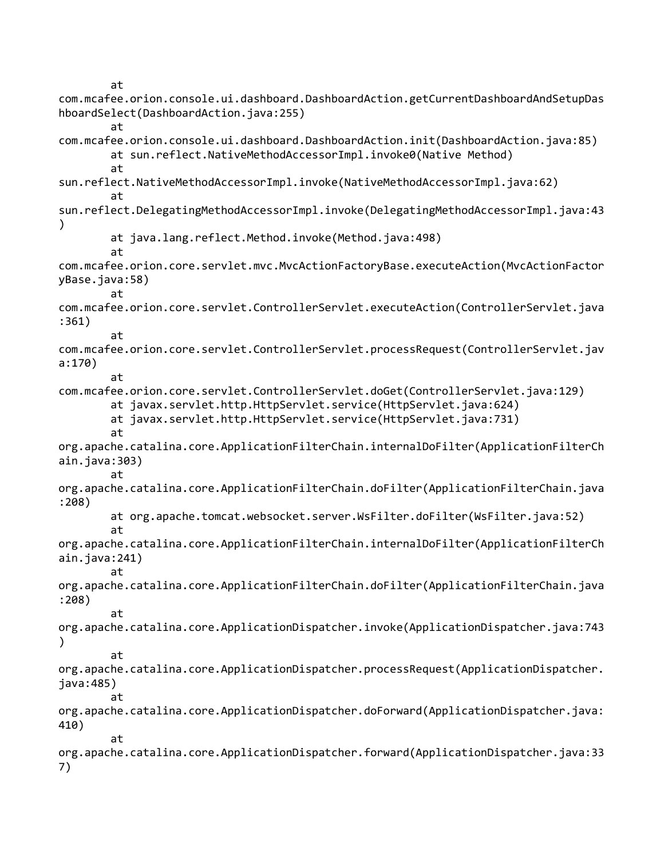at

com.mcafee.orion.console.ui.dashboard.DashboardAction.getCurrentDashboardAndSetupDas hboardSelect(DashboardAction.java:255) at com.mcafee.orion.console.ui.dashboard.DashboardAction.init(DashboardAction.java:85) at sun.reflect.NativeMethodAccessorImpl.invoke0(Native Method) at sun.reflect.NativeMethodAccessorImpl.invoke(NativeMethodAccessorImpl.java:62) at sun.reflect.DelegatingMethodAccessorImpl.invoke(DelegatingMethodAccessorImpl.java:43 ) at java.lang.reflect.Method.invoke(Method.java:498) at com.mcafee.orion.core.servlet.mvc.MvcActionFactoryBase.executeAction(MvcActionFactor yBase.java:58) at com.mcafee.orion.core.servlet.ControllerServlet.executeAction(ControllerServlet.java :361) at com.mcafee.orion.core.servlet.ControllerServlet.processRequest(ControllerServlet.jav a:170) at com.mcafee.orion.core.servlet.ControllerServlet.doGet(ControllerServlet.java:129) at javax.servlet.http.HttpServlet.service(HttpServlet.java:624) at javax.servlet.http.HttpServlet.service(HttpServlet.java:731) at org.apache.catalina.core.ApplicationFilterChain.internalDoFilter(ApplicationFilterCh ain.java:303) at org.apache.catalina.core.ApplicationFilterChain.doFilter(ApplicationFilterChain.java :208) at org.apache.tomcat.websocket.server.WsFilter.doFilter(WsFilter.java:52) at org.apache.catalina.core.ApplicationFilterChain.internalDoFilter(ApplicationFilterCh ain.java:241) at org.apache.catalina.core.ApplicationFilterChain.doFilter(ApplicationFilterChain.java :208) at org.apache.catalina.core.ApplicationDispatcher.invoke(ApplicationDispatcher.java:743 ) at org.apache.catalina.core.ApplicationDispatcher.processRequest(ApplicationDispatcher. java:485) at org.apache.catalina.core.ApplicationDispatcher.doForward(ApplicationDispatcher.java: 410) at org.apache.catalina.core.ApplicationDispatcher.forward(ApplicationDispatcher.java:33 7)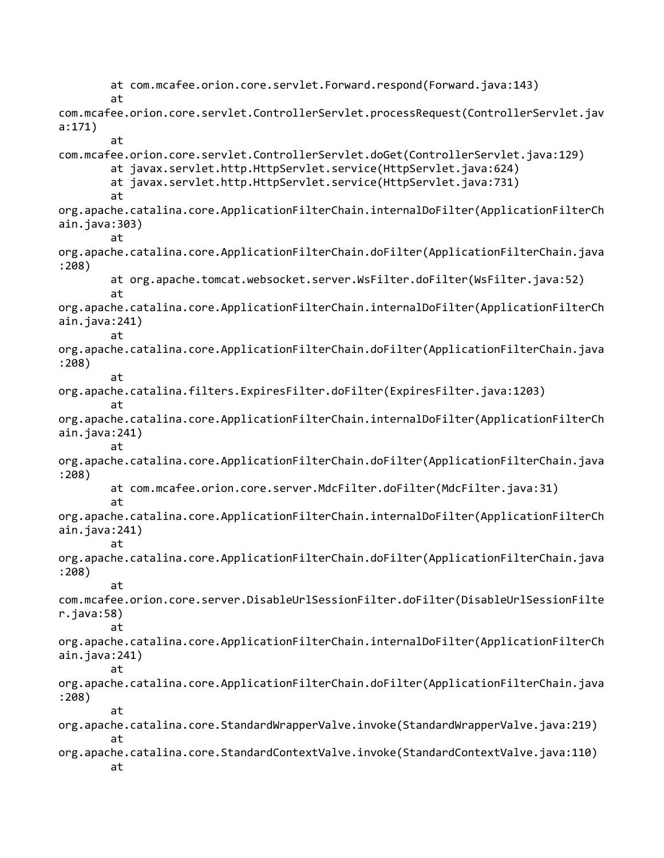at com.mcafee.orion.core.servlet.Forward.respond(Forward.java:143) at com.mcafee.orion.core.servlet.ControllerServlet.processRequest(ControllerServlet.jav a:171) at com.mcafee.orion.core.servlet.ControllerServlet.doGet(ControllerServlet.java:129) at javax.servlet.http.HttpServlet.service(HttpServlet.java:624) at javax.servlet.http.HttpServlet.service(HttpServlet.java:731) at org.apache.catalina.core.ApplicationFilterChain.internalDoFilter(ApplicationFilterCh ain.java:303) at org.apache.catalina.core.ApplicationFilterChain.doFilter(ApplicationFilterChain.java :208) at org.apache.tomcat.websocket.server.WsFilter.doFilter(WsFilter.java:52) at org.apache.catalina.core.ApplicationFilterChain.internalDoFilter(ApplicationFilterCh ain.java:241) at org.apache.catalina.core.ApplicationFilterChain.doFilter(ApplicationFilterChain.java :208) at org.apache.catalina.filters.ExpiresFilter.doFilter(ExpiresFilter.java:1203) at org.apache.catalina.core.ApplicationFilterChain.internalDoFilter(ApplicationFilterCh ain.java:241) at org.apache.catalina.core.ApplicationFilterChain.doFilter(ApplicationFilterChain.java :208) at com.mcafee.orion.core.server.MdcFilter.doFilter(MdcFilter.java:31) at org.apache.catalina.core.ApplicationFilterChain.internalDoFilter(ApplicationFilterCh ain.java:241) at org.apache.catalina.core.ApplicationFilterChain.doFilter(ApplicationFilterChain.java :208) at com.mcafee.orion.core.server.DisableUrlSessionFilter.doFilter(DisableUrlSessionFilte r.java:58) at org.apache.catalina.core.ApplicationFilterChain.internalDoFilter(ApplicationFilterCh ain.java:241) at org.apache.catalina.core.ApplicationFilterChain.doFilter(ApplicationFilterChain.java :208) at org.apache.catalina.core.StandardWrapperValve.invoke(StandardWrapperValve.java:219) at org.apache.catalina.core.StandardContextValve.invoke(StandardContextValve.java:110) at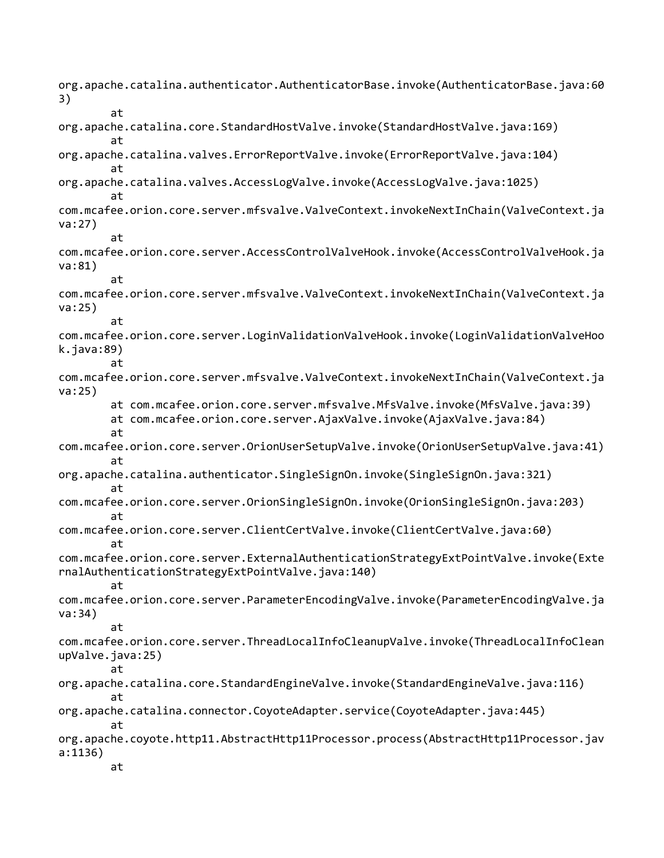org.apache.catalina.authenticator.AuthenticatorBase.invoke(AuthenticatorBase.java:60 3) at org.apache.catalina.core.StandardHostValve.invoke(StandardHostValve.java:169) at org.apache.catalina.valves.ErrorReportValve.invoke(ErrorReportValve.java:104) at org.apache.catalina.valves.AccessLogValve.invoke(AccessLogValve.java:1025) at com.mcafee.orion.core.server.mfsvalve.ValveContext.invokeNextInChain(ValveContext.ja va:27) at com.mcafee.orion.core.server.AccessControlValveHook.invoke(AccessControlValveHook.ja va:81) at com.mcafee.orion.core.server.mfsvalve.ValveContext.invokeNextInChain(ValveContext.ja va:25) at com.mcafee.orion.core.server.LoginValidationValveHook.invoke(LoginValidationValveHoo k.java:89) at com.mcafee.orion.core.server.mfsvalve.ValveContext.invokeNextInChain(ValveContext.ja va:25) at com.mcafee.orion.core.server.mfsvalve.MfsValve.invoke(MfsValve.java:39) at com.mcafee.orion.core.server.AjaxValve.invoke(AjaxValve.java:84) at com.mcafee.orion.core.server.OrionUserSetupValve.invoke(OrionUserSetupValve.java:41) at org.apache.catalina.authenticator.SingleSignOn.invoke(SingleSignOn.java:321) at com.mcafee.orion.core.server.OrionSingleSignOn.invoke(OrionSingleSignOn.java:203) at com.mcafee.orion.core.server.ClientCertValve.invoke(ClientCertValve.java:60) at com.mcafee.orion.core.server.ExternalAuthenticationStrategyExtPointValve.invoke(Exte rnalAuthenticationStrategyExtPointValve.java:140) at com.mcafee.orion.core.server.ParameterEncodingValve.invoke(ParameterEncodingValve.ja va:34) at com.mcafee.orion.core.server.ThreadLocalInfoCleanupValve.invoke(ThreadLocalInfoClean upValve.java:25) at org.apache.catalina.core.StandardEngineValve.invoke(StandardEngineValve.java:116) at org.apache.catalina.connector.CoyoteAdapter.service(CoyoteAdapter.java:445) at org.apache.coyote.http11.AbstractHttp11Processor.process(AbstractHttp11Processor.jav a:1136) at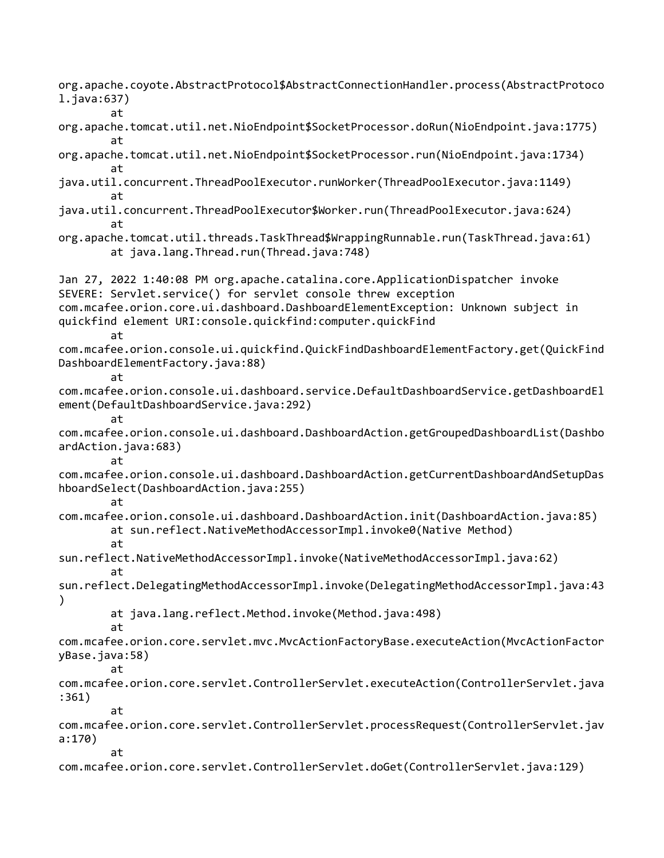org.apache.coyote.AbstractProtocol\$AbstractConnectionHandler.process(AbstractProtoco l.java:637) at org.apache.tomcat.util.net.NioEndpoint\$SocketProcessor.doRun(NioEndpoint.java:1775) at org.apache.tomcat.util.net.NioEndpoint\$SocketProcessor.run(NioEndpoint.java:1734) at java.util.concurrent.ThreadPoolExecutor.runWorker(ThreadPoolExecutor.java:1149) at java.util.concurrent.ThreadPoolExecutor\$Worker.run(ThreadPoolExecutor.java:624) at org.apache.tomcat.util.threads.TaskThread\$WrappingRunnable.run(TaskThread.java:61) at java.lang.Thread.run(Thread.java:748) Jan 27, 2022 1:40:08 PM org.apache.catalina.core.ApplicationDispatcher invoke SEVERE: Servlet.service() for servlet console threw exception com.mcafee.orion.core.ui.dashboard.DashboardElementException: Unknown subject in quickfind element URI:console.quickfind:computer.quickFind at com.mcafee.orion.console.ui.quickfind.QuickFindDashboardElementFactory.get(QuickFind DashboardElementFactory.java:88) at com.mcafee.orion.console.ui.dashboard.service.DefaultDashboardService.getDashboardEl ement(DefaultDashboardService.java:292) at com.mcafee.orion.console.ui.dashboard.DashboardAction.getGroupedDashboardList(Dashbo ardAction.java:683) at com.mcafee.orion.console.ui.dashboard.DashboardAction.getCurrentDashboardAndSetupDas hboardSelect(DashboardAction.java:255) at com.mcafee.orion.console.ui.dashboard.DashboardAction.init(DashboardAction.java:85) at sun.reflect.NativeMethodAccessorImpl.invoke0(Native Method) at sun.reflect.NativeMethodAccessorImpl.invoke(NativeMethodAccessorImpl.java:62) at sun.reflect.DelegatingMethodAccessorImpl.invoke(DelegatingMethodAccessorImpl.java:43 ) at java.lang.reflect.Method.invoke(Method.java:498) at com.mcafee.orion.core.servlet.mvc.MvcActionFactoryBase.executeAction(MvcActionFactor yBase.java:58) at com.mcafee.orion.core.servlet.ControllerServlet.executeAction(ControllerServlet.java :361) at com.mcafee.orion.core.servlet.ControllerServlet.processRequest(ControllerServlet.jav a:170) at com.mcafee.orion.core.servlet.ControllerServlet.doGet(ControllerServlet.java:129)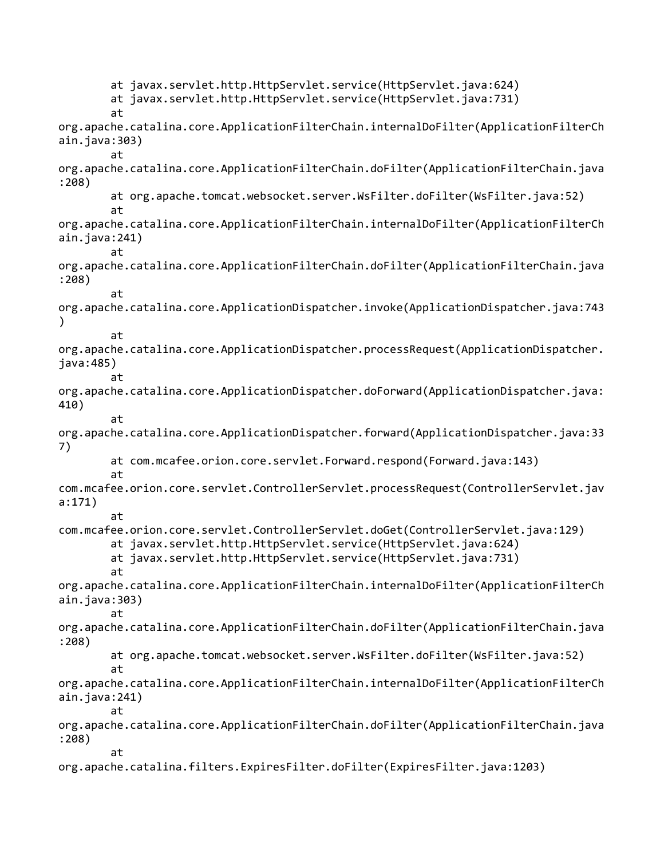at javax.servlet.http.HttpServlet.service(HttpServlet.java:624) at javax.servlet.http.HttpServlet.service(HttpServlet.java:731) at org.apache.catalina.core.ApplicationFilterChain.internalDoFilter(ApplicationFilterCh ain.java:303) at org.apache.catalina.core.ApplicationFilterChain.doFilter(ApplicationFilterChain.java :208) at org.apache.tomcat.websocket.server.WsFilter.doFilter(WsFilter.java:52) at org.apache.catalina.core.ApplicationFilterChain.internalDoFilter(ApplicationFilterCh ain.java:241) at org.apache.catalina.core.ApplicationFilterChain.doFilter(ApplicationFilterChain.java :208) at org.apache.catalina.core.ApplicationDispatcher.invoke(ApplicationDispatcher.java:743 ) at org.apache.catalina.core.ApplicationDispatcher.processRequest(ApplicationDispatcher. java:485) at org.apache.catalina.core.ApplicationDispatcher.doForward(ApplicationDispatcher.java: 410) at org.apache.catalina.core.ApplicationDispatcher.forward(ApplicationDispatcher.java:33 7) at com.mcafee.orion.core.servlet.Forward.respond(Forward.java:143) at com.mcafee.orion.core.servlet.ControllerServlet.processRequest(ControllerServlet.jav a:171) at com.mcafee.orion.core.servlet.ControllerServlet.doGet(ControllerServlet.java:129) at javax.servlet.http.HttpServlet.service(HttpServlet.java:624) at javax.servlet.http.HttpServlet.service(HttpServlet.java:731) at org.apache.catalina.core.ApplicationFilterChain.internalDoFilter(ApplicationFilterCh ain.java:303) at org.apache.catalina.core.ApplicationFilterChain.doFilter(ApplicationFilterChain.java :208) at org.apache.tomcat.websocket.server.WsFilter.doFilter(WsFilter.java:52) at org.apache.catalina.core.ApplicationFilterChain.internalDoFilter(ApplicationFilterCh ain.java:241) at org.apache.catalina.core.ApplicationFilterChain.doFilter(ApplicationFilterChain.java :208) at org.apache.catalina.filters.ExpiresFilter.doFilter(ExpiresFilter.java:1203)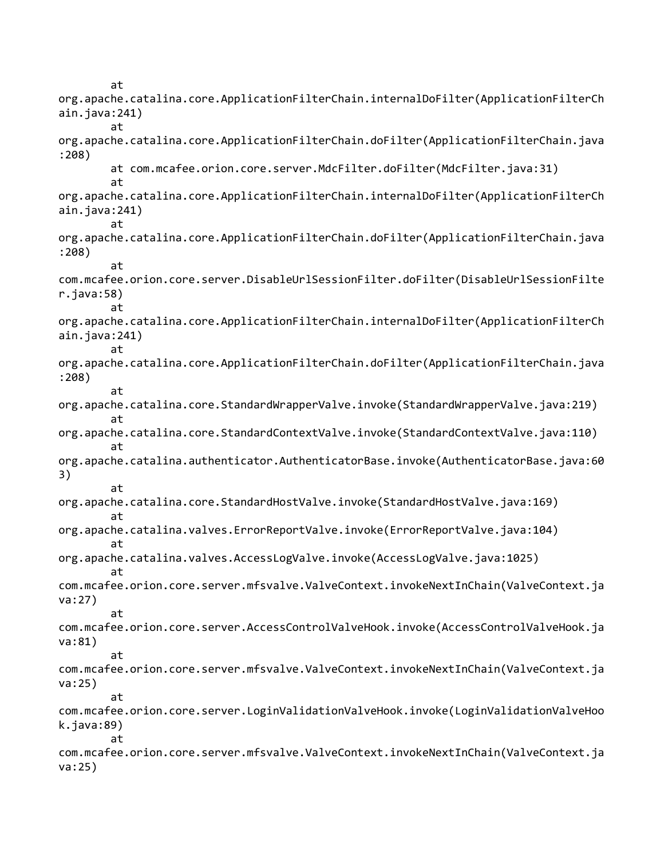at org.apache.catalina.core.ApplicationFilterChain.internalDoFilter(ApplicationFilterCh ain.java:241) at org.apache.catalina.core.ApplicationFilterChain.doFilter(ApplicationFilterChain.java :208) at com.mcafee.orion.core.server.MdcFilter.doFilter(MdcFilter.java:31) at org.apache.catalina.core.ApplicationFilterChain.internalDoFilter(ApplicationFilterCh ain.java:241) at org.apache.catalina.core.ApplicationFilterChain.doFilter(ApplicationFilterChain.java :208) at com.mcafee.orion.core.server.DisableUrlSessionFilter.doFilter(DisableUrlSessionFilte r.java:58) at org.apache.catalina.core.ApplicationFilterChain.internalDoFilter(ApplicationFilterCh ain.java:241) at org.apache.catalina.core.ApplicationFilterChain.doFilter(ApplicationFilterChain.java :208) at org.apache.catalina.core.StandardWrapperValve.invoke(StandardWrapperValve.java:219) at org.apache.catalina.core.StandardContextValve.invoke(StandardContextValve.java:110) at org.apache.catalina.authenticator.AuthenticatorBase.invoke(AuthenticatorBase.java:60 3) at org.apache.catalina.core.StandardHostValve.invoke(StandardHostValve.java:169) at org.apache.catalina.valves.ErrorReportValve.invoke(ErrorReportValve.java:104) at org.apache.catalina.valves.AccessLogValve.invoke(AccessLogValve.java:1025) at com.mcafee.orion.core.server.mfsvalve.ValveContext.invokeNextInChain(ValveContext.ja va:27) at com.mcafee.orion.core.server.AccessControlValveHook.invoke(AccessControlValveHook.ja va:81) at com.mcafee.orion.core.server.mfsvalve.ValveContext.invokeNextInChain(ValveContext.ja va:25) at com.mcafee.orion.core.server.LoginValidationValveHook.invoke(LoginValidationValveHoo k.java:89) at com.mcafee.orion.core.server.mfsvalve.ValveContext.invokeNextInChain(ValveContext.ja va:25)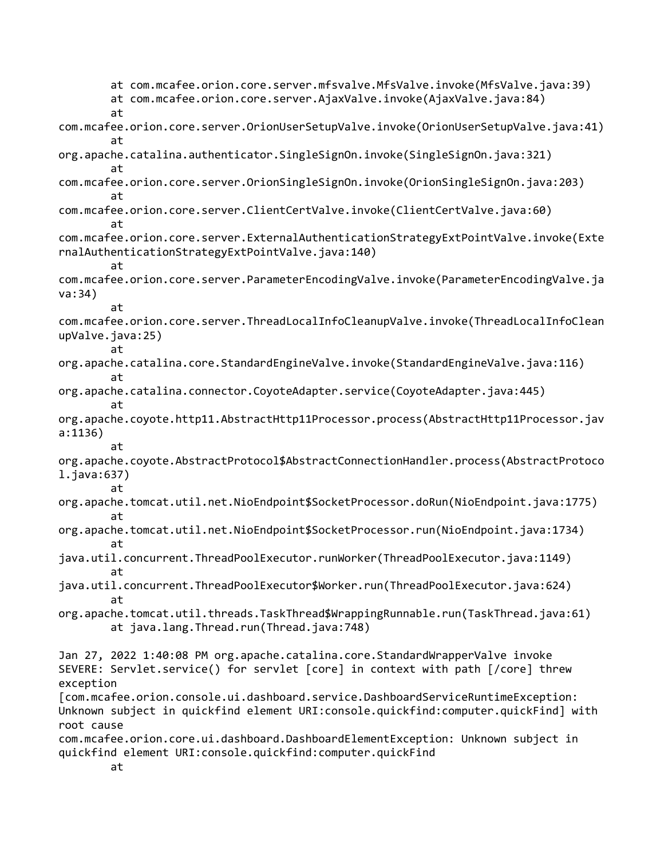at com.mcafee.orion.core.server.mfsvalve.MfsValve.invoke(MfsValve.java:39) at com.mcafee.orion.core.server.AjaxValve.invoke(AjaxValve.java:84) at com.mcafee.orion.core.server.OrionUserSetupValve.invoke(OrionUserSetupValve.java:41) at org.apache.catalina.authenticator.SingleSignOn.invoke(SingleSignOn.java:321) at com.mcafee.orion.core.server.OrionSingleSignOn.invoke(OrionSingleSignOn.java:203) at com.mcafee.orion.core.server.ClientCertValve.invoke(ClientCertValve.java:60) at com.mcafee.orion.core.server.ExternalAuthenticationStrategyExtPointValve.invoke(Exte rnalAuthenticationStrategyExtPointValve.java:140) at com.mcafee.orion.core.server.ParameterEncodingValve.invoke(ParameterEncodingValve.ja va:34) at com.mcafee.orion.core.server.ThreadLocalInfoCleanupValve.invoke(ThreadLocalInfoClean upValve.java:25) at org.apache.catalina.core.StandardEngineValve.invoke(StandardEngineValve.java:116) at org.apache.catalina.connector.CoyoteAdapter.service(CoyoteAdapter.java:445) at org.apache.coyote.http11.AbstractHttp11Processor.process(AbstractHttp11Processor.jav a:1136) at org.apache.coyote.AbstractProtocol\$AbstractConnectionHandler.process(AbstractProtoco l.java:637) at org.apache.tomcat.util.net.NioEndpoint\$SocketProcessor.doRun(NioEndpoint.java:1775) at org.apache.tomcat.util.net.NioEndpoint\$SocketProcessor.run(NioEndpoint.java:1734) at java.util.concurrent.ThreadPoolExecutor.runWorker(ThreadPoolExecutor.java:1149) at java.util.concurrent.ThreadPoolExecutor\$Worker.run(ThreadPoolExecutor.java:624) at org.apache.tomcat.util.threads.TaskThread\$WrappingRunnable.run(TaskThread.java:61) at java.lang.Thread.run(Thread.java:748) Jan 27, 2022 1:40:08 PM org.apache.catalina.core.StandardWrapperValve invoke SEVERE: Servlet.service() for servlet [core] in context with path [/core] threw exception [com.mcafee.orion.console.ui.dashboard.service.DashboardServiceRuntimeException: Unknown subject in quickfind element URI:console.quickfind:computer.quickFind] with root cause com.mcafee.orion.core.ui.dashboard.DashboardElementException: Unknown subject in quickfind element URI:console.quickfind:computer.quickFind at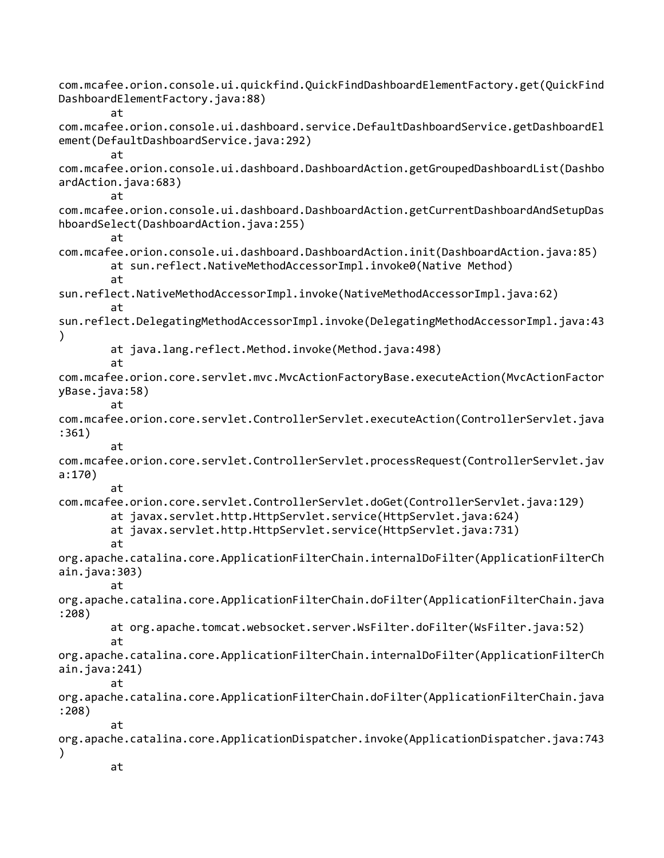com.mcafee.orion.console.ui.quickfind.QuickFindDashboardElementFactory.get(QuickFind DashboardElementFactory.java:88) at com.mcafee.orion.console.ui.dashboard.service.DefaultDashboardService.getDashboardEl ement(DefaultDashboardService.java:292) at com.mcafee.orion.console.ui.dashboard.DashboardAction.getGroupedDashboardList(Dashbo ardAction.java:683) at com.mcafee.orion.console.ui.dashboard.DashboardAction.getCurrentDashboardAndSetupDas hboardSelect(DashboardAction.java:255) at com.mcafee.orion.console.ui.dashboard.DashboardAction.init(DashboardAction.java:85) at sun.reflect.NativeMethodAccessorImpl.invoke0(Native Method) at sun.reflect.NativeMethodAccessorImpl.invoke(NativeMethodAccessorImpl.java:62) at sun.reflect.DelegatingMethodAccessorImpl.invoke(DelegatingMethodAccessorImpl.java:43 ) at java.lang.reflect.Method.invoke(Method.java:498) at com.mcafee.orion.core.servlet.mvc.MvcActionFactoryBase.executeAction(MvcActionFactor yBase.java:58) at com.mcafee.orion.core.servlet.ControllerServlet.executeAction(ControllerServlet.java :361) at com.mcafee.orion.core.servlet.ControllerServlet.processRequest(ControllerServlet.jav a:170) at com.mcafee.orion.core.servlet.ControllerServlet.doGet(ControllerServlet.java:129) at javax.servlet.http.HttpServlet.service(HttpServlet.java:624) at javax.servlet.http.HttpServlet.service(HttpServlet.java:731) at org.apache.catalina.core.ApplicationFilterChain.internalDoFilter(ApplicationFilterCh ain.java:303) at org.apache.catalina.core.ApplicationFilterChain.doFilter(ApplicationFilterChain.java :208) at org.apache.tomcat.websocket.server.WsFilter.doFilter(WsFilter.java:52) at org.apache.catalina.core.ApplicationFilterChain.internalDoFilter(ApplicationFilterCh ain.java:241) at org.apache.catalina.core.ApplicationFilterChain.doFilter(ApplicationFilterChain.java :208) at org.apache.catalina.core.ApplicationDispatcher.invoke(ApplicationDispatcher.java:743 ) at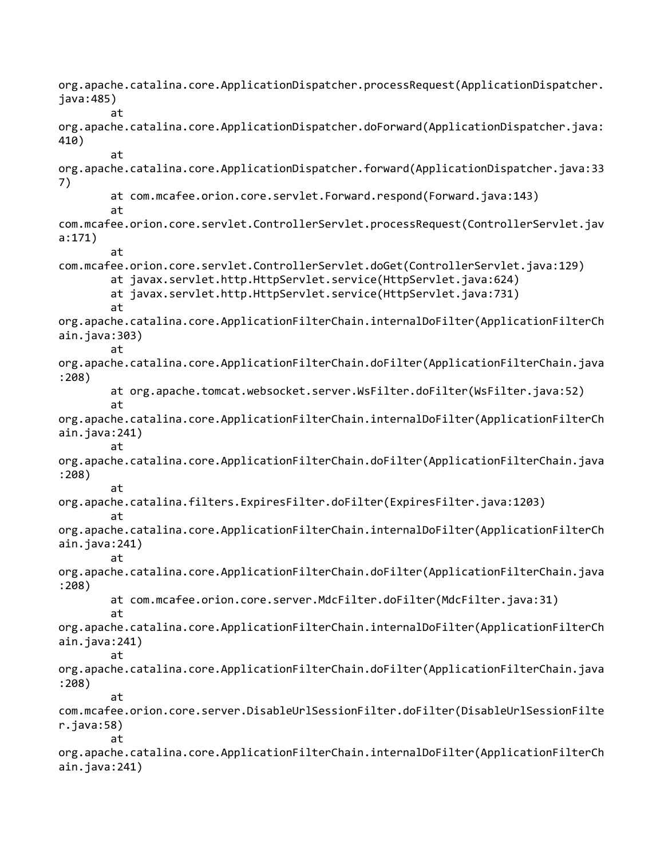org.apache.catalina.core.ApplicationDispatcher.processRequest(ApplicationDispatcher. java:485) at org.apache.catalina.core.ApplicationDispatcher.doForward(ApplicationDispatcher.java: 410) at org.apache.catalina.core.ApplicationDispatcher.forward(ApplicationDispatcher.java:33 7) at com.mcafee.orion.core.servlet.Forward.respond(Forward.java:143) at com.mcafee.orion.core.servlet.ControllerServlet.processRequest(ControllerServlet.jav a:171) at com.mcafee.orion.core.servlet.ControllerServlet.doGet(ControllerServlet.java:129) at javax.servlet.http.HttpServlet.service(HttpServlet.java:624) at javax.servlet.http.HttpServlet.service(HttpServlet.java:731) at org.apache.catalina.core.ApplicationFilterChain.internalDoFilter(ApplicationFilterCh ain.java:303) at org.apache.catalina.core.ApplicationFilterChain.doFilter(ApplicationFilterChain.java :208) at org.apache.tomcat.websocket.server.WsFilter.doFilter(WsFilter.java:52) at org.apache.catalina.core.ApplicationFilterChain.internalDoFilter(ApplicationFilterCh ain.java:241) at org.apache.catalina.core.ApplicationFilterChain.doFilter(ApplicationFilterChain.java :208) at org.apache.catalina.filters.ExpiresFilter.doFilter(ExpiresFilter.java:1203) at org.apache.catalina.core.ApplicationFilterChain.internalDoFilter(ApplicationFilterCh ain.java:241) at org.apache.catalina.core.ApplicationFilterChain.doFilter(ApplicationFilterChain.java :208) at com.mcafee.orion.core.server.MdcFilter.doFilter(MdcFilter.java:31) at org.apache.catalina.core.ApplicationFilterChain.internalDoFilter(ApplicationFilterCh ain.java:241) at org.apache.catalina.core.ApplicationFilterChain.doFilter(ApplicationFilterChain.java :208) at com.mcafee.orion.core.server.DisableUrlSessionFilter.doFilter(DisableUrlSessionFilte r.java:58) at org.apache.catalina.core.ApplicationFilterChain.internalDoFilter(ApplicationFilterCh ain.java:241)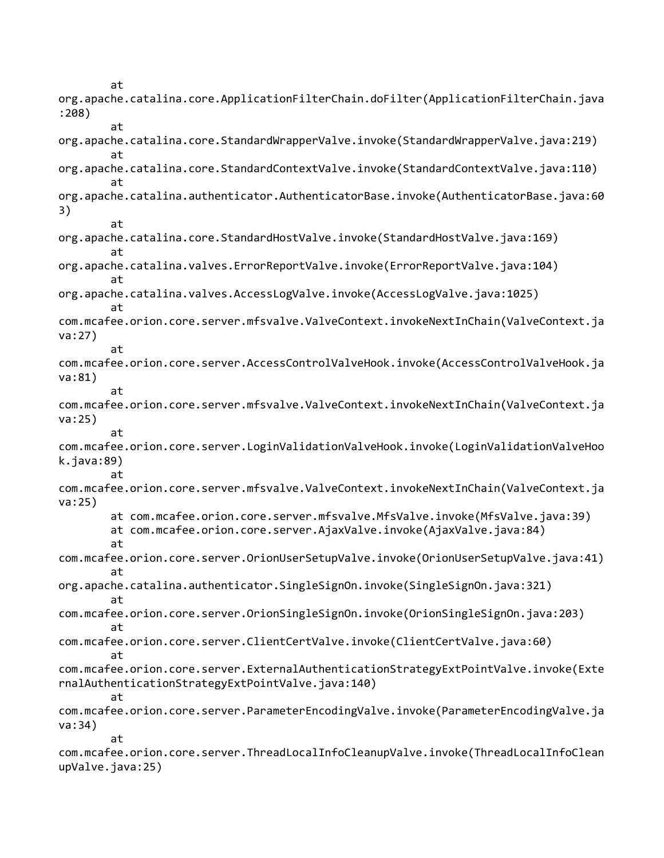at org.apache.catalina.core.ApplicationFilterChain.doFilter(ApplicationFilterChain.java :208) at org.apache.catalina.core.StandardWrapperValve.invoke(StandardWrapperValve.java:219) at org.apache.catalina.core.StandardContextValve.invoke(StandardContextValve.java:110) at org.apache.catalina.authenticator.AuthenticatorBase.invoke(AuthenticatorBase.java:60 3) at org.apache.catalina.core.StandardHostValve.invoke(StandardHostValve.java:169) at org.apache.catalina.valves.ErrorReportValve.invoke(ErrorReportValve.java:104) at org.apache.catalina.valves.AccessLogValve.invoke(AccessLogValve.java:1025) at com.mcafee.orion.core.server.mfsvalve.ValveContext.invokeNextInChain(ValveContext.ja va:27) at com.mcafee.orion.core.server.AccessControlValveHook.invoke(AccessControlValveHook.ja va:81) at com.mcafee.orion.core.server.mfsvalve.ValveContext.invokeNextInChain(ValveContext.ja va:25) at com.mcafee.orion.core.server.LoginValidationValveHook.invoke(LoginValidationValveHoo k.java:89) at com.mcafee.orion.core.server.mfsvalve.ValveContext.invokeNextInChain(ValveContext.ja va:25) at com.mcafee.orion.core.server.mfsvalve.MfsValve.invoke(MfsValve.java:39) at com.mcafee.orion.core.server.AjaxValve.invoke(AjaxValve.java:84) at com.mcafee.orion.core.server.OrionUserSetupValve.invoke(OrionUserSetupValve.java:41) at org.apache.catalina.authenticator.SingleSignOn.invoke(SingleSignOn.java:321) at com.mcafee.orion.core.server.OrionSingleSignOn.invoke(OrionSingleSignOn.java:203) at com.mcafee.orion.core.server.ClientCertValve.invoke(ClientCertValve.java:60) at com.mcafee.orion.core.server.ExternalAuthenticationStrategyExtPointValve.invoke(Exte rnalAuthenticationStrategyExtPointValve.java:140) at com.mcafee.orion.core.server.ParameterEncodingValve.invoke(ParameterEncodingValve.ja va:34) at com.mcafee.orion.core.server.ThreadLocalInfoCleanupValve.invoke(ThreadLocalInfoClean upValve.java:25)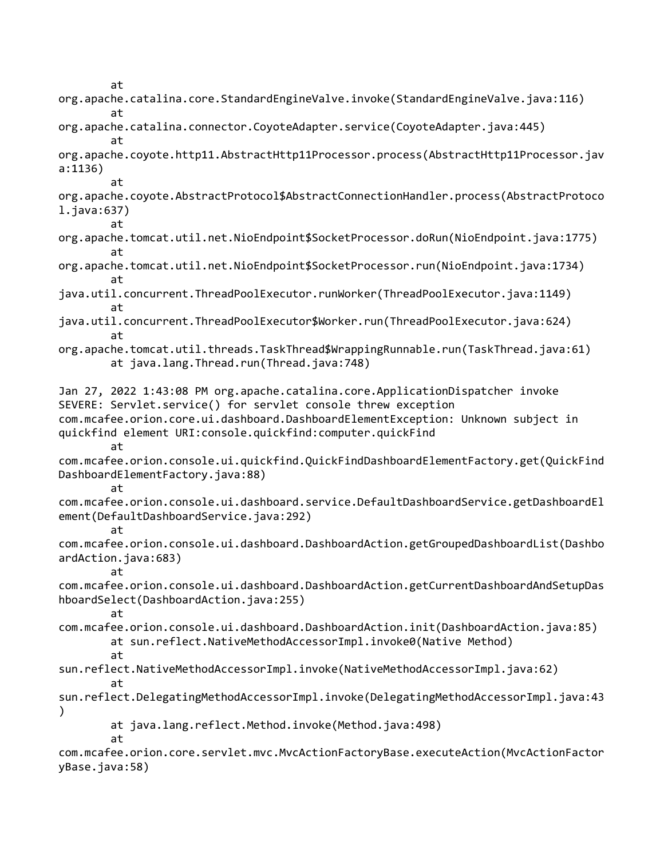at org.apache.catalina.core.StandardEngineValve.invoke(StandardEngineValve.java:116) at org.apache.catalina.connector.CoyoteAdapter.service(CoyoteAdapter.java:445) at org.apache.coyote.http11.AbstractHttp11Processor.process(AbstractHttp11Processor.jav a:1136) at org.apache.coyote.AbstractProtocol\$AbstractConnectionHandler.process(AbstractProtoco l.java:637) at org.apache.tomcat.util.net.NioEndpoint\$SocketProcessor.doRun(NioEndpoint.java:1775) at org.apache.tomcat.util.net.NioEndpoint\$SocketProcessor.run(NioEndpoint.java:1734) at java.util.concurrent.ThreadPoolExecutor.runWorker(ThreadPoolExecutor.java:1149) at java.util.concurrent.ThreadPoolExecutor\$Worker.run(ThreadPoolExecutor.java:624) at org.apache.tomcat.util.threads.TaskThread\$WrappingRunnable.run(TaskThread.java:61) at java.lang.Thread.run(Thread.java:748) Jan 27, 2022 1:43:08 PM org.apache.catalina.core.ApplicationDispatcher invoke SEVERE: Servlet.service() for servlet console threw exception com.mcafee.orion.core.ui.dashboard.DashboardElementException: Unknown subject in quickfind element URI:console.quickfind:computer.quickFind at com.mcafee.orion.console.ui.quickfind.QuickFindDashboardElementFactory.get(QuickFind DashboardElementFactory.java:88) at com.mcafee.orion.console.ui.dashboard.service.DefaultDashboardService.getDashboardEl ement(DefaultDashboardService.java:292) at com.mcafee.orion.console.ui.dashboard.DashboardAction.getGroupedDashboardList(Dashbo ardAction.java:683) at com.mcafee.orion.console.ui.dashboard.DashboardAction.getCurrentDashboardAndSetupDas hboardSelect(DashboardAction.java:255) at com.mcafee.orion.console.ui.dashboard.DashboardAction.init(DashboardAction.java:85) at sun.reflect.NativeMethodAccessorImpl.invoke0(Native Method) at sun.reflect.NativeMethodAccessorImpl.invoke(NativeMethodAccessorImpl.java:62) at sun.reflect.DelegatingMethodAccessorImpl.invoke(DelegatingMethodAccessorImpl.java:43 ) at java.lang.reflect.Method.invoke(Method.java:498) at com.mcafee.orion.core.servlet.mvc.MvcActionFactoryBase.executeAction(MvcActionFactor

yBase.java:58)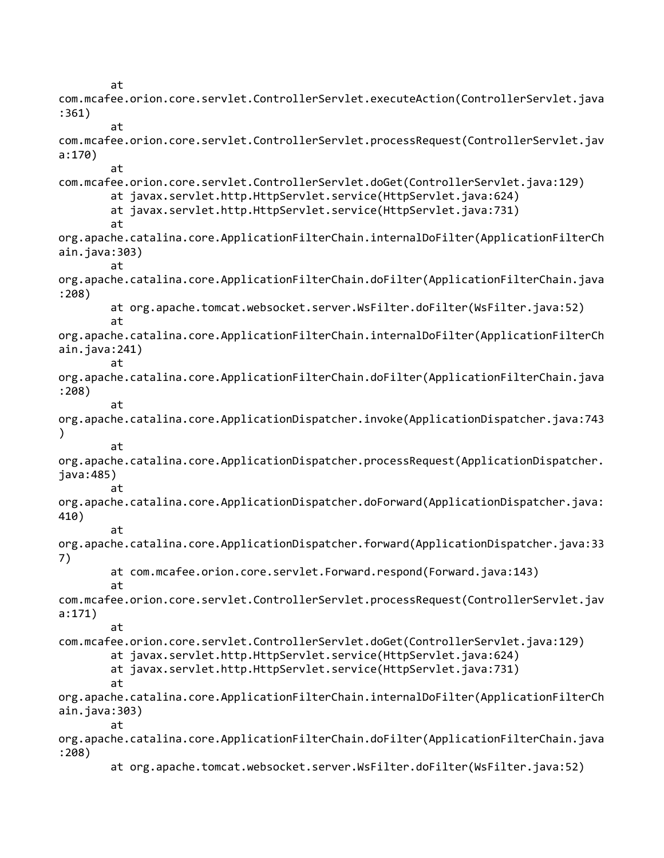at com.mcafee.orion.core.servlet.ControllerServlet.executeAction(ControllerServlet.java :361) at com.mcafee.orion.core.servlet.ControllerServlet.processRequest(ControllerServlet.jav a:170) at com.mcafee.orion.core.servlet.ControllerServlet.doGet(ControllerServlet.java:129) at javax.servlet.http.HttpServlet.service(HttpServlet.java:624) at javax.servlet.http.HttpServlet.service(HttpServlet.java:731) at org.apache.catalina.core.ApplicationFilterChain.internalDoFilter(ApplicationFilterCh ain.java:303) at org.apache.catalina.core.ApplicationFilterChain.doFilter(ApplicationFilterChain.java :208) at org.apache.tomcat.websocket.server.WsFilter.doFilter(WsFilter.java:52) at org.apache.catalina.core.ApplicationFilterChain.internalDoFilter(ApplicationFilterCh ain.java:241) at org.apache.catalina.core.ApplicationFilterChain.doFilter(ApplicationFilterChain.java :208) at org.apache.catalina.core.ApplicationDispatcher.invoke(ApplicationDispatcher.java:743 ) at org.apache.catalina.core.ApplicationDispatcher.processRequest(ApplicationDispatcher. java:485) at org.apache.catalina.core.ApplicationDispatcher.doForward(ApplicationDispatcher.java: 410) at org.apache.catalina.core.ApplicationDispatcher.forward(ApplicationDispatcher.java:33 7) at com.mcafee.orion.core.servlet.Forward.respond(Forward.java:143) at com.mcafee.orion.core.servlet.ControllerServlet.processRequest(ControllerServlet.jav a:171) at com.mcafee.orion.core.servlet.ControllerServlet.doGet(ControllerServlet.java:129) at javax.servlet.http.HttpServlet.service(HttpServlet.java:624) at javax.servlet.http.HttpServlet.service(HttpServlet.java:731) at org.apache.catalina.core.ApplicationFilterChain.internalDoFilter(ApplicationFilterCh ain.java:303) at org.apache.catalina.core.ApplicationFilterChain.doFilter(ApplicationFilterChain.java :208) at org.apache.tomcat.websocket.server.WsFilter.doFilter(WsFilter.java:52)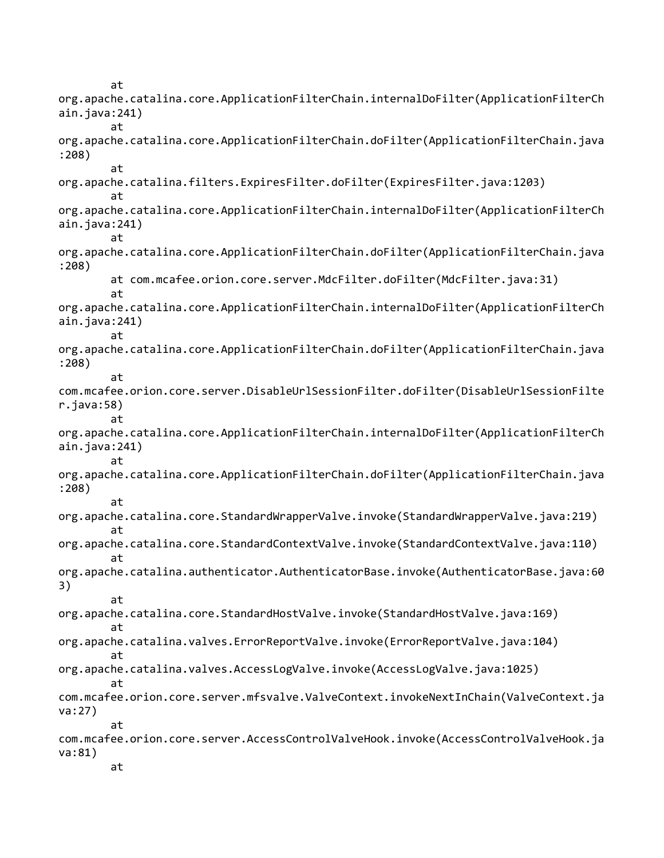at org.apache.catalina.core.ApplicationFilterChain.internalDoFilter(ApplicationFilterCh ain.java:241) at org.apache.catalina.core.ApplicationFilterChain.doFilter(ApplicationFilterChain.java :208) at org.apache.catalina.filters.ExpiresFilter.doFilter(ExpiresFilter.java:1203) at org.apache.catalina.core.ApplicationFilterChain.internalDoFilter(ApplicationFilterCh ain.java:241) at org.apache.catalina.core.ApplicationFilterChain.doFilter(ApplicationFilterChain.java :208) at com.mcafee.orion.core.server.MdcFilter.doFilter(MdcFilter.java:31) at org.apache.catalina.core.ApplicationFilterChain.internalDoFilter(ApplicationFilterCh ain.java:241) at org.apache.catalina.core.ApplicationFilterChain.doFilter(ApplicationFilterChain.java :208) at com.mcafee.orion.core.server.DisableUrlSessionFilter.doFilter(DisableUrlSessionFilte r.java:58) at org.apache.catalina.core.ApplicationFilterChain.internalDoFilter(ApplicationFilterCh ain.java:241) at org.apache.catalina.core.ApplicationFilterChain.doFilter(ApplicationFilterChain.java :208) at org.apache.catalina.core.StandardWrapperValve.invoke(StandardWrapperValve.java:219) at org.apache.catalina.core.StandardContextValve.invoke(StandardContextValve.java:110) at org.apache.catalina.authenticator.AuthenticatorBase.invoke(AuthenticatorBase.java:60 3) at org.apache.catalina.core.StandardHostValve.invoke(StandardHostValve.java:169) at org.apache.catalina.valves.ErrorReportValve.invoke(ErrorReportValve.java:104) at org.apache.catalina.valves.AccessLogValve.invoke(AccessLogValve.java:1025) at com.mcafee.orion.core.server.mfsvalve.ValveContext.invokeNextInChain(ValveContext.ja va:27) at com.mcafee.orion.core.server.AccessControlValveHook.invoke(AccessControlValveHook.ja va:81) at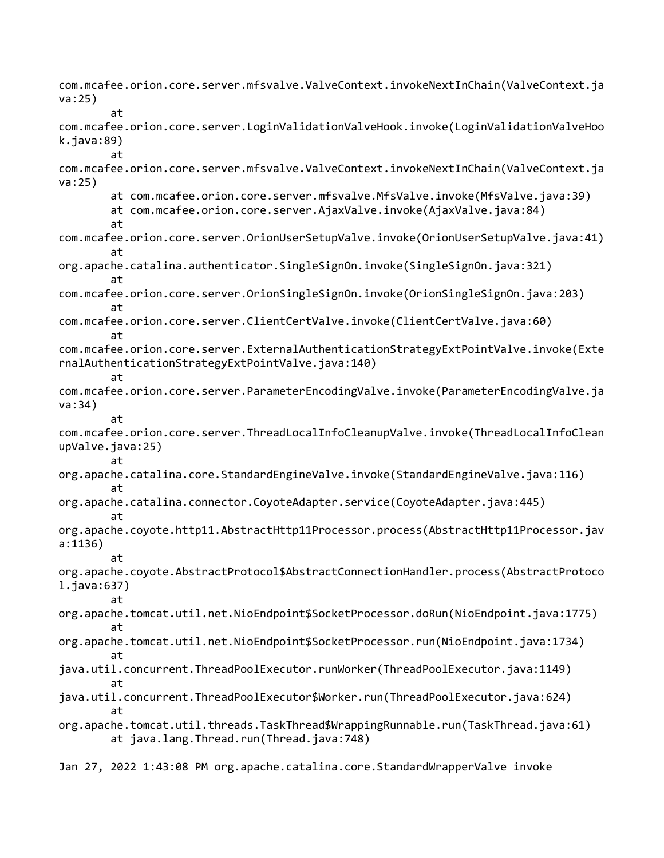com.mcafee.orion.core.server.mfsvalve.ValveContext.invokeNextInChain(ValveContext.ja va:25) at com.mcafee.orion.core.server.LoginValidationValveHook.invoke(LoginValidationValveHoo k.java:89) at com.mcafee.orion.core.server.mfsvalve.ValveContext.invokeNextInChain(ValveContext.ja va:25) at com.mcafee.orion.core.server.mfsvalve.MfsValve.invoke(MfsValve.java:39) at com.mcafee.orion.core.server.AjaxValve.invoke(AjaxValve.java:84) at com.mcafee.orion.core.server.OrionUserSetupValve.invoke(OrionUserSetupValve.java:41) at org.apache.catalina.authenticator.SingleSignOn.invoke(SingleSignOn.java:321) at com.mcafee.orion.core.server.OrionSingleSignOn.invoke(OrionSingleSignOn.java:203) at com.mcafee.orion.core.server.ClientCertValve.invoke(ClientCertValve.java:60) at com.mcafee.orion.core.server.ExternalAuthenticationStrategyExtPointValve.invoke(Exte rnalAuthenticationStrategyExtPointValve.java:140) at com.mcafee.orion.core.server.ParameterEncodingValve.invoke(ParameterEncodingValve.ja va:34) at com.mcafee.orion.core.server.ThreadLocalInfoCleanupValve.invoke(ThreadLocalInfoClean upValve.java:25) at org.apache.catalina.core.StandardEngineValve.invoke(StandardEngineValve.java:116) at org.apache.catalina.connector.CoyoteAdapter.service(CoyoteAdapter.java:445) at org.apache.coyote.http11.AbstractHttp11Processor.process(AbstractHttp11Processor.jav a:1136) at org.apache.coyote.AbstractProtocol\$AbstractConnectionHandler.process(AbstractProtoco l.java:637) at org.apache.tomcat.util.net.NioEndpoint\$SocketProcessor.doRun(NioEndpoint.java:1775) at org.apache.tomcat.util.net.NioEndpoint\$SocketProcessor.run(NioEndpoint.java:1734) at java.util.concurrent.ThreadPoolExecutor.runWorker(ThreadPoolExecutor.java:1149) at java.util.concurrent.ThreadPoolExecutor\$Worker.run(ThreadPoolExecutor.java:624) at org.apache.tomcat.util.threads.TaskThread\$WrappingRunnable.run(TaskThread.java:61) at java.lang.Thread.run(Thread.java:748)

Jan 27, 2022 1:43:08 PM org.apache.catalina.core.StandardWrapperValve invoke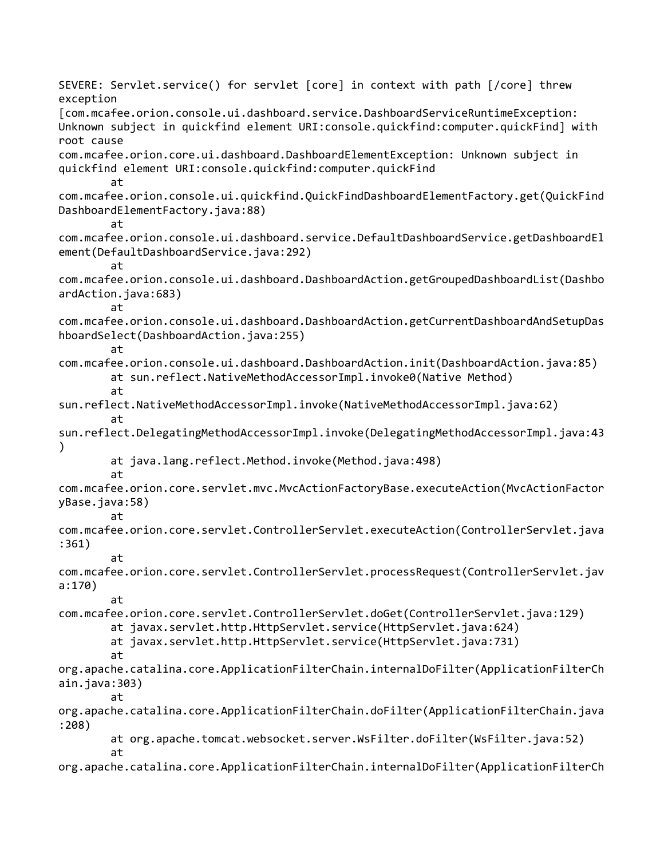SEVERE: Servlet.service() for servlet [core] in context with path [/core] threw exception [com.mcafee.orion.console.ui.dashboard.service.DashboardServiceRuntimeException: Unknown subject in quickfind element URI:console.quickfind:computer.quickFind] with root cause com.mcafee.orion.core.ui.dashboard.DashboardElementException: Unknown subject in quickfind element URI:console.quickfind:computer.quickFind at com.mcafee.orion.console.ui.quickfind.QuickFindDashboardElementFactory.get(QuickFind DashboardElementFactory.java:88) at com.mcafee.orion.console.ui.dashboard.service.DefaultDashboardService.getDashboardEl ement(DefaultDashboardService.java:292) at com.mcafee.orion.console.ui.dashboard.DashboardAction.getGroupedDashboardList(Dashbo ardAction.java:683) at com.mcafee.orion.console.ui.dashboard.DashboardAction.getCurrentDashboardAndSetupDas hboardSelect(DashboardAction.java:255) at com.mcafee.orion.console.ui.dashboard.DashboardAction.init(DashboardAction.java:85) at sun.reflect.NativeMethodAccessorImpl.invoke0(Native Method) at sun.reflect.NativeMethodAccessorImpl.invoke(NativeMethodAccessorImpl.java:62) at sun.reflect.DelegatingMethodAccessorImpl.invoke(DelegatingMethodAccessorImpl.java:43 ) at java.lang.reflect.Method.invoke(Method.java:498) at com.mcafee.orion.core.servlet.mvc.MvcActionFactoryBase.executeAction(MvcActionFactor yBase.java:58) at com.mcafee.orion.core.servlet.ControllerServlet.executeAction(ControllerServlet.java :361) at com.mcafee.orion.core.servlet.ControllerServlet.processRequest(ControllerServlet.jav a:170) at com.mcafee.orion.core.servlet.ControllerServlet.doGet(ControllerServlet.java:129) at javax.servlet.http.HttpServlet.service(HttpServlet.java:624) at javax.servlet.http.HttpServlet.service(HttpServlet.java:731) at org.apache.catalina.core.ApplicationFilterChain.internalDoFilter(ApplicationFilterCh ain.java:303) at org.apache.catalina.core.ApplicationFilterChain.doFilter(ApplicationFilterChain.java :208) at org.apache.tomcat.websocket.server.WsFilter.doFilter(WsFilter.java:52) at org.apache.catalina.core.ApplicationFilterChain.internalDoFilter(ApplicationFilterCh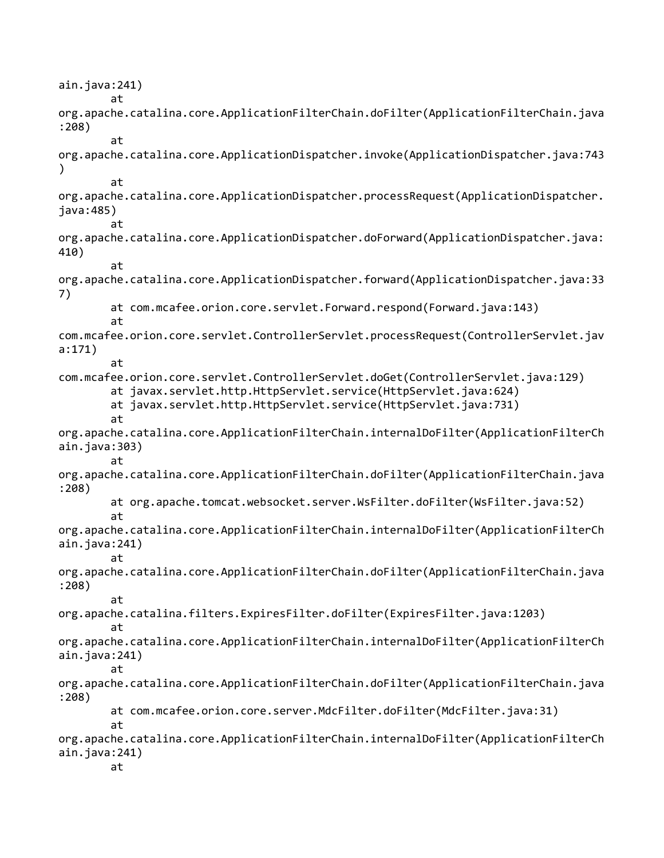ain.java:241) at org.apache.catalina.core.ApplicationFilterChain.doFilter(ApplicationFilterChain.java :208) at org.apache.catalina.core.ApplicationDispatcher.invoke(ApplicationDispatcher.java:743 ) at org.apache.catalina.core.ApplicationDispatcher.processRequest(ApplicationDispatcher. java:485) at org.apache.catalina.core.ApplicationDispatcher.doForward(ApplicationDispatcher.java: 410) at org.apache.catalina.core.ApplicationDispatcher.forward(ApplicationDispatcher.java:33 7) at com.mcafee.orion.core.servlet.Forward.respond(Forward.java:143) at com.mcafee.orion.core.servlet.ControllerServlet.processRequest(ControllerServlet.jav a:171) at com.mcafee.orion.core.servlet.ControllerServlet.doGet(ControllerServlet.java:129) at javax.servlet.http.HttpServlet.service(HttpServlet.java:624) at javax.servlet.http.HttpServlet.service(HttpServlet.java:731) at org.apache.catalina.core.ApplicationFilterChain.internalDoFilter(ApplicationFilterCh ain.java:303) at org.apache.catalina.core.ApplicationFilterChain.doFilter(ApplicationFilterChain.java :208) at org.apache.tomcat.websocket.server.WsFilter.doFilter(WsFilter.java:52) at org.apache.catalina.core.ApplicationFilterChain.internalDoFilter(ApplicationFilterCh ain.java:241) at org.apache.catalina.core.ApplicationFilterChain.doFilter(ApplicationFilterChain.java :208) at org.apache.catalina.filters.ExpiresFilter.doFilter(ExpiresFilter.java:1203) at org.apache.catalina.core.ApplicationFilterChain.internalDoFilter(ApplicationFilterCh ain.java:241) at org.apache.catalina.core.ApplicationFilterChain.doFilter(ApplicationFilterChain.java :208) at com.mcafee.orion.core.server.MdcFilter.doFilter(MdcFilter.java:31) at org.apache.catalina.core.ApplicationFilterChain.internalDoFilter(ApplicationFilterCh ain.java:241) at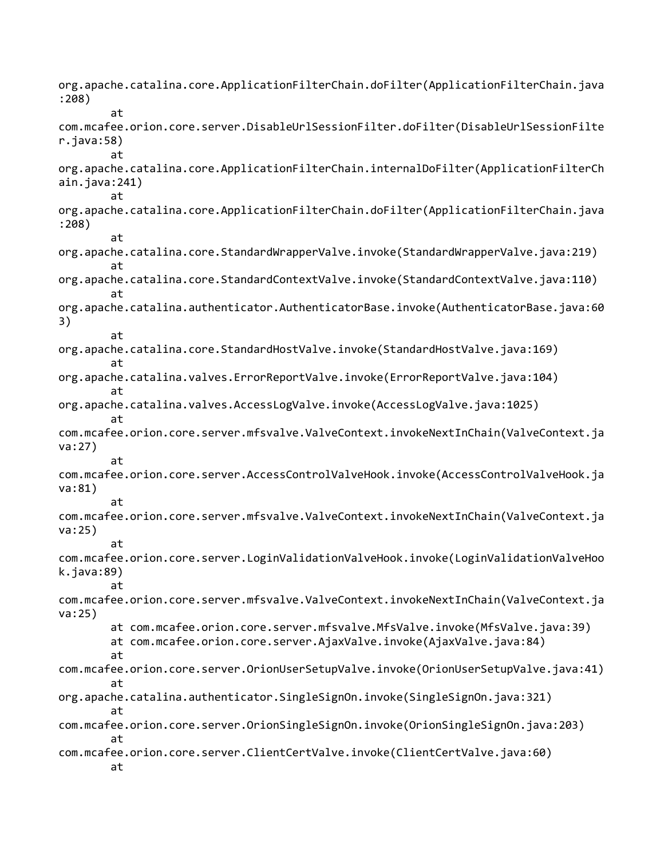org.apache.catalina.core.ApplicationFilterChain.doFilter(ApplicationFilterChain.java :208) at com.mcafee.orion.core.server.DisableUrlSessionFilter.doFilter(DisableUrlSessionFilte r.java:58) at org.apache.catalina.core.ApplicationFilterChain.internalDoFilter(ApplicationFilterCh ain.java:241) at org.apache.catalina.core.ApplicationFilterChain.doFilter(ApplicationFilterChain.java :208) at org.apache.catalina.core.StandardWrapperValve.invoke(StandardWrapperValve.java:219) at org.apache.catalina.core.StandardContextValve.invoke(StandardContextValve.java:110) at org.apache.catalina.authenticator.AuthenticatorBase.invoke(AuthenticatorBase.java:60 3) at org.apache.catalina.core.StandardHostValve.invoke(StandardHostValve.java:169) at org.apache.catalina.valves.ErrorReportValve.invoke(ErrorReportValve.java:104) at org.apache.catalina.valves.AccessLogValve.invoke(AccessLogValve.java:1025) at com.mcafee.orion.core.server.mfsvalve.ValveContext.invokeNextInChain(ValveContext.ja va:27) at com.mcafee.orion.core.server.AccessControlValveHook.invoke(AccessControlValveHook.ja va:81) at com.mcafee.orion.core.server.mfsvalve.ValveContext.invokeNextInChain(ValveContext.ja va:25) at com.mcafee.orion.core.server.LoginValidationValveHook.invoke(LoginValidationValveHoo k.java:89) at com.mcafee.orion.core.server.mfsvalve.ValveContext.invokeNextInChain(ValveContext.ja va:25) at com.mcafee.orion.core.server.mfsvalve.MfsValve.invoke(MfsValve.java:39) at com.mcafee.orion.core.server.AjaxValve.invoke(AjaxValve.java:84) at com.mcafee.orion.core.server.OrionUserSetupValve.invoke(OrionUserSetupValve.java:41) at org.apache.catalina.authenticator.SingleSignOn.invoke(SingleSignOn.java:321) at com.mcafee.orion.core.server.OrionSingleSignOn.invoke(OrionSingleSignOn.java:203) at com.mcafee.orion.core.server.ClientCertValve.invoke(ClientCertValve.java:60) at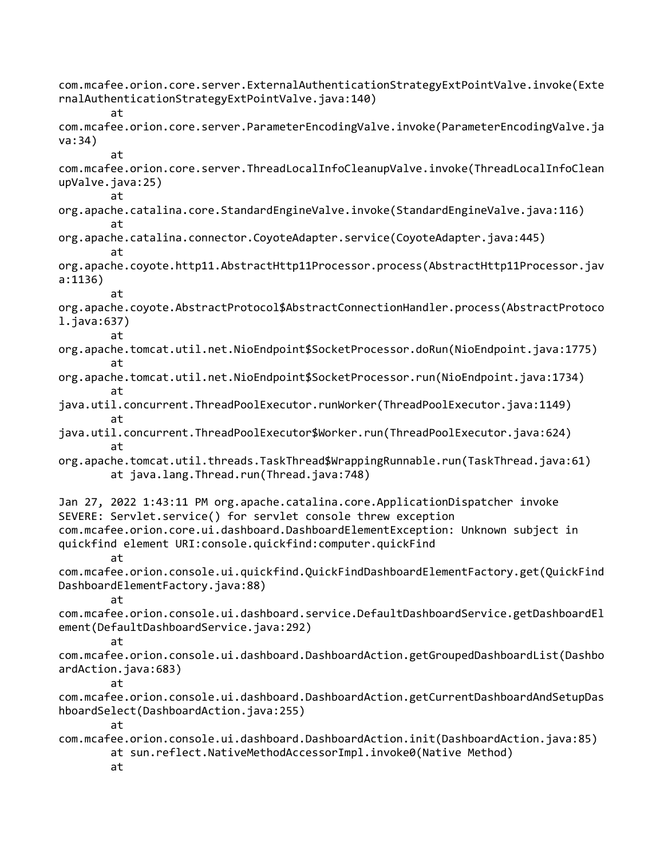com.mcafee.orion.core.server.ExternalAuthenticationStrategyExtPointValve.invoke(Exte rnalAuthenticationStrategyExtPointValve.java:140) at com.mcafee.orion.core.server.ParameterEncodingValve.invoke(ParameterEncodingValve.ja va:34) at com.mcafee.orion.core.server.ThreadLocalInfoCleanupValve.invoke(ThreadLocalInfoClean upValve.java:25) at org.apache.catalina.core.StandardEngineValve.invoke(StandardEngineValve.java:116) at org.apache.catalina.connector.CoyoteAdapter.service(CoyoteAdapter.java:445) at org.apache.coyote.http11.AbstractHttp11Processor.process(AbstractHttp11Processor.jav a:1136) at org.apache.coyote.AbstractProtocol\$AbstractConnectionHandler.process(AbstractProtoco l.java:637) at org.apache.tomcat.util.net.NioEndpoint\$SocketProcessor.doRun(NioEndpoint.java:1775) at org.apache.tomcat.util.net.NioEndpoint\$SocketProcessor.run(NioEndpoint.java:1734) at java.util.concurrent.ThreadPoolExecutor.runWorker(ThreadPoolExecutor.java:1149) at java.util.concurrent.ThreadPoolExecutor\$Worker.run(ThreadPoolExecutor.java:624) at org.apache.tomcat.util.threads.TaskThread\$WrappingRunnable.run(TaskThread.java:61) at java.lang.Thread.run(Thread.java:748) Jan 27, 2022 1:43:11 PM org.apache.catalina.core.ApplicationDispatcher invoke SEVERE: Servlet.service() for servlet console threw exception com.mcafee.orion.core.ui.dashboard.DashboardElementException: Unknown subject in quickfind element URI:console.quickfind:computer.quickFind at com.mcafee.orion.console.ui.quickfind.QuickFindDashboardElementFactory.get(QuickFind DashboardElementFactory.java:88) at com.mcafee.orion.console.ui.dashboard.service.DefaultDashboardService.getDashboardEl ement(DefaultDashboardService.java:292) at com.mcafee.orion.console.ui.dashboard.DashboardAction.getGroupedDashboardList(Dashbo ardAction.java:683) at com.mcafee.orion.console.ui.dashboard.DashboardAction.getCurrentDashboardAndSetupDas hboardSelect(DashboardAction.java:255) at com.mcafee.orion.console.ui.dashboard.DashboardAction.init(DashboardAction.java:85) at sun.reflect.NativeMethodAccessorImpl.invoke0(Native Method) at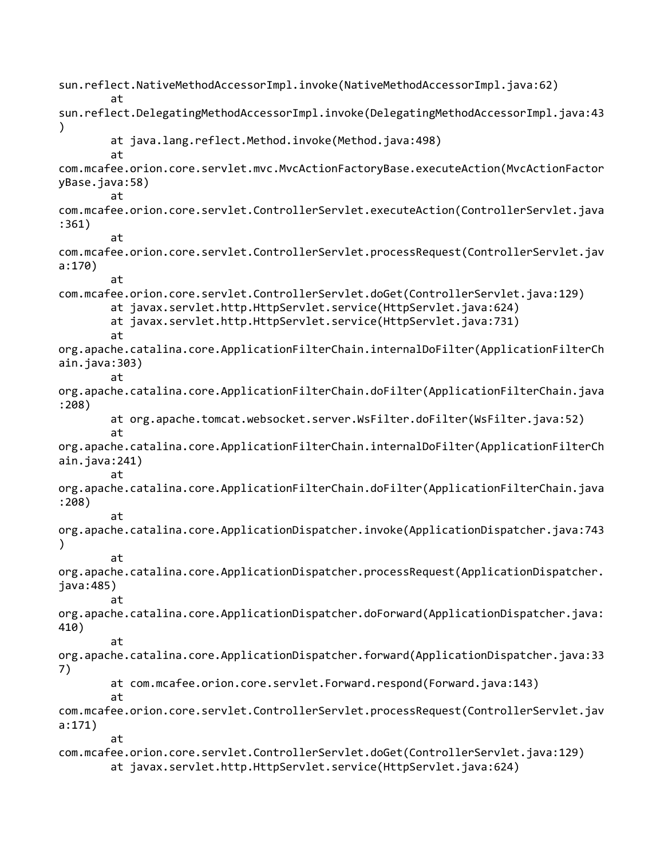sun.reflect.NativeMethodAccessorImpl.invoke(NativeMethodAccessorImpl.java:62) at sun.reflect.DelegatingMethodAccessorImpl.invoke(DelegatingMethodAccessorImpl.java:43 ) at java.lang.reflect.Method.invoke(Method.java:498) at com.mcafee.orion.core.servlet.mvc.MvcActionFactoryBase.executeAction(MvcActionFactor yBase.java:58) at com.mcafee.orion.core.servlet.ControllerServlet.executeAction(ControllerServlet.java :361) at com.mcafee.orion.core.servlet.ControllerServlet.processRequest(ControllerServlet.jav a:170) at com.mcafee.orion.core.servlet.ControllerServlet.doGet(ControllerServlet.java:129) at javax.servlet.http.HttpServlet.service(HttpServlet.java:624) at javax.servlet.http.HttpServlet.service(HttpServlet.java:731) at org.apache.catalina.core.ApplicationFilterChain.internalDoFilter(ApplicationFilterCh ain.java:303) at org.apache.catalina.core.ApplicationFilterChain.doFilter(ApplicationFilterChain.java :208) at org.apache.tomcat.websocket.server.WsFilter.doFilter(WsFilter.java:52) at org.apache.catalina.core.ApplicationFilterChain.internalDoFilter(ApplicationFilterCh ain.java:241) at org.apache.catalina.core.ApplicationFilterChain.doFilter(ApplicationFilterChain.java :208) at org.apache.catalina.core.ApplicationDispatcher.invoke(ApplicationDispatcher.java:743 ) at org.apache.catalina.core.ApplicationDispatcher.processRequest(ApplicationDispatcher. java:485) at org.apache.catalina.core.ApplicationDispatcher.doForward(ApplicationDispatcher.java: 410) at org.apache.catalina.core.ApplicationDispatcher.forward(ApplicationDispatcher.java:33 7) at com.mcafee.orion.core.servlet.Forward.respond(Forward.java:143) at com.mcafee.orion.core.servlet.ControllerServlet.processRequest(ControllerServlet.jav a:171) at com.mcafee.orion.core.servlet.ControllerServlet.doGet(ControllerServlet.java:129) at javax.servlet.http.HttpServlet.service(HttpServlet.java:624)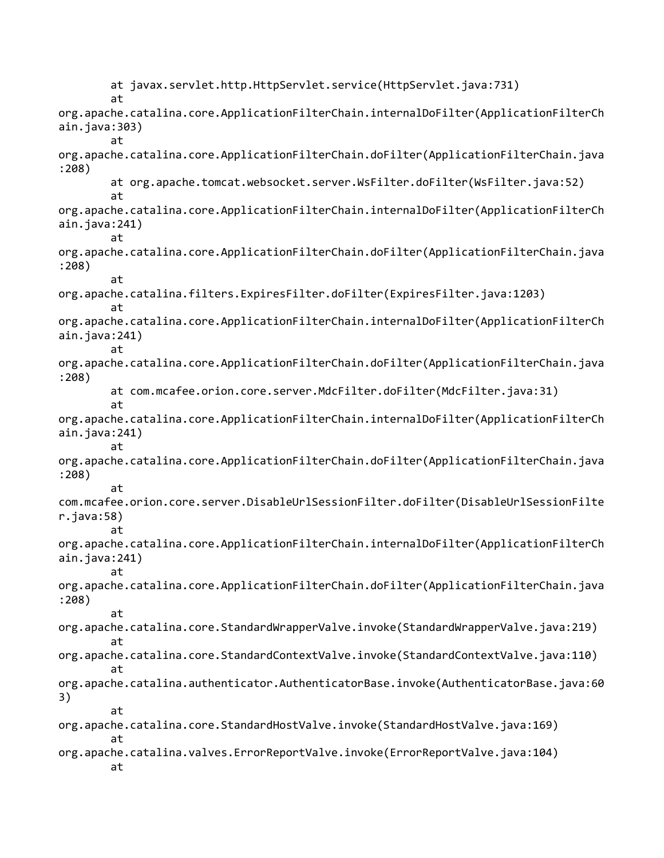at javax.servlet.http.HttpServlet.service(HttpServlet.java:731) at org.apache.catalina.core.ApplicationFilterChain.internalDoFilter(ApplicationFilterCh ain.java:303) at org.apache.catalina.core.ApplicationFilterChain.doFilter(ApplicationFilterChain.java :208) at org.apache.tomcat.websocket.server.WsFilter.doFilter(WsFilter.java:52) at org.apache.catalina.core.ApplicationFilterChain.internalDoFilter(ApplicationFilterCh ain.java:241) at org.apache.catalina.core.ApplicationFilterChain.doFilter(ApplicationFilterChain.java :208) at org.apache.catalina.filters.ExpiresFilter.doFilter(ExpiresFilter.java:1203) at org.apache.catalina.core.ApplicationFilterChain.internalDoFilter(ApplicationFilterCh ain.java:241) at org.apache.catalina.core.ApplicationFilterChain.doFilter(ApplicationFilterChain.java :208) at com.mcafee.orion.core.server.MdcFilter.doFilter(MdcFilter.java:31) at org.apache.catalina.core.ApplicationFilterChain.internalDoFilter(ApplicationFilterCh ain.java:241) at org.apache.catalina.core.ApplicationFilterChain.doFilter(ApplicationFilterChain.java :208) at com.mcafee.orion.core.server.DisableUrlSessionFilter.doFilter(DisableUrlSessionFilte r.java:58) at org.apache.catalina.core.ApplicationFilterChain.internalDoFilter(ApplicationFilterCh ain.java:241) at org.apache.catalina.core.ApplicationFilterChain.doFilter(ApplicationFilterChain.java :208) at org.apache.catalina.core.StandardWrapperValve.invoke(StandardWrapperValve.java:219) at org.apache.catalina.core.StandardContextValve.invoke(StandardContextValve.java:110) at org.apache.catalina.authenticator.AuthenticatorBase.invoke(AuthenticatorBase.java:60 3) at org.apache.catalina.core.StandardHostValve.invoke(StandardHostValve.java:169) at org.apache.catalina.valves.ErrorReportValve.invoke(ErrorReportValve.java:104) at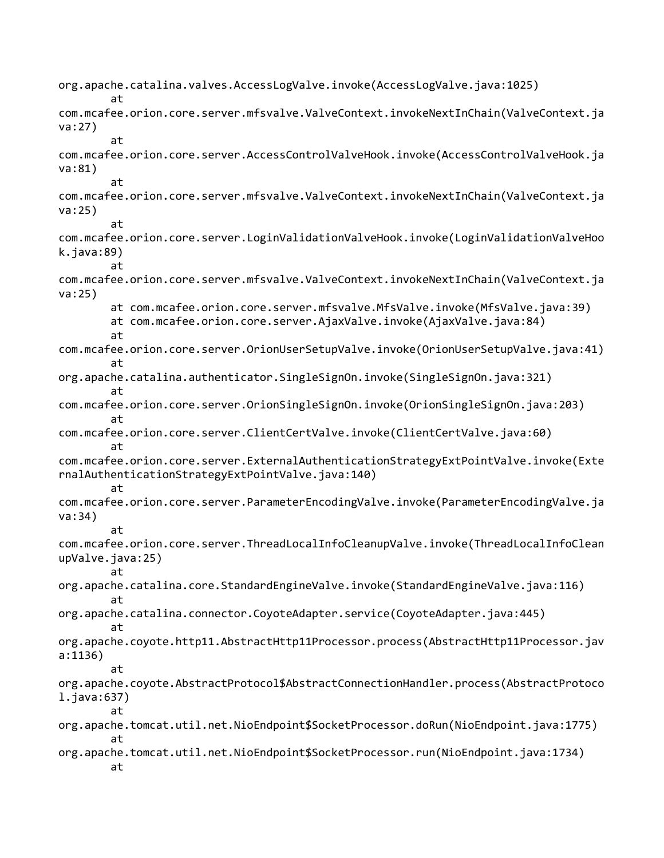org.apache.catalina.valves.AccessLogValve.invoke(AccessLogValve.java:1025) at com.mcafee.orion.core.server.mfsvalve.ValveContext.invokeNextInChain(ValveContext.ja va:27) at com.mcafee.orion.core.server.AccessControlValveHook.invoke(AccessControlValveHook.ja va:81) at com.mcafee.orion.core.server.mfsvalve.ValveContext.invokeNextInChain(ValveContext.ja va:25) at com.mcafee.orion.core.server.LoginValidationValveHook.invoke(LoginValidationValveHoo k.java:89) at com.mcafee.orion.core.server.mfsvalve.ValveContext.invokeNextInChain(ValveContext.ja va:25) at com.mcafee.orion.core.server.mfsvalve.MfsValve.invoke(MfsValve.java:39) at com.mcafee.orion.core.server.AjaxValve.invoke(AjaxValve.java:84) at com.mcafee.orion.core.server.OrionUserSetupValve.invoke(OrionUserSetupValve.java:41) at org.apache.catalina.authenticator.SingleSignOn.invoke(SingleSignOn.java:321) at com.mcafee.orion.core.server.OrionSingleSignOn.invoke(OrionSingleSignOn.java:203) at com.mcafee.orion.core.server.ClientCertValve.invoke(ClientCertValve.java:60) at com.mcafee.orion.core.server.ExternalAuthenticationStrategyExtPointValve.invoke(Exte rnalAuthenticationStrategyExtPointValve.java:140) at com.mcafee.orion.core.server.ParameterEncodingValve.invoke(ParameterEncodingValve.ja va:34) at com.mcafee.orion.core.server.ThreadLocalInfoCleanupValve.invoke(ThreadLocalInfoClean upValve.java:25) at org.apache.catalina.core.StandardEngineValve.invoke(StandardEngineValve.java:116) at org.apache.catalina.connector.CoyoteAdapter.service(CoyoteAdapter.java:445) at org.apache.coyote.http11.AbstractHttp11Processor.process(AbstractHttp11Processor.jav a:1136) at org.apache.coyote.AbstractProtocol\$AbstractConnectionHandler.process(AbstractProtoco l.java:637) at org.apache.tomcat.util.net.NioEndpoint\$SocketProcessor.doRun(NioEndpoint.java:1775) at org.apache.tomcat.util.net.NioEndpoint\$SocketProcessor.run(NioEndpoint.java:1734) at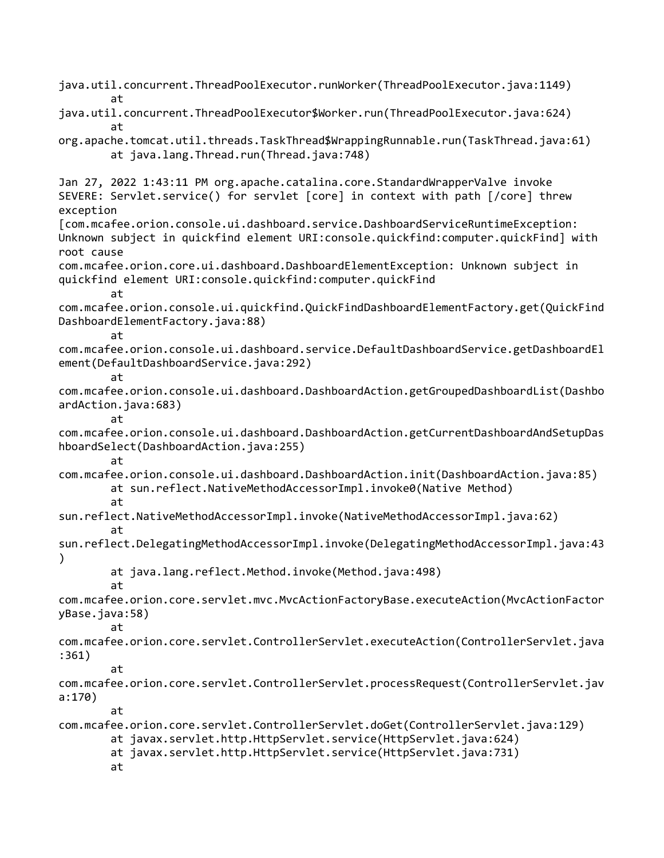java.util.concurrent.ThreadPoolExecutor.runWorker(ThreadPoolExecutor.java:1149) at java.util.concurrent.ThreadPoolExecutor\$Worker.run(ThreadPoolExecutor.java:624) at org.apache.tomcat.util.threads.TaskThread\$WrappingRunnable.run(TaskThread.java:61) at java.lang.Thread.run(Thread.java:748) Jan 27, 2022 1:43:11 PM org.apache.catalina.core.StandardWrapperValve invoke SEVERE: Servlet.service() for servlet [core] in context with path [/core] threw exception [com.mcafee.orion.console.ui.dashboard.service.DashboardServiceRuntimeException: Unknown subject in quickfind element URI:console.quickfind:computer.quickFind] with root cause com.mcafee.orion.core.ui.dashboard.DashboardElementException: Unknown subject in quickfind element URI:console.quickfind:computer.quickFind at com.mcafee.orion.console.ui.quickfind.QuickFindDashboardElementFactory.get(QuickFind DashboardElementFactory.java:88) at com.mcafee.orion.console.ui.dashboard.service.DefaultDashboardService.getDashboardEl ement(DefaultDashboardService.java:292) at com.mcafee.orion.console.ui.dashboard.DashboardAction.getGroupedDashboardList(Dashbo ardAction.java:683) at com.mcafee.orion.console.ui.dashboard.DashboardAction.getCurrentDashboardAndSetupDas hboardSelect(DashboardAction.java:255) at com.mcafee.orion.console.ui.dashboard.DashboardAction.init(DashboardAction.java:85) at sun.reflect.NativeMethodAccessorImpl.invoke0(Native Method) at sun.reflect.NativeMethodAccessorImpl.invoke(NativeMethodAccessorImpl.java:62) at sun.reflect.DelegatingMethodAccessorImpl.invoke(DelegatingMethodAccessorImpl.java:43 ) at java.lang.reflect.Method.invoke(Method.java:498) at com.mcafee.orion.core.servlet.mvc.MvcActionFactoryBase.executeAction(MvcActionFactor yBase.java:58) at com.mcafee.orion.core.servlet.ControllerServlet.executeAction(ControllerServlet.java :361) at com.mcafee.orion.core.servlet.ControllerServlet.processRequest(ControllerServlet.jav a:170) at com.mcafee.orion.core.servlet.ControllerServlet.doGet(ControllerServlet.java:129) at javax.servlet.http.HttpServlet.service(HttpServlet.java:624) at javax.servlet.http.HttpServlet.service(HttpServlet.java:731) at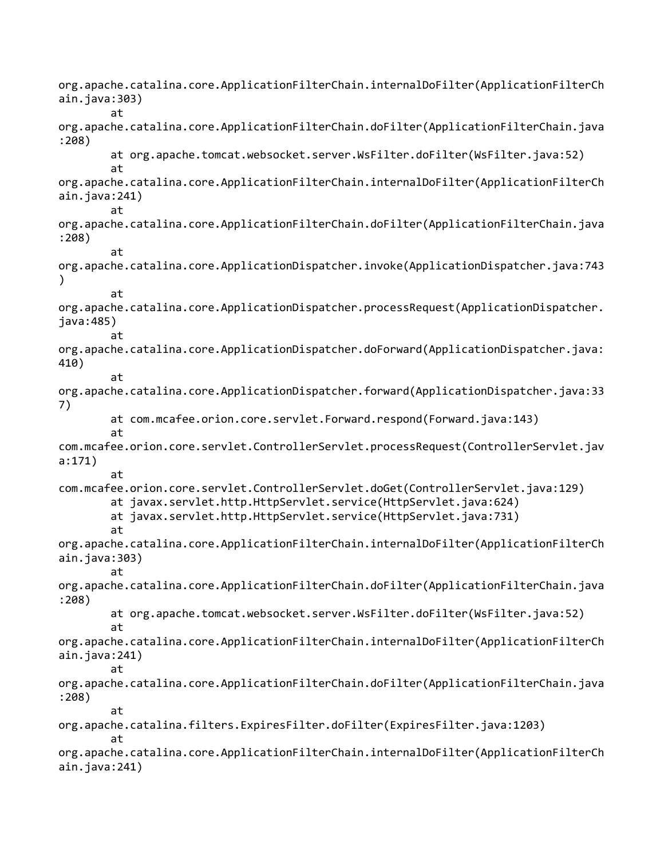org.apache.catalina.core.ApplicationFilterChain.internalDoFilter(ApplicationFilterCh ain.java:303) at org.apache.catalina.core.ApplicationFilterChain.doFilter(ApplicationFilterChain.java :208) at org.apache.tomcat.websocket.server.WsFilter.doFilter(WsFilter.java:52) at org.apache.catalina.core.ApplicationFilterChain.internalDoFilter(ApplicationFilterCh ain.java:241) at org.apache.catalina.core.ApplicationFilterChain.doFilter(ApplicationFilterChain.java :208) at org.apache.catalina.core.ApplicationDispatcher.invoke(ApplicationDispatcher.java:743 ) at org.apache.catalina.core.ApplicationDispatcher.processRequest(ApplicationDispatcher. java:485) at org.apache.catalina.core.ApplicationDispatcher.doForward(ApplicationDispatcher.java: 410) at org.apache.catalina.core.ApplicationDispatcher.forward(ApplicationDispatcher.java:33 7) at com.mcafee.orion.core.servlet.Forward.respond(Forward.java:143) at com.mcafee.orion.core.servlet.ControllerServlet.processRequest(ControllerServlet.jav a:171) at com.mcafee.orion.core.servlet.ControllerServlet.doGet(ControllerServlet.java:129) at javax.servlet.http.HttpServlet.service(HttpServlet.java:624) at javax.servlet.http.HttpServlet.service(HttpServlet.java:731) at org.apache.catalina.core.ApplicationFilterChain.internalDoFilter(ApplicationFilterCh ain.java:303) at org.apache.catalina.core.ApplicationFilterChain.doFilter(ApplicationFilterChain.java :208) at org.apache.tomcat.websocket.server.WsFilter.doFilter(WsFilter.java:52) at org.apache.catalina.core.ApplicationFilterChain.internalDoFilter(ApplicationFilterCh ain.java:241) at org.apache.catalina.core.ApplicationFilterChain.doFilter(ApplicationFilterChain.java :208) at org.apache.catalina.filters.ExpiresFilter.doFilter(ExpiresFilter.java:1203) at org.apache.catalina.core.ApplicationFilterChain.internalDoFilter(ApplicationFilterCh ain.java:241)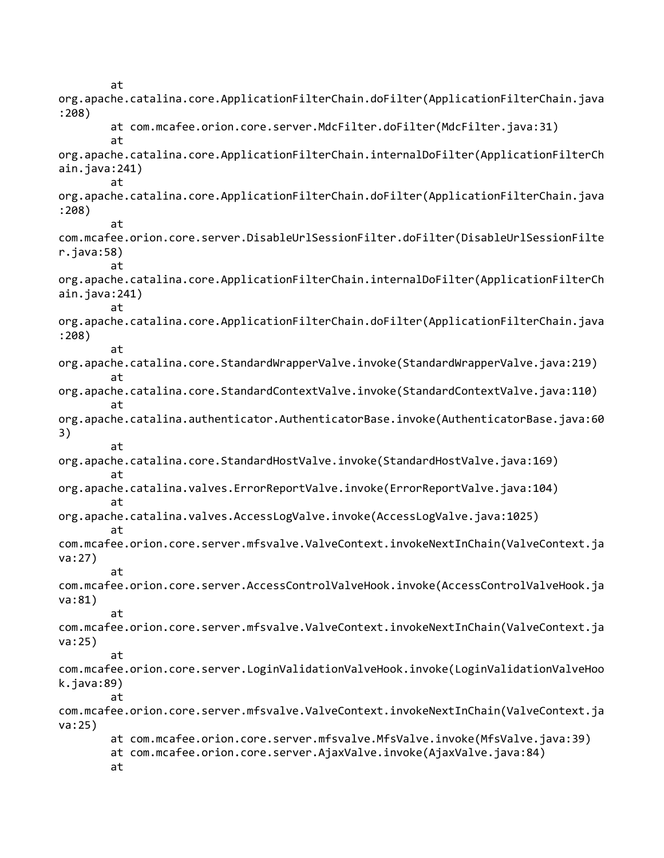at org.apache.catalina.core.ApplicationFilterChain.doFilter(ApplicationFilterChain.java :208) at com.mcafee.orion.core.server.MdcFilter.doFilter(MdcFilter.java:31) at org.apache.catalina.core.ApplicationFilterChain.internalDoFilter(ApplicationFilterCh ain.java:241) at org.apache.catalina.core.ApplicationFilterChain.doFilter(ApplicationFilterChain.java :208) at com.mcafee.orion.core.server.DisableUrlSessionFilter.doFilter(DisableUrlSessionFilte r.java:58) at org.apache.catalina.core.ApplicationFilterChain.internalDoFilter(ApplicationFilterCh ain.java:241) at org.apache.catalina.core.ApplicationFilterChain.doFilter(ApplicationFilterChain.java :208) at org.apache.catalina.core.StandardWrapperValve.invoke(StandardWrapperValve.java:219) at org.apache.catalina.core.StandardContextValve.invoke(StandardContextValve.java:110) at org.apache.catalina.authenticator.AuthenticatorBase.invoke(AuthenticatorBase.java:60 3) at org.apache.catalina.core.StandardHostValve.invoke(StandardHostValve.java:169) at org.apache.catalina.valves.ErrorReportValve.invoke(ErrorReportValve.java:104) at org.apache.catalina.valves.AccessLogValve.invoke(AccessLogValve.java:1025) at com.mcafee.orion.core.server.mfsvalve.ValveContext.invokeNextInChain(ValveContext.ja va:27) at com.mcafee.orion.core.server.AccessControlValveHook.invoke(AccessControlValveHook.ja va:81) at com.mcafee.orion.core.server.mfsvalve.ValveContext.invokeNextInChain(ValveContext.ja va:25) at com.mcafee.orion.core.server.LoginValidationValveHook.invoke(LoginValidationValveHoo k.java:89) at com.mcafee.orion.core.server.mfsvalve.ValveContext.invokeNextInChain(ValveContext.ja va:25) at com.mcafee.orion.core.server.mfsvalve.MfsValve.invoke(MfsValve.java:39) at com.mcafee.orion.core.server.AjaxValve.invoke(AjaxValve.java:84) at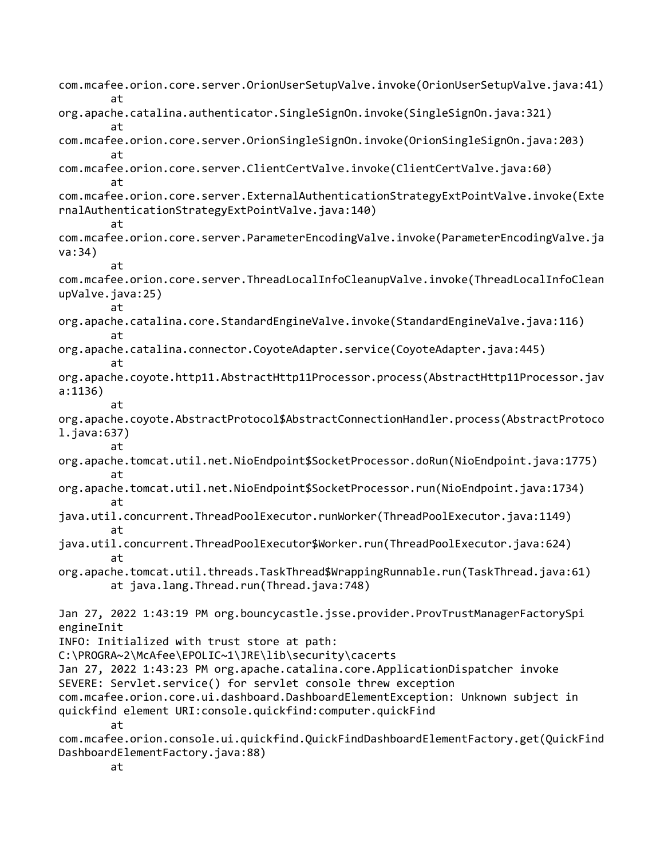com.mcafee.orion.core.server.OrionUserSetupValve.invoke(OrionUserSetupValve.java:41) at org.apache.catalina.authenticator.SingleSignOn.invoke(SingleSignOn.java:321) at com.mcafee.orion.core.server.OrionSingleSignOn.invoke(OrionSingleSignOn.java:203) at com.mcafee.orion.core.server.ClientCertValve.invoke(ClientCertValve.java:60) at com.mcafee.orion.core.server.ExternalAuthenticationStrategyExtPointValve.invoke(Exte rnalAuthenticationStrategyExtPointValve.java:140) at com.mcafee.orion.core.server.ParameterEncodingValve.invoke(ParameterEncodingValve.ja va:34) at com.mcafee.orion.core.server.ThreadLocalInfoCleanupValve.invoke(ThreadLocalInfoClean upValve.java:25) at org.apache.catalina.core.StandardEngineValve.invoke(StandardEngineValve.java:116) at org.apache.catalina.connector.CoyoteAdapter.service(CoyoteAdapter.java:445) at org.apache.coyote.http11.AbstractHttp11Processor.process(AbstractHttp11Processor.jav a:1136) at org.apache.coyote.AbstractProtocol\$AbstractConnectionHandler.process(AbstractProtoco l.java:637) at org.apache.tomcat.util.net.NioEndpoint\$SocketProcessor.doRun(NioEndpoint.java:1775) at org.apache.tomcat.util.net.NioEndpoint\$SocketProcessor.run(NioEndpoint.java:1734) at java.util.concurrent.ThreadPoolExecutor.runWorker(ThreadPoolExecutor.java:1149) at java.util.concurrent.ThreadPoolExecutor\$Worker.run(ThreadPoolExecutor.java:624) at org.apache.tomcat.util.threads.TaskThread\$WrappingRunnable.run(TaskThread.java:61) at java.lang.Thread.run(Thread.java:748) Jan 27, 2022 1:43:19 PM org.bouncycastle.jsse.provider.ProvTrustManagerFactorySpi engineInit INFO: Initialized with trust store at path: C:\PROGRA~2\McAfee\EPOLIC~1\JRE\lib\security\cacerts Jan 27, 2022 1:43:23 PM org.apache.catalina.core.ApplicationDispatcher invoke SEVERE: Servlet.service() for servlet console threw exception com.mcafee.orion.core.ui.dashboard.DashboardElementException: Unknown subject in quickfind element URI:console.quickfind:computer.quickFind at com.mcafee.orion.console.ui.quickfind.QuickFindDashboardElementFactory.get(QuickFind DashboardElementFactory.java:88) at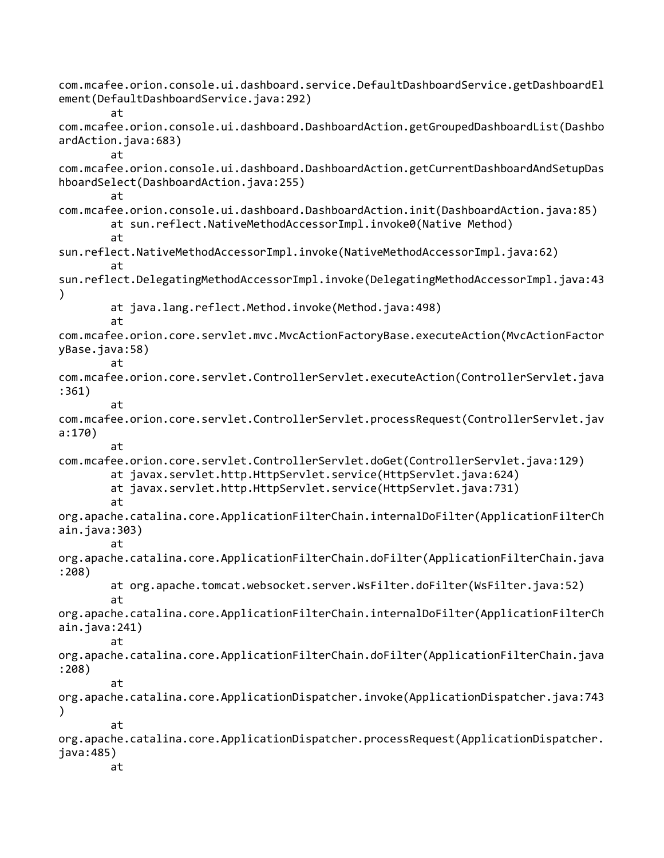com.mcafee.orion.console.ui.dashboard.service.DefaultDashboardService.getDashboardEl ement(DefaultDashboardService.java:292) at com.mcafee.orion.console.ui.dashboard.DashboardAction.getGroupedDashboardList(Dashbo ardAction.java:683) at com.mcafee.orion.console.ui.dashboard.DashboardAction.getCurrentDashboardAndSetupDas hboardSelect(DashboardAction.java:255) at com.mcafee.orion.console.ui.dashboard.DashboardAction.init(DashboardAction.java:85) at sun.reflect.NativeMethodAccessorImpl.invoke0(Native Method) at sun.reflect.NativeMethodAccessorImpl.invoke(NativeMethodAccessorImpl.java:62) at sun.reflect.DelegatingMethodAccessorImpl.invoke(DelegatingMethodAccessorImpl.java:43 ) at java.lang.reflect.Method.invoke(Method.java:498) at com.mcafee.orion.core.servlet.mvc.MvcActionFactoryBase.executeAction(MvcActionFactor yBase.java:58) at com.mcafee.orion.core.servlet.ControllerServlet.executeAction(ControllerServlet.java :361) at com.mcafee.orion.core.servlet.ControllerServlet.processRequest(ControllerServlet.jav a:170) at com.mcafee.orion.core.servlet.ControllerServlet.doGet(ControllerServlet.java:129) at javax.servlet.http.HttpServlet.service(HttpServlet.java:624) at javax.servlet.http.HttpServlet.service(HttpServlet.java:731) at org.apache.catalina.core.ApplicationFilterChain.internalDoFilter(ApplicationFilterCh ain.java:303) at org.apache.catalina.core.ApplicationFilterChain.doFilter(ApplicationFilterChain.java :208) at org.apache.tomcat.websocket.server.WsFilter.doFilter(WsFilter.java:52) at org.apache.catalina.core.ApplicationFilterChain.internalDoFilter(ApplicationFilterCh ain.java:241) at org.apache.catalina.core.ApplicationFilterChain.doFilter(ApplicationFilterChain.java :208) at org.apache.catalina.core.ApplicationDispatcher.invoke(ApplicationDispatcher.java:743 ) at org.apache.catalina.core.ApplicationDispatcher.processRequest(ApplicationDispatcher. java:485) at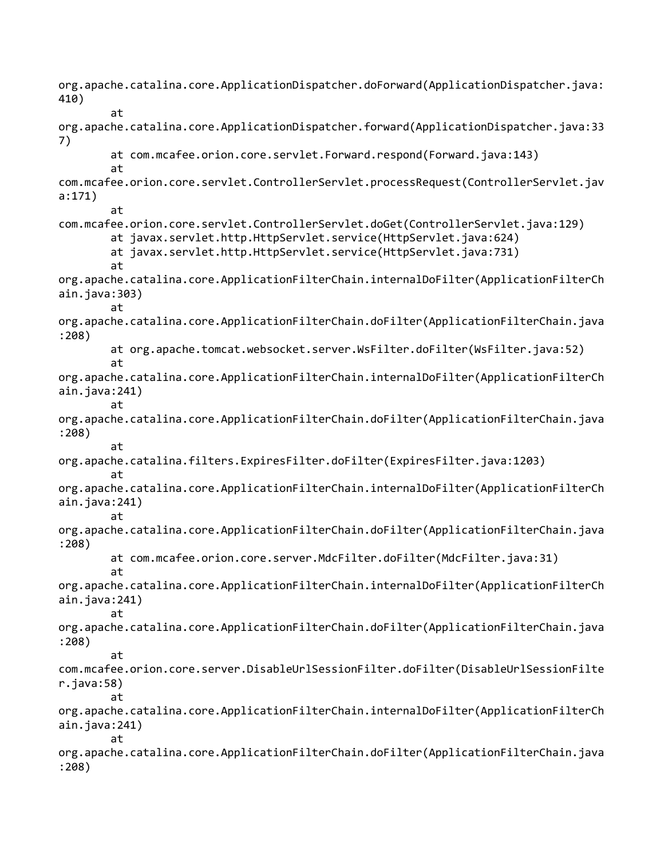org.apache.catalina.core.ApplicationDispatcher.doForward(ApplicationDispatcher.java: 410) at org.apache.catalina.core.ApplicationDispatcher.forward(ApplicationDispatcher.java:33 7) at com.mcafee.orion.core.servlet.Forward.respond(Forward.java:143) at com.mcafee.orion.core.servlet.ControllerServlet.processRequest(ControllerServlet.jav a:171) at com.mcafee.orion.core.servlet.ControllerServlet.doGet(ControllerServlet.java:129) at javax.servlet.http.HttpServlet.service(HttpServlet.java:624) at javax.servlet.http.HttpServlet.service(HttpServlet.java:731) at org.apache.catalina.core.ApplicationFilterChain.internalDoFilter(ApplicationFilterCh ain.java:303) at org.apache.catalina.core.ApplicationFilterChain.doFilter(ApplicationFilterChain.java :208) at org.apache.tomcat.websocket.server.WsFilter.doFilter(WsFilter.java:52) at org.apache.catalina.core.ApplicationFilterChain.internalDoFilter(ApplicationFilterCh ain.java:241) at org.apache.catalina.core.ApplicationFilterChain.doFilter(ApplicationFilterChain.java :208) at org.apache.catalina.filters.ExpiresFilter.doFilter(ExpiresFilter.java:1203) at org.apache.catalina.core.ApplicationFilterChain.internalDoFilter(ApplicationFilterCh ain.java:241) at org.apache.catalina.core.ApplicationFilterChain.doFilter(ApplicationFilterChain.java :208) at com.mcafee.orion.core.server.MdcFilter.doFilter(MdcFilter.java:31) at org.apache.catalina.core.ApplicationFilterChain.internalDoFilter(ApplicationFilterCh ain.java:241) at org.apache.catalina.core.ApplicationFilterChain.doFilter(ApplicationFilterChain.java :208) at com.mcafee.orion.core.server.DisableUrlSessionFilter.doFilter(DisableUrlSessionFilte r.java:58) at org.apache.catalina.core.ApplicationFilterChain.internalDoFilter(ApplicationFilterCh ain.java:241) at org.apache.catalina.core.ApplicationFilterChain.doFilter(ApplicationFilterChain.java :208)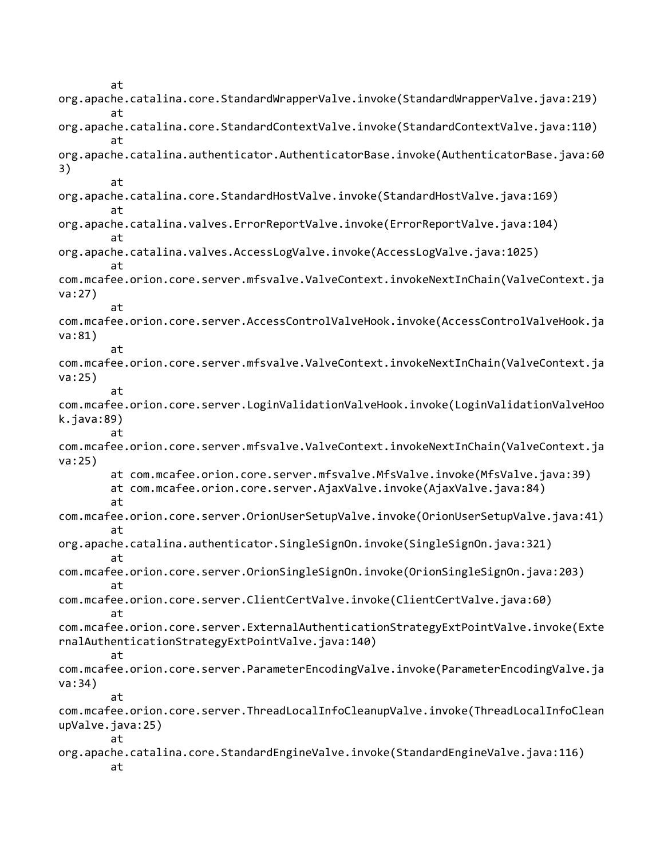at org.apache.catalina.core.StandardWrapperValve.invoke(StandardWrapperValve.java:219) at org.apache.catalina.core.StandardContextValve.invoke(StandardContextValve.java:110) at org.apache.catalina.authenticator.AuthenticatorBase.invoke(AuthenticatorBase.java:60 3) at org.apache.catalina.core.StandardHostValve.invoke(StandardHostValve.java:169) at org.apache.catalina.valves.ErrorReportValve.invoke(ErrorReportValve.java:104) at org.apache.catalina.valves.AccessLogValve.invoke(AccessLogValve.java:1025) at com.mcafee.orion.core.server.mfsvalve.ValveContext.invokeNextInChain(ValveContext.ja va:27) at com.mcafee.orion.core.server.AccessControlValveHook.invoke(AccessControlValveHook.ja va:81) at com.mcafee.orion.core.server.mfsvalve.ValveContext.invokeNextInChain(ValveContext.ja va:25) at com.mcafee.orion.core.server.LoginValidationValveHook.invoke(LoginValidationValveHoo k.java:89) at com.mcafee.orion.core.server.mfsvalve.ValveContext.invokeNextInChain(ValveContext.ja va:25) at com.mcafee.orion.core.server.mfsvalve.MfsValve.invoke(MfsValve.java:39) at com.mcafee.orion.core.server.AjaxValve.invoke(AjaxValve.java:84) at com.mcafee.orion.core.server.OrionUserSetupValve.invoke(OrionUserSetupValve.java:41) at org.apache.catalina.authenticator.SingleSignOn.invoke(SingleSignOn.java:321) at com.mcafee.orion.core.server.OrionSingleSignOn.invoke(OrionSingleSignOn.java:203) at com.mcafee.orion.core.server.ClientCertValve.invoke(ClientCertValve.java:60) at com.mcafee.orion.core.server.ExternalAuthenticationStrategyExtPointValve.invoke(Exte rnalAuthenticationStrategyExtPointValve.java:140) at com.mcafee.orion.core.server.ParameterEncodingValve.invoke(ParameterEncodingValve.ja va:34) at com.mcafee.orion.core.server.ThreadLocalInfoCleanupValve.invoke(ThreadLocalInfoClean upValve.java:25) at org.apache.catalina.core.StandardEngineValve.invoke(StandardEngineValve.java:116) at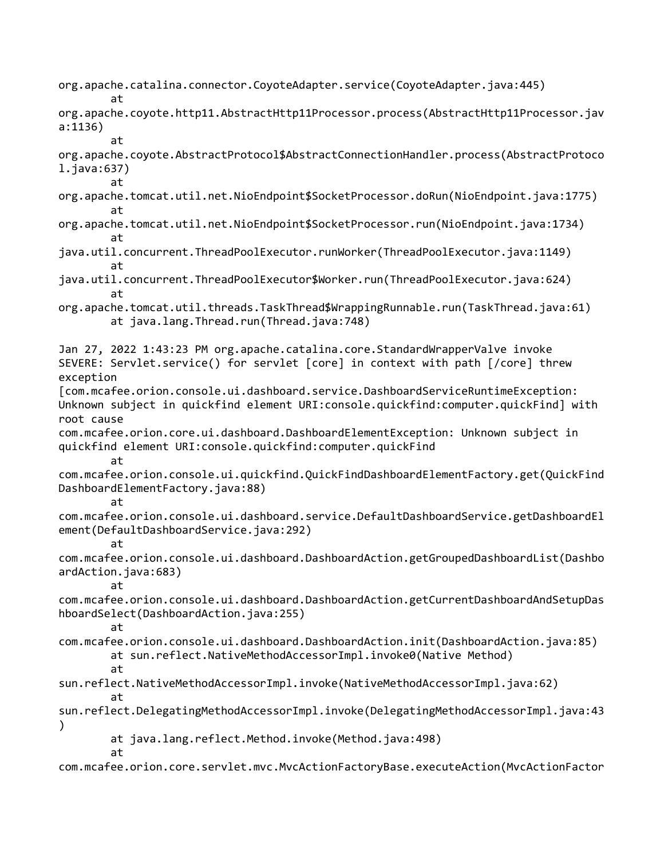org.apache.catalina.connector.CoyoteAdapter.service(CoyoteAdapter.java:445)

at

at

org.apache.coyote.http11.AbstractHttp11Processor.process(AbstractHttp11Processor.jav a:1136)

at

org.apache.coyote.AbstractProtocol\$AbstractConnectionHandler.process(AbstractProtoco l.java:637)

org.apache.tomcat.util.net.NioEndpoint\$SocketProcessor.doRun(NioEndpoint.java:1775) at

- org.apache.tomcat.util.net.NioEndpoint\$SocketProcessor.run(NioEndpoint.java:1734) at
- java.util.concurrent.ThreadPoolExecutor.runWorker(ThreadPoolExecutor.java:1149) at
- java.util.concurrent.ThreadPoolExecutor\$Worker.run(ThreadPoolExecutor.java:624) at
- org.apache.tomcat.util.threads.TaskThread\$WrappingRunnable.run(TaskThread.java:61) at java.lang.Thread.run(Thread.java:748)

Jan 27, 2022 1:43:23 PM org.apache.catalina.core.StandardWrapperValve invoke SEVERE: Servlet.service() for servlet [core] in context with path [/core] threw exception [com.mcafee.orion.console.ui.dashboard.service.DashboardServiceRuntimeException: Unknown subject in quickfind element URI:console.quickfind:computer.quickFind] with root cause com.mcafee.orion.core.ui.dashboard.DashboardElementException: Unknown subject in quickfind element URI:console.quickfind:computer.quickFind at com.mcafee.orion.console.ui.quickfind.QuickFindDashboardElementFactory.get(QuickFind DashboardElementFactory.java:88) at com.mcafee.orion.console.ui.dashboard.service.DefaultDashboardService.getDashboardEl ement(DefaultDashboardService.java:292) at com.mcafee.orion.console.ui.dashboard.DashboardAction.getGroupedDashboardList(Dashbo ardAction.java:683) at com.mcafee.orion.console.ui.dashboard.DashboardAction.getCurrentDashboardAndSetupDas hboardSelect(DashboardAction.java:255) at com.mcafee.orion.console.ui.dashboard.DashboardAction.init(DashboardAction.java:85) at sun.reflect.NativeMethodAccessorImpl.invoke0(Native Method) at sun.reflect.NativeMethodAccessorImpl.invoke(NativeMethodAccessorImpl.java:62) at sun.reflect.DelegatingMethodAccessorImpl.invoke(DelegatingMethodAccessorImpl.java:43 )

at java.lang.reflect.Method.invoke(Method.java:498)

at

com.mcafee.orion.core.servlet.mvc.MvcActionFactoryBase.executeAction(MvcActionFactor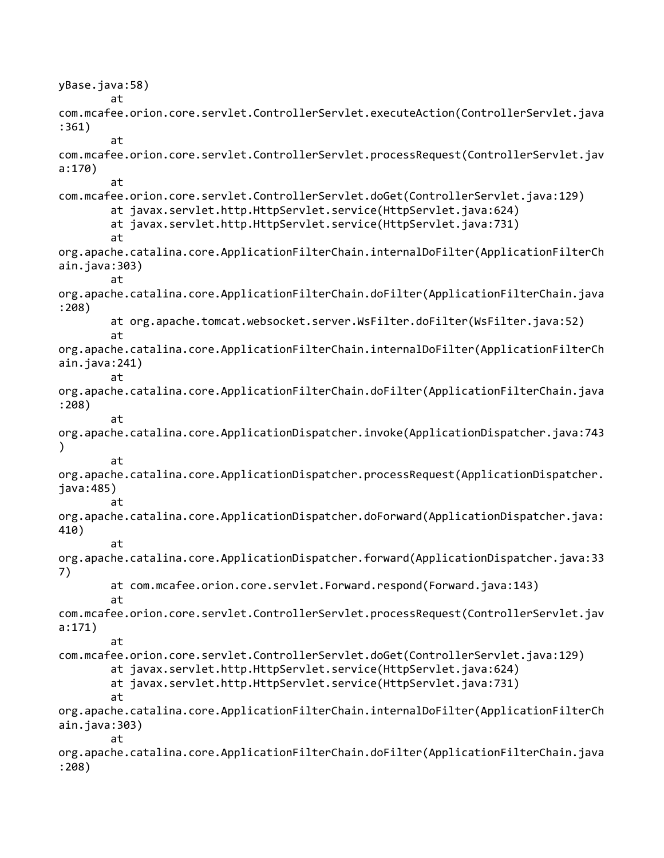yBase.java:58) at com.mcafee.orion.core.servlet.ControllerServlet.executeAction(ControllerServlet.java :361) at com.mcafee.orion.core.servlet.ControllerServlet.processRequest(ControllerServlet.jav a:170) at com.mcafee.orion.core.servlet.ControllerServlet.doGet(ControllerServlet.java:129) at javax.servlet.http.HttpServlet.service(HttpServlet.java:624) at javax.servlet.http.HttpServlet.service(HttpServlet.java:731) at org.apache.catalina.core.ApplicationFilterChain.internalDoFilter(ApplicationFilterCh ain.java:303) at org.apache.catalina.core.ApplicationFilterChain.doFilter(ApplicationFilterChain.java :208) at org.apache.tomcat.websocket.server.WsFilter.doFilter(WsFilter.java:52) at org.apache.catalina.core.ApplicationFilterChain.internalDoFilter(ApplicationFilterCh ain.java:241) at org.apache.catalina.core.ApplicationFilterChain.doFilter(ApplicationFilterChain.java :208) at org.apache.catalina.core.ApplicationDispatcher.invoke(ApplicationDispatcher.java:743 ) at org.apache.catalina.core.ApplicationDispatcher.processRequest(ApplicationDispatcher. java:485) at org.apache.catalina.core.ApplicationDispatcher.doForward(ApplicationDispatcher.java: 410) at org.apache.catalina.core.ApplicationDispatcher.forward(ApplicationDispatcher.java:33 7) at com.mcafee.orion.core.servlet.Forward.respond(Forward.java:143) at com.mcafee.orion.core.servlet.ControllerServlet.processRequest(ControllerServlet.jav a:171) at com.mcafee.orion.core.servlet.ControllerServlet.doGet(ControllerServlet.java:129) at javax.servlet.http.HttpServlet.service(HttpServlet.java:624) at javax.servlet.http.HttpServlet.service(HttpServlet.java:731) at org.apache.catalina.core.ApplicationFilterChain.internalDoFilter(ApplicationFilterCh ain.java:303) at org.apache.catalina.core.ApplicationFilterChain.doFilter(ApplicationFilterChain.java :208)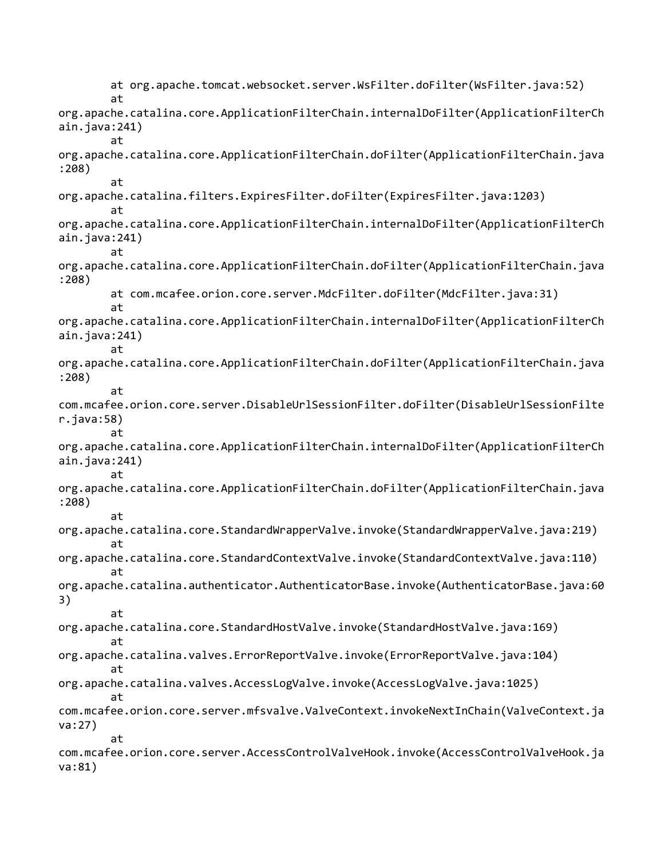at org.apache.tomcat.websocket.server.WsFilter.doFilter(WsFilter.java:52) at org.apache.catalina.core.ApplicationFilterChain.internalDoFilter(ApplicationFilterCh ain.java:241) at org.apache.catalina.core.ApplicationFilterChain.doFilter(ApplicationFilterChain.java :208) at org.apache.catalina.filters.ExpiresFilter.doFilter(ExpiresFilter.java:1203) at org.apache.catalina.core.ApplicationFilterChain.internalDoFilter(ApplicationFilterCh ain.java:241) at org.apache.catalina.core.ApplicationFilterChain.doFilter(ApplicationFilterChain.java :208) at com.mcafee.orion.core.server.MdcFilter.doFilter(MdcFilter.java:31) at org.apache.catalina.core.ApplicationFilterChain.internalDoFilter(ApplicationFilterCh ain.java:241) at org.apache.catalina.core.ApplicationFilterChain.doFilter(ApplicationFilterChain.java :208) at com.mcafee.orion.core.server.DisableUrlSessionFilter.doFilter(DisableUrlSessionFilte r.java:58) at org.apache.catalina.core.ApplicationFilterChain.internalDoFilter(ApplicationFilterCh ain.java:241) at org.apache.catalina.core.ApplicationFilterChain.doFilter(ApplicationFilterChain.java :208) at org.apache.catalina.core.StandardWrapperValve.invoke(StandardWrapperValve.java:219) at org.apache.catalina.core.StandardContextValve.invoke(StandardContextValve.java:110) at org.apache.catalina.authenticator.AuthenticatorBase.invoke(AuthenticatorBase.java:60 3) at org.apache.catalina.core.StandardHostValve.invoke(StandardHostValve.java:169) at org.apache.catalina.valves.ErrorReportValve.invoke(ErrorReportValve.java:104) at org.apache.catalina.valves.AccessLogValve.invoke(AccessLogValve.java:1025) at com.mcafee.orion.core.server.mfsvalve.ValveContext.invokeNextInChain(ValveContext.ja va:27) at com.mcafee.orion.core.server.AccessControlValveHook.invoke(AccessControlValveHook.ja va:81)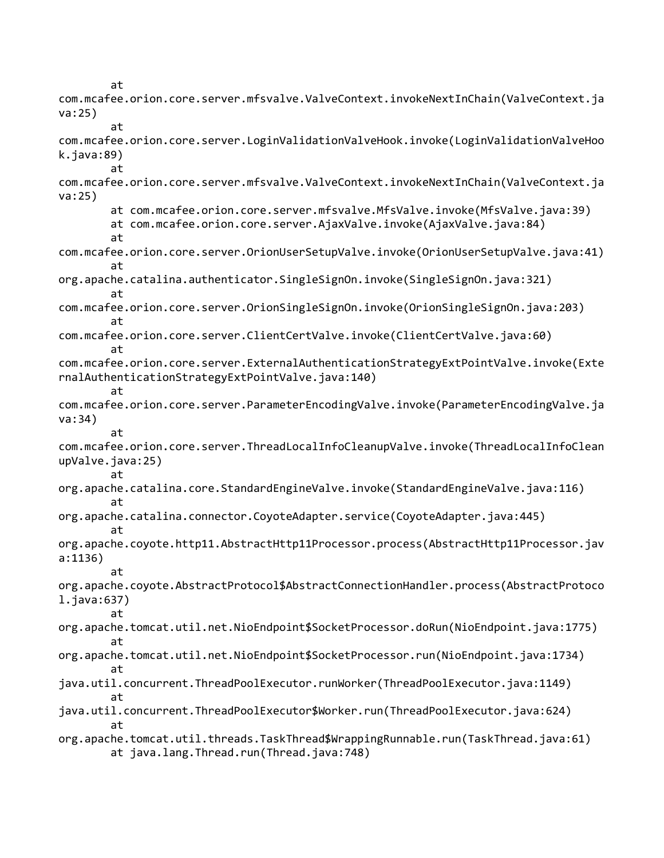at com.mcafee.orion.core.server.mfsvalve.ValveContext.invokeNextInChain(ValveContext.ja va:25) at com.mcafee.orion.core.server.LoginValidationValveHook.invoke(LoginValidationValveHoo k.java:89) at com.mcafee.orion.core.server.mfsvalve.ValveContext.invokeNextInChain(ValveContext.ja va:25) at com.mcafee.orion.core.server.mfsvalve.MfsValve.invoke(MfsValve.java:39) at com.mcafee.orion.core.server.AjaxValve.invoke(AjaxValve.java:84) at com.mcafee.orion.core.server.OrionUserSetupValve.invoke(OrionUserSetupValve.java:41) at org.apache.catalina.authenticator.SingleSignOn.invoke(SingleSignOn.java:321) at com.mcafee.orion.core.server.OrionSingleSignOn.invoke(OrionSingleSignOn.java:203) at com.mcafee.orion.core.server.ClientCertValve.invoke(ClientCertValve.java:60) at com.mcafee.orion.core.server.ExternalAuthenticationStrategyExtPointValve.invoke(Exte rnalAuthenticationStrategyExtPointValve.java:140) at com.mcafee.orion.core.server.ParameterEncodingValve.invoke(ParameterEncodingValve.ja va:34) at com.mcafee.orion.core.server.ThreadLocalInfoCleanupValve.invoke(ThreadLocalInfoClean upValve.java:25) at org.apache.catalina.core.StandardEngineValve.invoke(StandardEngineValve.java:116) at org.apache.catalina.connector.CoyoteAdapter.service(CoyoteAdapter.java:445) at org.apache.coyote.http11.AbstractHttp11Processor.process(AbstractHttp11Processor.jav a:1136) at org.apache.coyote.AbstractProtocol\$AbstractConnectionHandler.process(AbstractProtoco l.java:637) at org.apache.tomcat.util.net.NioEndpoint\$SocketProcessor.doRun(NioEndpoint.java:1775) at org.apache.tomcat.util.net.NioEndpoint\$SocketProcessor.run(NioEndpoint.java:1734) at java.util.concurrent.ThreadPoolExecutor.runWorker(ThreadPoolExecutor.java:1149) at java.util.concurrent.ThreadPoolExecutor\$Worker.run(ThreadPoolExecutor.java:624) at org.apache.tomcat.util.threads.TaskThread\$WrappingRunnable.run(TaskThread.java:61) at java.lang.Thread.run(Thread.java:748)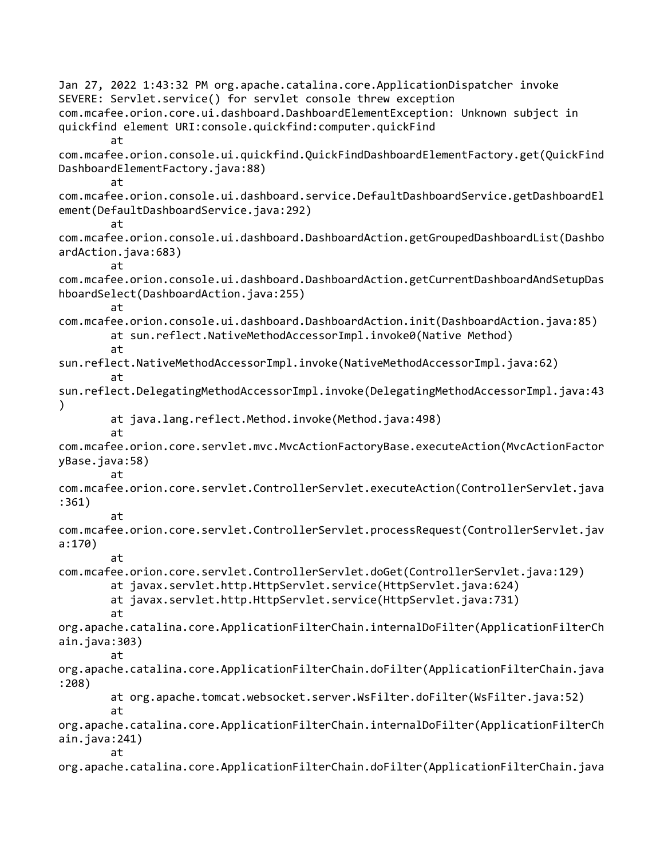Jan 27, 2022 1:43:32 PM org.apache.catalina.core.ApplicationDispatcher invoke SEVERE: Servlet.service() for servlet console threw exception com.mcafee.orion.core.ui.dashboard.DashboardElementException: Unknown subject in quickfind element URI:console.quickfind:computer.quickFind at com.mcafee.orion.console.ui.quickfind.QuickFindDashboardElementFactory.get(QuickFind DashboardElementFactory.java:88) at com.mcafee.orion.console.ui.dashboard.service.DefaultDashboardService.getDashboardEl ement(DefaultDashboardService.java:292) at com.mcafee.orion.console.ui.dashboard.DashboardAction.getGroupedDashboardList(Dashbo ardAction.java:683) at com.mcafee.orion.console.ui.dashboard.DashboardAction.getCurrentDashboardAndSetupDas hboardSelect(DashboardAction.java:255) at com.mcafee.orion.console.ui.dashboard.DashboardAction.init(DashboardAction.java:85) at sun.reflect.NativeMethodAccessorImpl.invoke0(Native Method) at sun.reflect.NativeMethodAccessorImpl.invoke(NativeMethodAccessorImpl.java:62) at sun.reflect.DelegatingMethodAccessorImpl.invoke(DelegatingMethodAccessorImpl.java:43 ) at java.lang.reflect.Method.invoke(Method.java:498) at com.mcafee.orion.core.servlet.mvc.MvcActionFactoryBase.executeAction(MvcActionFactor yBase.java:58) at com.mcafee.orion.core.servlet.ControllerServlet.executeAction(ControllerServlet.java :361) at com.mcafee.orion.core.servlet.ControllerServlet.processRequest(ControllerServlet.jav a:170) at com.mcafee.orion.core.servlet.ControllerServlet.doGet(ControllerServlet.java:129) at javax.servlet.http.HttpServlet.service(HttpServlet.java:624) at javax.servlet.http.HttpServlet.service(HttpServlet.java:731) at org.apache.catalina.core.ApplicationFilterChain.internalDoFilter(ApplicationFilterCh ain.java:303) at org.apache.catalina.core.ApplicationFilterChain.doFilter(ApplicationFilterChain.java :208) at org.apache.tomcat.websocket.server.WsFilter.doFilter(WsFilter.java:52) at org.apache.catalina.core.ApplicationFilterChain.internalDoFilter(ApplicationFilterCh ain.java:241) at org.apache.catalina.core.ApplicationFilterChain.doFilter(ApplicationFilterChain.java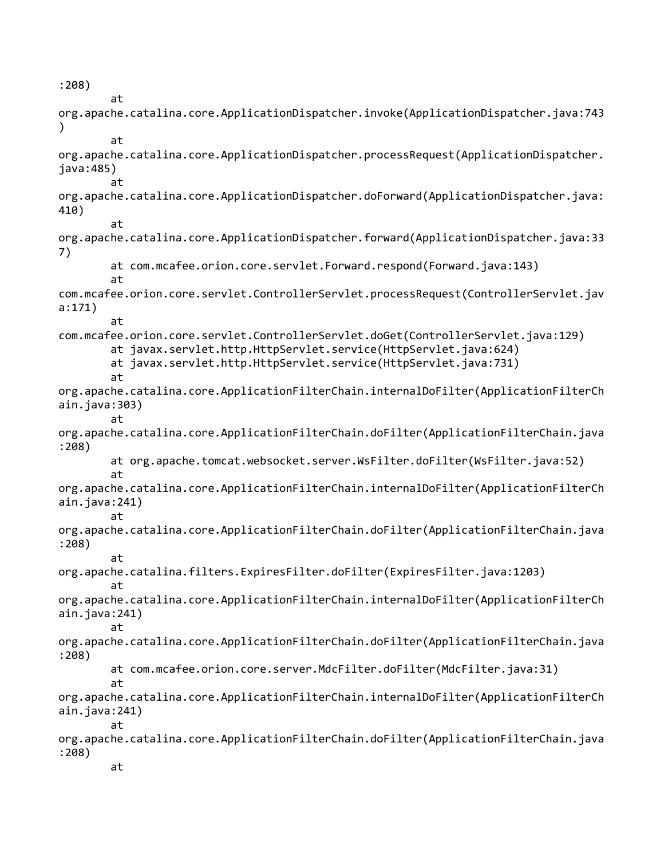:208) at org.apache.catalina.core.ApplicationDispatcher.invoke(ApplicationDispatcher.java:743 ) at org.apache.catalina.core.ApplicationDispatcher.processRequest(ApplicationDispatcher. java:485) at org.apache.catalina.core.ApplicationDispatcher.doForward(ApplicationDispatcher.java: 410) at org.apache.catalina.core.ApplicationDispatcher.forward(ApplicationDispatcher.java:33 7) at com.mcafee.orion.core.servlet.Forward.respond(Forward.java:143) at com.mcafee.orion.core.servlet.ControllerServlet.processRequest(ControllerServlet.jav a:171) at com.mcafee.orion.core.servlet.ControllerServlet.doGet(ControllerServlet.java:129) at javax.servlet.http.HttpServlet.service(HttpServlet.java:624) at javax.servlet.http.HttpServlet.service(HttpServlet.java:731) at org.apache.catalina.core.ApplicationFilterChain.internalDoFilter(ApplicationFilterCh ain.java:303) at org.apache.catalina.core.ApplicationFilterChain.doFilter(ApplicationFilterChain.java :208) at org.apache.tomcat.websocket.server.WsFilter.doFilter(WsFilter.java:52) at org.apache.catalina.core.ApplicationFilterChain.internalDoFilter(ApplicationFilterCh ain.java:241) at org.apache.catalina.core.ApplicationFilterChain.doFilter(ApplicationFilterChain.java :208) at org.apache.catalina.filters.ExpiresFilter.doFilter(ExpiresFilter.java:1203) at org.apache.catalina.core.ApplicationFilterChain.internalDoFilter(ApplicationFilterCh ain.java:241) at org.apache.catalina.core.ApplicationFilterChain.doFilter(ApplicationFilterChain.java :208) at com.mcafee.orion.core.server.MdcFilter.doFilter(MdcFilter.java:31) at org.apache.catalina.core.ApplicationFilterChain.internalDoFilter(ApplicationFilterCh ain.java:241) at org.apache.catalina.core.ApplicationFilterChain.doFilter(ApplicationFilterChain.java :208) at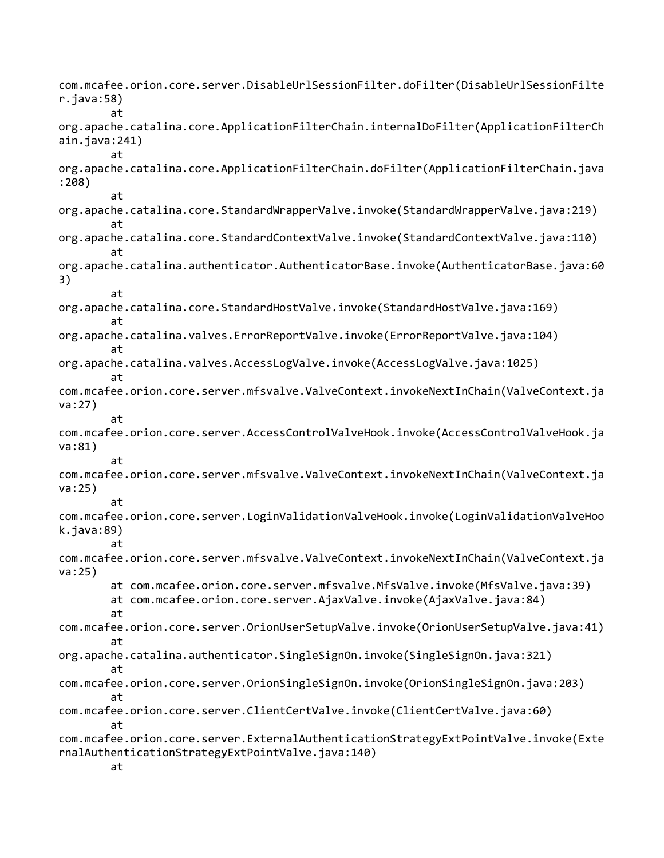com.mcafee.orion.core.server.DisableUrlSessionFilter.doFilter(DisableUrlSessionFilte r.java:58) at org.apache.catalina.core.ApplicationFilterChain.internalDoFilter(ApplicationFilterCh ain.java:241) at org.apache.catalina.core.ApplicationFilterChain.doFilter(ApplicationFilterChain.java :208) at org.apache.catalina.core.StandardWrapperValve.invoke(StandardWrapperValve.java:219) at org.apache.catalina.core.StandardContextValve.invoke(StandardContextValve.java:110) at org.apache.catalina.authenticator.AuthenticatorBase.invoke(AuthenticatorBase.java:60 3) at org.apache.catalina.core.StandardHostValve.invoke(StandardHostValve.java:169) at org.apache.catalina.valves.ErrorReportValve.invoke(ErrorReportValve.java:104) at org.apache.catalina.valves.AccessLogValve.invoke(AccessLogValve.java:1025) at com.mcafee.orion.core.server.mfsvalve.ValveContext.invokeNextInChain(ValveContext.ja va:27) at com.mcafee.orion.core.server.AccessControlValveHook.invoke(AccessControlValveHook.ja va:81) at com.mcafee.orion.core.server.mfsvalve.ValveContext.invokeNextInChain(ValveContext.ja va:25) at com.mcafee.orion.core.server.LoginValidationValveHook.invoke(LoginValidationValveHoo k.java:89) at com.mcafee.orion.core.server.mfsvalve.ValveContext.invokeNextInChain(ValveContext.ja va:25) at com.mcafee.orion.core.server.mfsvalve.MfsValve.invoke(MfsValve.java:39) at com.mcafee.orion.core.server.AjaxValve.invoke(AjaxValve.java:84) at com.mcafee.orion.core.server.OrionUserSetupValve.invoke(OrionUserSetupValve.java:41) at org.apache.catalina.authenticator.SingleSignOn.invoke(SingleSignOn.java:321) at com.mcafee.orion.core.server.OrionSingleSignOn.invoke(OrionSingleSignOn.java:203) at com.mcafee.orion.core.server.ClientCertValve.invoke(ClientCertValve.java:60) at com.mcafee.orion.core.server.ExternalAuthenticationStrategyExtPointValve.invoke(Exte rnalAuthenticationStrategyExtPointValve.java:140) at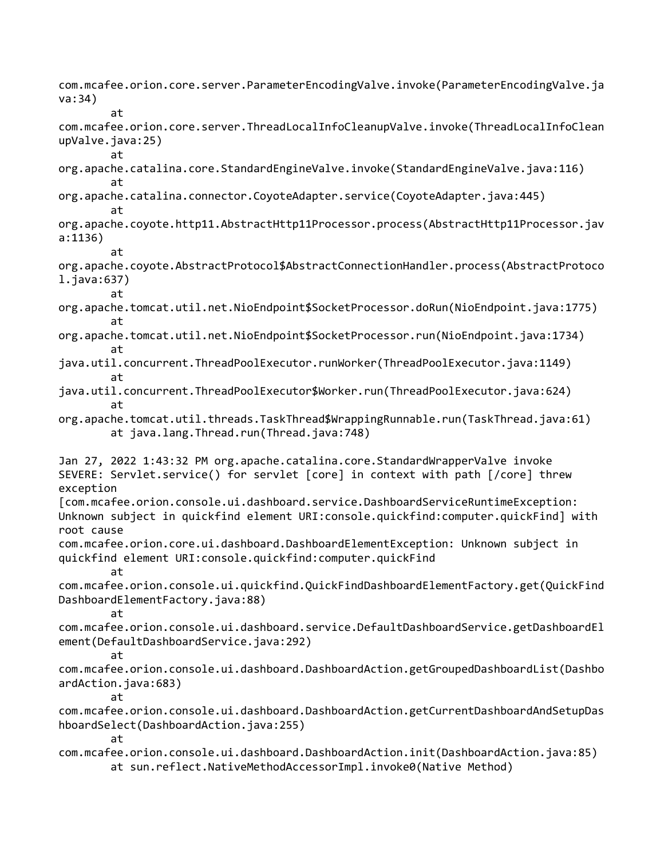com.mcafee.orion.core.server.ParameterEncodingValve.invoke(ParameterEncodingValve.ja va:34) at com.mcafee.orion.core.server.ThreadLocalInfoCleanupValve.invoke(ThreadLocalInfoClean upValve.java:25) at org.apache.catalina.core.StandardEngineValve.invoke(StandardEngineValve.java:116) at org.apache.catalina.connector.CoyoteAdapter.service(CoyoteAdapter.java:445) at org.apache.coyote.http11.AbstractHttp11Processor.process(AbstractHttp11Processor.jav a:1136) at org.apache.coyote.AbstractProtocol\$AbstractConnectionHandler.process(AbstractProtoco l.java:637) at org.apache.tomcat.util.net.NioEndpoint\$SocketProcessor.doRun(NioEndpoint.java:1775) at org.apache.tomcat.util.net.NioEndpoint\$SocketProcessor.run(NioEndpoint.java:1734) at java.util.concurrent.ThreadPoolExecutor.runWorker(ThreadPoolExecutor.java:1149) at java.util.concurrent.ThreadPoolExecutor\$Worker.run(ThreadPoolExecutor.java:624) at org.apache.tomcat.util.threads.TaskThread\$WrappingRunnable.run(TaskThread.java:61) at java.lang.Thread.run(Thread.java:748) Jan 27, 2022 1:43:32 PM org.apache.catalina.core.StandardWrapperValve invoke SEVERE: Servlet.service() for servlet [core] in context with path [/core] threw exception [com.mcafee.orion.console.ui.dashboard.service.DashboardServiceRuntimeException: Unknown subject in quickfind element URI:console.quickfind:computer.quickFind] with root cause com.mcafee.orion.core.ui.dashboard.DashboardElementException: Unknown subject in quickfind element URI:console.quickfind:computer.quickFind at com.mcafee.orion.console.ui.quickfind.QuickFindDashboardElementFactory.get(QuickFind DashboardElementFactory.java:88) at com.mcafee.orion.console.ui.dashboard.service.DefaultDashboardService.getDashboardEl ement(DefaultDashboardService.java:292) at com.mcafee.orion.console.ui.dashboard.DashboardAction.getGroupedDashboardList(Dashbo ardAction.java:683) at com.mcafee.orion.console.ui.dashboard.DashboardAction.getCurrentDashboardAndSetupDas hboardSelect(DashboardAction.java:255) at com.mcafee.orion.console.ui.dashboard.DashboardAction.init(DashboardAction.java:85) at sun.reflect.NativeMethodAccessorImpl.invoke0(Native Method)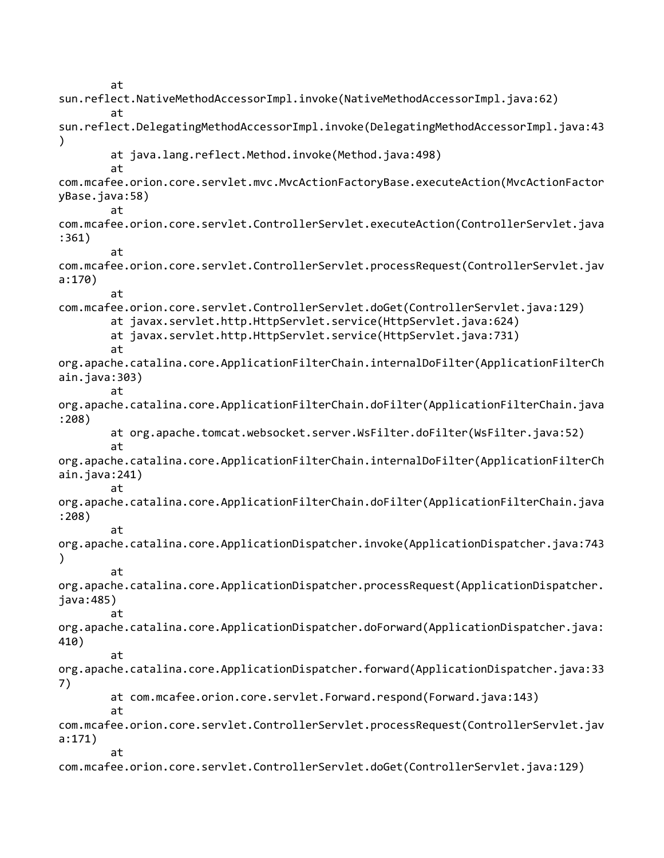at sun.reflect.NativeMethodAccessorImpl.invoke(NativeMethodAccessorImpl.java:62) at sun.reflect.DelegatingMethodAccessorImpl.invoke(DelegatingMethodAccessorImpl.java:43 ) at java.lang.reflect.Method.invoke(Method.java:498) at com.mcafee.orion.core.servlet.mvc.MvcActionFactoryBase.executeAction(MvcActionFactor yBase.java:58) at com.mcafee.orion.core.servlet.ControllerServlet.executeAction(ControllerServlet.java :361) at com.mcafee.orion.core.servlet.ControllerServlet.processRequest(ControllerServlet.jav a:170) at com.mcafee.orion.core.servlet.ControllerServlet.doGet(ControllerServlet.java:129) at javax.servlet.http.HttpServlet.service(HttpServlet.java:624) at javax.servlet.http.HttpServlet.service(HttpServlet.java:731) at org.apache.catalina.core.ApplicationFilterChain.internalDoFilter(ApplicationFilterCh ain.java:303) at org.apache.catalina.core.ApplicationFilterChain.doFilter(ApplicationFilterChain.java :208) at org.apache.tomcat.websocket.server.WsFilter.doFilter(WsFilter.java:52) at org.apache.catalina.core.ApplicationFilterChain.internalDoFilter(ApplicationFilterCh ain.java:241) at org.apache.catalina.core.ApplicationFilterChain.doFilter(ApplicationFilterChain.java :208) at org.apache.catalina.core.ApplicationDispatcher.invoke(ApplicationDispatcher.java:743 ) at org.apache.catalina.core.ApplicationDispatcher.processRequest(ApplicationDispatcher. java:485) at org.apache.catalina.core.ApplicationDispatcher.doForward(ApplicationDispatcher.java: 410) at org.apache.catalina.core.ApplicationDispatcher.forward(ApplicationDispatcher.java:33 7) at com.mcafee.orion.core.servlet.Forward.respond(Forward.java:143) at com.mcafee.orion.core.servlet.ControllerServlet.processRequest(ControllerServlet.jav a:171) at com.mcafee.orion.core.servlet.ControllerServlet.doGet(ControllerServlet.java:129)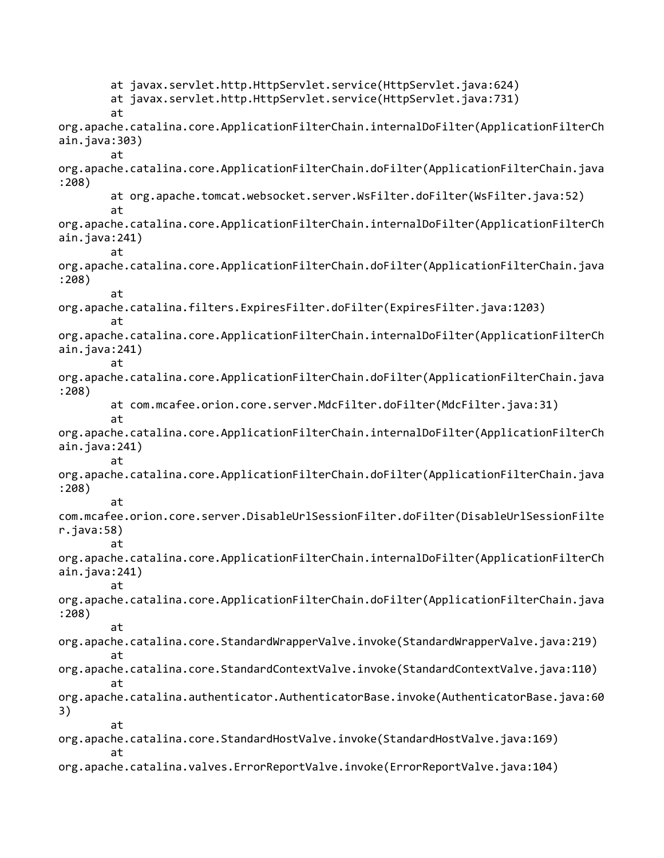at javax.servlet.http.HttpServlet.service(HttpServlet.java:624) at javax.servlet.http.HttpServlet.service(HttpServlet.java:731) at org.apache.catalina.core.ApplicationFilterChain.internalDoFilter(ApplicationFilterCh ain.java:303) at org.apache.catalina.core.ApplicationFilterChain.doFilter(ApplicationFilterChain.java :208) at org.apache.tomcat.websocket.server.WsFilter.doFilter(WsFilter.java:52) at org.apache.catalina.core.ApplicationFilterChain.internalDoFilter(ApplicationFilterCh ain.java:241) at org.apache.catalina.core.ApplicationFilterChain.doFilter(ApplicationFilterChain.java :208) at org.apache.catalina.filters.ExpiresFilter.doFilter(ExpiresFilter.java:1203) at org.apache.catalina.core.ApplicationFilterChain.internalDoFilter(ApplicationFilterCh ain.java:241) at org.apache.catalina.core.ApplicationFilterChain.doFilter(ApplicationFilterChain.java :208) at com.mcafee.orion.core.server.MdcFilter.doFilter(MdcFilter.java:31) at org.apache.catalina.core.ApplicationFilterChain.internalDoFilter(ApplicationFilterCh ain.java:241) at org.apache.catalina.core.ApplicationFilterChain.doFilter(ApplicationFilterChain.java :208) at com.mcafee.orion.core.server.DisableUrlSessionFilter.doFilter(DisableUrlSessionFilte r.java:58) at org.apache.catalina.core.ApplicationFilterChain.internalDoFilter(ApplicationFilterCh ain.java:241) at org.apache.catalina.core.ApplicationFilterChain.doFilter(ApplicationFilterChain.java :208) at org.apache.catalina.core.StandardWrapperValve.invoke(StandardWrapperValve.java:219) at org.apache.catalina.core.StandardContextValve.invoke(StandardContextValve.java:110) at org.apache.catalina.authenticator.AuthenticatorBase.invoke(AuthenticatorBase.java:60 3) at org.apache.catalina.core.StandardHostValve.invoke(StandardHostValve.java:169) at org.apache.catalina.valves.ErrorReportValve.invoke(ErrorReportValve.java:104)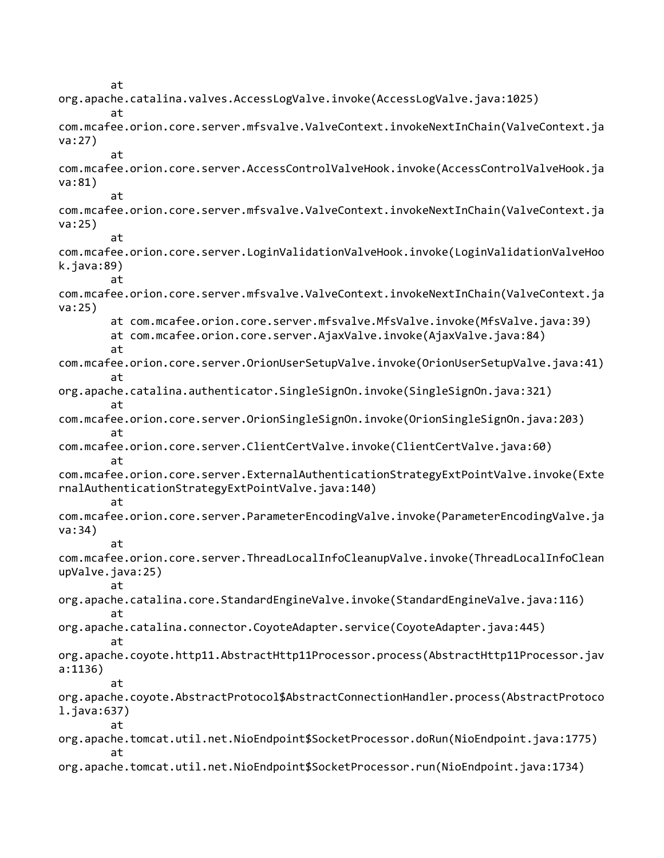at org.apache.catalina.valves.AccessLogValve.invoke(AccessLogValve.java:1025) at com.mcafee.orion.core.server.mfsvalve.ValveContext.invokeNextInChain(ValveContext.ja va:27) at com.mcafee.orion.core.server.AccessControlValveHook.invoke(AccessControlValveHook.ja va:81) at com.mcafee.orion.core.server.mfsvalve.ValveContext.invokeNextInChain(ValveContext.ja va:25) at com.mcafee.orion.core.server.LoginValidationValveHook.invoke(LoginValidationValveHoo k.java:89) at com.mcafee.orion.core.server.mfsvalve.ValveContext.invokeNextInChain(ValveContext.ja va:25) at com.mcafee.orion.core.server.mfsvalve.MfsValve.invoke(MfsValve.java:39) at com.mcafee.orion.core.server.AjaxValve.invoke(AjaxValve.java:84) at com.mcafee.orion.core.server.OrionUserSetupValve.invoke(OrionUserSetupValve.java:41) at org.apache.catalina.authenticator.SingleSignOn.invoke(SingleSignOn.java:321) at com.mcafee.orion.core.server.OrionSingleSignOn.invoke(OrionSingleSignOn.java:203) at com.mcafee.orion.core.server.ClientCertValve.invoke(ClientCertValve.java:60) at com.mcafee.orion.core.server.ExternalAuthenticationStrategyExtPointValve.invoke(Exte rnalAuthenticationStrategyExtPointValve.java:140) at com.mcafee.orion.core.server.ParameterEncodingValve.invoke(ParameterEncodingValve.ja va:34) at com.mcafee.orion.core.server.ThreadLocalInfoCleanupValve.invoke(ThreadLocalInfoClean upValve.java:25) at org.apache.catalina.core.StandardEngineValve.invoke(StandardEngineValve.java:116) at org.apache.catalina.connector.CoyoteAdapter.service(CoyoteAdapter.java:445) at org.apache.coyote.http11.AbstractHttp11Processor.process(AbstractHttp11Processor.jav a:1136) at org.apache.coyote.AbstractProtocol\$AbstractConnectionHandler.process(AbstractProtoco l.java:637) at org.apache.tomcat.util.net.NioEndpoint\$SocketProcessor.doRun(NioEndpoint.java:1775) at org.apache.tomcat.util.net.NioEndpoint\$SocketProcessor.run(NioEndpoint.java:1734)